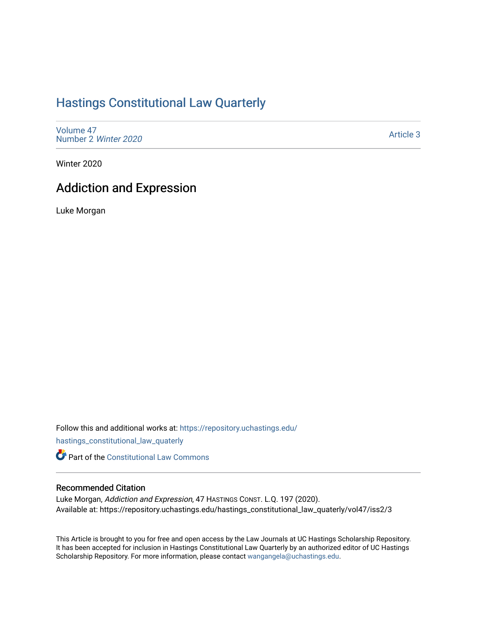# [Hastings Constitutional Law Quarterly](https://repository.uchastings.edu/hastings_constitutional_law_quaterly)

[Volume 47](https://repository.uchastings.edu/hastings_constitutional_law_quaterly/vol47) [Number 2](https://repository.uchastings.edu/hastings_constitutional_law_quaterly/vol47/iss2) Winter 2020

[Article 3](https://repository.uchastings.edu/hastings_constitutional_law_quaterly/vol47/iss2/3) 

Winter 2020

# Addiction and Expression

Luke Morgan

Follow this and additional works at: [https://repository.uchastings.edu/](https://repository.uchastings.edu/hastings_constitutional_law_quaterly?utm_source=repository.uchastings.edu%2Fhastings_constitutional_law_quaterly%2Fvol47%2Fiss2%2F3&utm_medium=PDF&utm_campaign=PDFCoverPages)

[hastings\\_constitutional\\_law\\_quaterly](https://repository.uchastings.edu/hastings_constitutional_law_quaterly?utm_source=repository.uchastings.edu%2Fhastings_constitutional_law_quaterly%2Fvol47%2Fiss2%2F3&utm_medium=PDF&utm_campaign=PDFCoverPages) 

**Part of the Constitutional Law Commons** 

# Recommended Citation

Luke Morgan, Addiction and Expression, 47 HASTINGS CONST. L.Q. 197 (2020). Available at: https://repository.uchastings.edu/hastings\_constitutional\_law\_quaterly/vol47/iss2/3

This Article is brought to you for free and open access by the Law Journals at UC Hastings Scholarship Repository. It has been accepted for inclusion in Hastings Constitutional Law Quarterly by an authorized editor of UC Hastings Scholarship Repository. For more information, please contact [wangangela@uchastings.edu.](mailto:wangangela@uchastings.edu)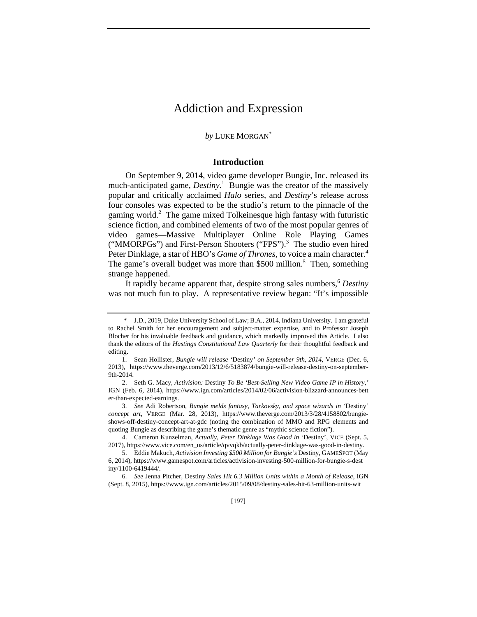# Addiction and Expression

# *by* LUKE MORGAN\*

# **Introduction**

On September 9, 2014, video game developer Bungie, Inc. released its much-anticipated game, *Destiny*. 1 Bungie was the creator of the massively popular and critically acclaimed *Halo* series, and *Destiny*'s release across four consoles was expected to be the studio's return to the pinnacle of the gaming world.<sup>2</sup> The game mixed Tolkeinesque high fantasy with futuristic science fiction, and combined elements of two of the most popular genres of video games—Massive Multiplayer Online Role Playing Games ("MMORPGs") and First-Person Shooters ("FPS").<sup>3</sup> The studio even hired Peter Dinklage, a star of HBO's *Game of Thrones*, to voice a main character.<sup>4</sup> The game's overall budget was more than  $$500$  million.<sup>5</sup> Then, something strange happened.

It rapidly became apparent that, despite strong sales numbers,<sup>6</sup> Destiny was not much fun to play. A representative review began: "It's impossible

 <sup>\*</sup> J.D., 2019, Duke University School of Law; B.A., 2014, Indiana University. I am grateful to Rachel Smith for her encouragement and subject-matter expertise, and to Professor Joseph Blocher for his invaluable feedback and guidance, which markedly improved this Article. I also thank the editors of the *Hastings Constitutional Law Quarterly* for their thoughtful feedback and editing.

 <sup>1.</sup> Sean Hollister, *Bungie will release '*Destiny*' on September 9th, 2014*, VERGE (Dec. 6, 2013), https://www.theverge.com/2013/12/6/5183874/bungie-will-release-destiny-on-september-9th-2014.

 <sup>2.</sup> Seth G. Macy, *Activision:* Destiny *To Be 'Best-Selling New Video Game IP in History*,*'* IGN (Feb. 6, 2014), https://www.ign.com/articles/2014/02/06/activision-blizzard-announces-bett er-than-expected-earnings.

 <sup>3.</sup> *See* Adi Robertson, *Bungie melds fantasy, Tarkovsky, and space wizards in '*Destiny*' concept art*, VERGE (Mar. 28, 2013), https://www.theverge.com/2013/3/28/4158802/bungieshows-off-destiny-concept-art-at-gdc (noting the combination of MMO and RPG elements and quoting Bungie as describing the game's thematic genre as "mythic science fiction").

 <sup>4.</sup> Cameron Kunzelman, *Actually, Peter Dinklage Was Good in* 'Destiny', VICE (Sept. 5, 2017), https://www.vice.com/en\_us/article/qvvqkb/actually-peter-dinklage-was-good-in-destiny.

 <sup>5.</sup> Eddie Makuch, *Activision Investing \$500 Million for Bungie's* Destiny, GAMESPOT (May 6, 2014), https://www.gamespot.com/articles/activision-investing-500-million-for-bungie-s-dest iny/1100-6419444/.

 <sup>6.</sup> *See* Jenna Pitcher, Destiny *Sales Hit 6.3 Million Units within a Month of Release*, IGN (Sept. 8, 2015), https://www.ign.com/articles/2015/09/08/destiny-sales-hit-63-million-units-wit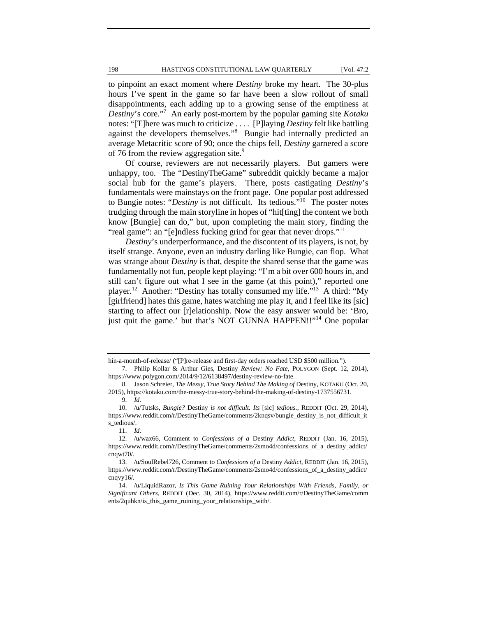#### 198 **HASTINGS CONSTITUTIONAL LAW QUARTERLY** [Vol. 47:2

to pinpoint an exact moment where *Destiny* broke my heart. The 30-plus hours I've spent in the game so far have been a slow rollout of small disappointments, each adding up to a growing sense of the emptiness at *Destiny*'s core."<sup>7</sup> An early post-mortem by the popular gaming site *Kotaku* notes: "[T]here was much to criticize . . . . [P]laying *Destiny* felt like battling against the developers themselves."<sup>8</sup> Bungie had internally predicted an average Metacritic score of 90; once the chips fell, *Destiny* garnered a score of 76 from the review aggregation site.<sup>9</sup>

Of course, reviewers are not necessarily players. But gamers were unhappy, too. The "DestinyTheGame" subreddit quickly became a major social hub for the game's players. There, posts castigating *Destiny*'s fundamentals were mainstays on the front page. One popular post addressed to Bungie notes: "*Destiny* is not difficult. Its tedious."10 The poster notes trudging through the main storyline in hopes of "hit[ting] the content we both know [Bungie] can do," but, upon completing the main story, finding the "real game": an "[e]ndless fucking grind for gear that never drops."<sup>11</sup>

*Destiny*'s underperformance, and the discontent of its players, is not, by itself strange. Anyone, even an industry darling like Bungie, can flop. What was strange about *Destiny* is that, despite the shared sense that the game was fundamentally not fun, people kept playing: "I'm a bit over 600 hours in, and still can't figure out what I see in the game (at this point)," reported one player.<sup>12</sup> Another: "Destiny has totally consumed my life."<sup>13</sup> A third: "My [girlfriend] hates this game, hates watching me play it, and I feel like its [sic] starting to affect our [r]elationship. Now the easy answer would be: 'Bro, just quit the game.' but that's NOT GUNNA HAPPEN!!"<sup>14</sup> One popular

hin-a-month-of-release/ ("[P]re-release and first-day orders reached USD \$500 million.").

 <sup>7.</sup> Philip Kollar & Arthur Gies, Destiny *Review: No Fate*, POLYGON (Sept. 12, 2014), https://www.polygon.com/2014/9/12/6138497/destiny-review-no-fate.

 <sup>8.</sup> Jason Schreier, *The Messy, True Story Behind The Making of* Destiny, KOTAKU (Oct. 20, 2015), https://kotaku.com/the-messy-true-story-behind-the-making-of-destiny-1737556731.

 <sup>9.</sup> *Id.*

 <sup>10. /</sup>u/Tutsks, *Bungie?* Destiny *is not difficult. Its* [sic] *tedious.*, REDDIT (Oct. 29, 2014), https://www.reddit.com/r/DestinyTheGame/comments/2knqsv/bungie\_destiny\_is\_not\_difficult\_it s\_tedious/.

 <sup>11.</sup> *Id.*

 <sup>12. /</sup>u/wax66, Comment to *Confessions of a* Destiny *Addict*, REDDIT (Jan. 16, 2015), https://www.reddit.com/r/DestinyTheGame/comments/2smo4d/confessions\_of\_a\_destiny\_addict/ cnqwt70/.

 <sup>13. /</sup>u/SoulRebel726, Comment to *Confessions of a* Destiny *Addict*, REDDIT (Jan. 16, 2015), https://www.reddit.com/r/DestinyTheGame/comments/2smo4d/confessions\_of\_a\_destiny\_addict/ cnqvy16/.

 <sup>14. /</sup>u/LiquidRazor, *Is This Game Ruining Your Relationships With Friends, Family, or Significant Others*, REDDIT (Dec. 30, 2014), https://www.reddit.com/r/DestinyTheGame/comm ents/2quhkn/is\_this\_game\_ruining\_your\_relationships\_with/.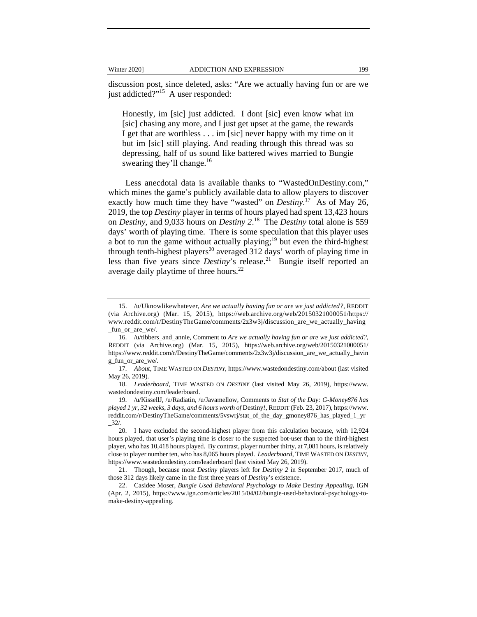discussion post, since deleted, asks: "Are we actually having fun or are we just addicted?"<sup>15</sup> A user responded:

Honestly, im [sic] just addicted. I dont [sic] even know what im [sic] chasing any more, and I just get upset at the game, the rewards I get that are worthless . . . im [sic] never happy with my time on it but im [sic] still playing. And reading through this thread was so depressing, half of us sound like battered wives married to Bungie swearing they'll change. $16$ 

Less anecdotal data is available thanks to "WastedOnDestiny.com," which mines the game's publicly available data to allow players to discover exactly how much time they have "wasted" on *Destiny*.<sup>17</sup> As of May 26, 2019, the top *Destiny* player in terms of hours played had spent 13,423 hours on *Destiny*, and 9,033 hours on *Destiny 2*. 18 The *Destiny* total alone is 559 days' worth of playing time. There is some speculation that this player uses a bot to run the game without actually playing;<sup>19</sup> but even the third-highest through tenth-highest players<sup>20</sup> averaged 312 days' worth of playing time in less than five years since *Destiny*'s release.<sup>21</sup> Bungie itself reported an average daily playtime of three hours.<sup>22</sup>

 <sup>15. /</sup>u/Uknowlikewhatever, *Are we actually having fun or are we just addicted?*, REDDIT (via Archive.org) (Mar. 15, 2015), https://web.archive.org/web/20150321000051/https:// www.reddit.com/r/DestinyTheGame/comments/2z3w3j/discussion\_are\_we\_actually\_having \_fun\_or\_are\_we/.

 <sup>16. /</sup>u/tibbers\_and\_annie, Comment to *Are we actually having fun or are we just addicted?*, REDDIT (via Archive.org) (Mar. 15, 2015), https://web.archive.org/web/20150321000051/ https://www.reddit.com/r/DestinyTheGame/comments/2z3w3j/discussion\_are\_we\_actually\_havin g\_fun\_or\_are\_we/.

 <sup>17.</sup> *About*, TIME WASTED ON *DESTINY*, https://www.wastedondestiny.com/about (last visited May 26, 2019).

 <sup>18.</sup> *Leaderboard*, TIME WASTED ON *DESTINY* (last visited May 26, 2019), https://www. wastedondestiny.com/leaderboard.

 <sup>19. /</sup>u/KissellJ, /u/Radiatin, /u/Javamellow, Comments to *Stat of the Day: G-Money876 has played 1 yr, 32 weeks, 3 days, and 6 hours worth of* Destiny*!*, REDDIT (Feb. 23, 2017), https://www. reddit.com/r/DestinyTheGame/comments/5vswrj/stat\_of\_the\_day\_gmoney876\_has\_played\_1\_yr  $-32/$ .

 <sup>20.</sup> I have excluded the second-highest player from this calculation because, with 12,924 hours played, that user's playing time is closer to the suspected bot-user than to the third-highest player, who has 10,418 hours played. By contrast, player number thirty, at 7,081 hours, is relatively close to player number ten, who has 8,065 hours played. *Leaderboard*, TIME WASTED ON *DESTINY*, https://www.wastedondestiny.com/leaderboard (last visited May 26, 2019).

 <sup>21.</sup> Though, because most *Destiny* players left for *Destiny 2* in September 2017, much of those 312 days likely came in the first three years of *Destiny*'s existence.

 <sup>22.</sup> Casidee Moser, *Bungie Used Behavioral Psychology to Make* Destiny *Appealing*, IGN (Apr. 2, 2015), https://www.ign.com/articles/2015/04/02/bungie-used-behavioral-psychology-tomake-destiny-appealing.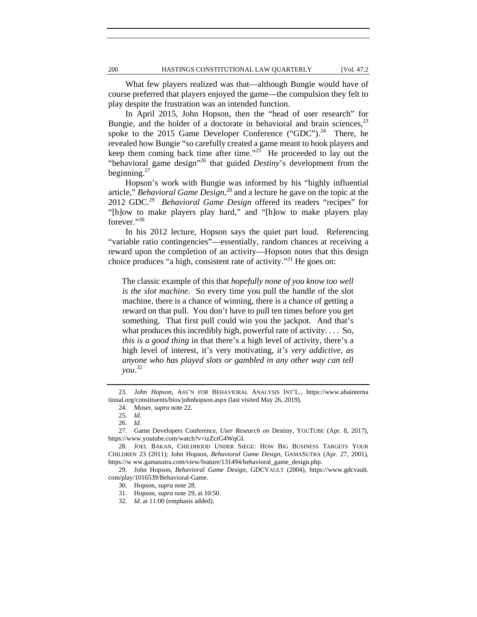What few players realized was that—although Bungie would have of course preferred that players enjoyed the game—the compulsion they felt to play despite the frustration was an intended function.

In April 2015, John Hopson, then the "head of user research" for Bungie, and the holder of a doctorate in behavioral and brain sciences,  $2<sup>3</sup>$ spoke to the 2015 Game Developer Conference ("GDC").<sup>24</sup> There, he revealed how Bungie "so carefully created a game meant to hook players and keep them coming back time after time." $25$  He proceeded to lay out the "behavioral game design"26 that guided *Destiny*'s development from the beginning. $27$ 

Hopson's work with Bungie was informed by his "highly influential article," *Behavioral Game Design*, 28 and a lecture he gave on the topic at the 2012 GDC.29 *Behavioral Game Design* offered its readers "recipes" for "[h]ow to make players play hard," and "[h]ow to make players play forever."30

In his 2012 lecture, Hopson says the quiet part loud. Referencing "variable ratio contingencies"—essentially, random chances at receiving a reward upon the completion of an activity—Hopson notes that this design choice produces "a high, consistent rate of activity."31 He goes on:

The classic example of this that *hopefully none of you know too well is the slot machine.* So every time you pull the handle of the slot machine, there is a chance of winning, there is a chance of getting a reward on that pull. You don't have to pull ten times before you get something. That first pull could win you the jackpot. And that's what produces this incredibly high, powerful rate of activity.... So, *this is a good thing* in that there's a high level of activity, there's a high level of interest, it's very motivating, *it's very addictive, as anyone who has played slots or gambled in any other way can tell you*. 32

31. Hopson, *supra* note 29, at 10:50.

 <sup>23.</sup> *John Hopson*, ASS'N FOR BEHAVIORAL ANALYSIS INT'L., https://www.abainterna tional.org/constituents/bios/johnhopson.aspx (last visited May 26, 2019).

 <sup>24.</sup> Moser, *supra* note 22.

 <sup>25.</sup> *Id.*

 <sup>26.</sup> *Id.*

 <sup>27.</sup> Game Developers Conference, *User Research on* Destiny, YOUTUBE (Apr. 8, 2017), https://www.youtube.com/watch?v=izZcrG4WqGI.

 <sup>28.</sup> JOEL BAKAN, CHILDHOOD UNDER SIEGE: HOW BIG BUSINESS TARGETS YOUR CHILDREN 23 (2011); John Hopson, *Behavioral Game Design*, GAMASUTRA (Apr. 27, 2001), https://w ww.gamasutra.com/view/feature/131494/behavioral\_game\_design.php.

 <sup>29.</sup> John Hopson, *Behavioral Game Design*, GDCVAULT (2004), https://www.gdcvault. com/play/1016539/Behavioral-Game.

 <sup>30.</sup> Hopson, *supra* note 28.

 <sup>32.</sup> *Id.* at 11:00 (emphasis added).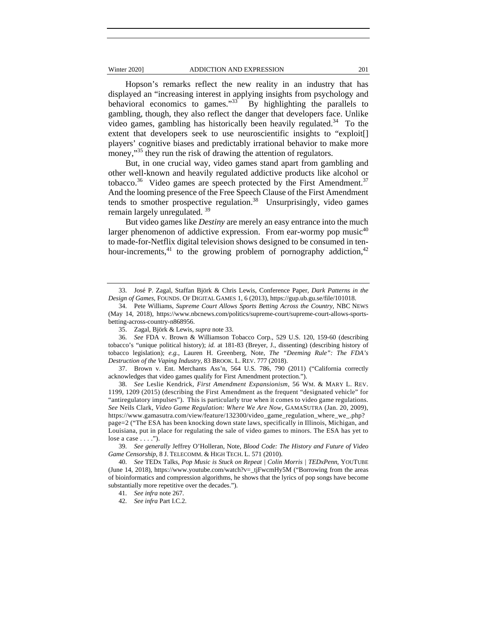#### Winter 2020] **ADDICTION AND EXPRESSION** 201

Hopson's remarks reflect the new reality in an industry that has displayed an "increasing interest in applying insights from psychology and behavioral economics to games."<sup>33</sup> By highlighting the parallels to gambling, though, they also reflect the danger that developers face. Unlike video games, gambling has historically been heavily regulated.<sup>34</sup> To the extent that developers seek to use neuroscientific insights to "exploit[] players' cognitive biases and predictably irrational behavior to make more money,"<sup>35</sup> they run the risk of drawing the attention of regulators.

But, in one crucial way, video games stand apart from gambling and other well-known and heavily regulated addictive products like alcohol or tobacco.<sup>36</sup> Video games are speech protected by the First Amendment.<sup>37</sup> And the looming presence of the Free Speech Clause of the First Amendment tends to smother prospective regulation.<sup>38</sup> Unsurprisingly, video games remain largely unregulated.<sup>39</sup>

But video games like *Destiny* are merely an easy entrance into the much larger phenomenon of addictive expression. From ear-wormy pop music<sup>40</sup> to made-for-Netflix digital television shows designed to be consumed in tenhour-increments,<sup>41</sup> to the growing problem of pornography addiction,<sup>42</sup>

 <sup>33.</sup> José P. Zagal, Staffan Björk & Chris Lewis, Conference Paper, *Dark Patterns in the Design of Games*, FOUNDS. OF DIGITAL GAMES 1, 6 (2013), https://gup.ub.gu.se/file/101018.

 <sup>34.</sup> Pete Williams, *Supreme Court Allows Sports Betting Across the Country*, NBC NEWS (May 14, 2018), https://www.nbcnews.com/politics/supreme-court/supreme-court-allows-sportsbetting-across-country-n868956.

 <sup>35.</sup> Zagal, Björk & Lewis, *supra* note 33.

 <sup>36.</sup> *See* FDA v. Brown & Williamson Tobacco Corp., 529 U.S. 120, 159-60 (describing tobacco's "unique political history); *id.* at 181-83 (Breyer, J., dissenting) (describing history of tobacco legislation); *e.g.*, Lauren H. Greenberg, Note, *The "Deeming Rule": The FDA's Destruction of the Vaping Industry*, 83 BROOK. L. REV. 777 (2018).

 <sup>37.</sup> Brown v. Ent. Merchants Ass'n, 564 U.S. 786, 790 (2011) ("California correctly acknowledges that video games qualify for First Amendment protection.").

 <sup>38.</sup> *See* Leslie Kendrick, *First Amendment Expansionism*, 56 WM. & MARY L. REV. 1199, 1209 (2015) (describing the First Amendment as the frequent "designated vehicle" for "antiregulatory impulses"). This is particularly true when it comes to video game regulations. *See* Neils Clark, *Video Game Regulation: Where We Are Now*, GAMASUTRA (Jan. 20, 2009), https://www.gamasutra.com/view/feature/132300/video\_game\_regulation\_where\_we\_.php? page=2 ("The ESA has been knocking down state laws, specifically in Illinois, Michigan, and Louisiana, put in place for regulating the sale of video games to minors. The ESA has yet to lose a case  $\dots$ .").

 <sup>39.</sup> *See generally* Jeffrey O'Holleran, Note, *Blood Code: The History and Future of Video Game Censorship*, 8 J. TELECOMM. & HIGH TECH. L. 571 (2010).

 <sup>40.</sup> *See* TEDx Talks, *Pop Music is Stuck on Repeat | Colin Morris | TEDxPenn*, YOUTUBE (June 14, 2018), https://www.youtube.com/watch?v=\_tjFwcmHy5M ("Borrowing from the areas of bioinformatics and compression algorithms, he shows that the lyrics of pop songs have become substantially more repetitive over the decades.").

 <sup>41.</sup> *See infra* note 267.

 <sup>42.</sup> *See infra* Part I.C.2.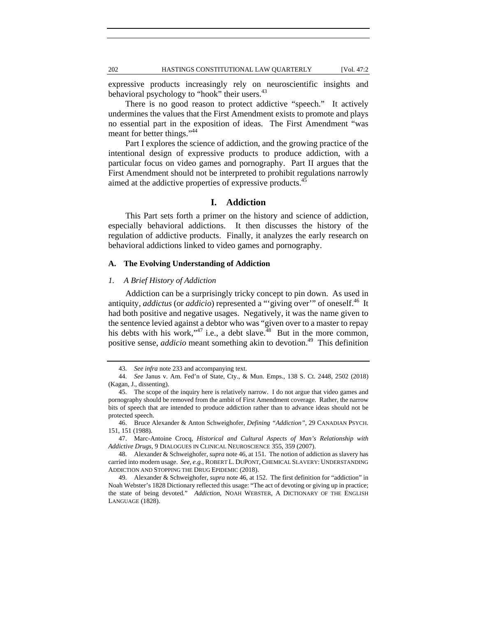expressive products increasingly rely on neuroscientific insights and behavioral psychology to "hook" their users.<sup>43</sup>

There is no good reason to protect addictive "speech." It actively undermines the values that the First Amendment exists to promote and plays no essential part in the exposition of ideas. The First Amendment "was meant for better things."44

Part I explores the science of addiction, and the growing practice of the intentional design of expressive products to produce addiction, with a particular focus on video games and pornography. Part II argues that the First Amendment should not be interpreted to prohibit regulations narrowly aimed at the addictive properties of expressive products.<sup>45</sup>

# **I. Addiction**

This Part sets forth a primer on the history and science of addiction, especially behavioral addictions. It then discusses the history of the regulation of addictive products. Finally, it analyzes the early research on behavioral addictions linked to video games and pornography.

# **A. The Evolving Understanding of Addiction**

# *1. A Brief History of Addiction*

Addiction can be a surprisingly tricky concept to pin down. As used in antiquity, *addictus* (or *addicio*) represented a "'giving over" of oneself.<sup>46</sup> It had both positive and negative usages. Negatively, it was the name given to the sentence levied against a debtor who was "given over to a master to repay his debts with his work,"<sup>47</sup> i.e., a debt slave.<sup>48</sup> But in the more common, positive sense, *addicio* meant something akin to devotion.<sup>49</sup> This definition

 <sup>43.</sup> *See infra* note 233 and accompanying text.

 <sup>44.</sup> *See* Janus v. Am. Fed'n of State, Cty., & Mun. Emps., 138 S. Ct. 2448, 2502 (2018) (Kagan, J., dissenting).

 <sup>45.</sup> The scope of the inquiry here is relatively narrow. I do not argue that video games and pornography should be removed from the ambit of First Amendment coverage. Rather, the narrow bits of speech that are intended to produce addiction rather than to advance ideas should not be protected speech.

 <sup>46.</sup> Bruce Alexander & Anton Schweighofer, *Defining "Addiction"*, 29 CANADIAN PSYCH. 151, 151 (1988).

 <sup>47.</sup> Marc-Antoine Crocq, *Historical and Cultural Aspects of Man's Relationship with Addictive Drugs*, 9 DIALOGUES IN CLINICAL NEUROSCIENCE 355, 359 (2007).

 <sup>48.</sup> Alexander & Schweighofer, *supra* note 46, at 151. The notion of addiction as slavery has carried into modern usage. *See, e.g.*, ROBERT L. DUPONT,CHEMICAL SLAVERY: UNDERSTANDING ADDICTION AND STOPPING THE DRUG EPIDEMIC (2018).

 <sup>49.</sup> Alexander & Schweighofer, *supra* note 46, at 152. The first definition for "addiction" in Noah Webster's 1828 Dictionary reflected this usage: "The act of devoting or giving up in practice; the state of being devoted." *Addiction*, NOAH WEBSTER, A DICTIONARY OF THE ENGLISH LANGUAGE (1828).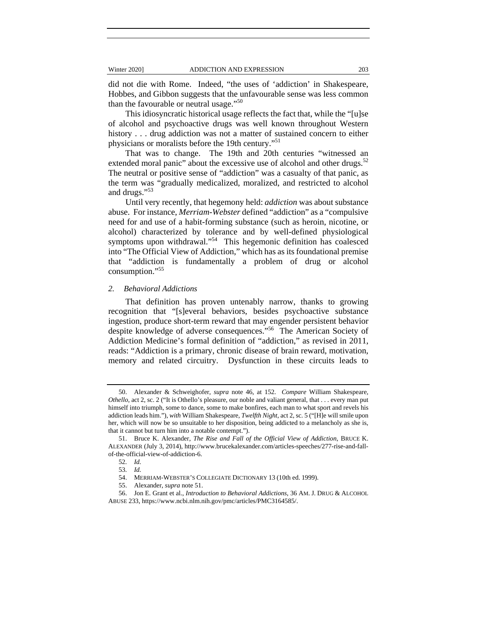did not die with Rome. Indeed, "the uses of 'addiction' in Shakespeare, Hobbes, and Gibbon suggests that the unfavourable sense was less common than the favourable or neutral usage."<sup>50</sup>

This idiosyncratic historical usage reflects the fact that, while the "[u]se of alcohol and psychoactive drugs was well known throughout Western history . . . drug addiction was not a matter of sustained concern to either physicians or moralists before the 19th century."<sup>51</sup>

That was to change. The 19th and 20th centuries "witnessed an extended moral panic" about the excessive use of alcohol and other drugs.<sup>52</sup> The neutral or positive sense of "addiction" was a casualty of that panic, as the term was "gradually medicalized, moralized, and restricted to alcohol and drugs."53

Until very recently, that hegemony held: *addiction* was about substance abuse. For instance, *Merriam-Webster* defined "addiction" as a "compulsive need for and use of a habit-forming substance (such as heroin, nicotine, or alcohol) characterized by tolerance and by well-defined physiological symptoms upon withdrawal."<sup>54</sup> This hegemonic definition has coalesced into "The Official View of Addiction," which has as its foundational premise that "addiction is fundamentally a problem of drug or alcohol consumption."55

#### *2. Behavioral Addictions*

That definition has proven untenably narrow, thanks to growing recognition that "[s]everal behaviors, besides psychoactive substance ingestion, produce short-term reward that may engender persistent behavior despite knowledge of adverse consequences."56 The American Society of Addiction Medicine's formal definition of "addiction," as revised in 2011, reads: "Addiction is a primary, chronic disease of brain reward, motivation, memory and related circuitry. Dysfunction in these circuits leads to

 <sup>50.</sup> Alexander & Schweighofer, *supra* note 46, at 152. *Compare* William Shakespeare, *Othello*, act 2, sc. 2 ("It is Othello's pleasure, our noble and valiant general, that . . . every man put himself into triumph, some to dance, some to make bonfires, each man to what sport and revels his addiction leads him."), *with* William Shakespeare, *Twelfth Night*, act 2, sc. 5 ("[H]e will smile upon her, which will now be so unsuitable to her disposition, being addicted to a melancholy as she is, that it cannot but turn him into a notable contempt.").

 <sup>51.</sup> Bruce K. Alexander, *The Rise and Fall of the Official View of Addiction*, BRUCE K. ALEXANDER (July 3, 2014), http://www.brucekalexander.com/articles-speeches/277-rise-and-fallof-the-official-view-of-addiction-6.

 <sup>52.</sup> *Id.*

 <sup>53.</sup> *Id.*

 <sup>54.</sup> MERRIAM-WEBSTER'S COLLEGIATE DICTIONARY 13 (10th ed. 1999).

 <sup>55.</sup> Alexander, *supra* note 51.

 <sup>56.</sup> Jon E. Grant et al., *Introduction to Behavioral Addictions*, 36 AM. J. DRUG & ALCOHOL ABUSE 233, https://www.ncbi.nlm.nih.gov/pmc/articles/PMC3164585/.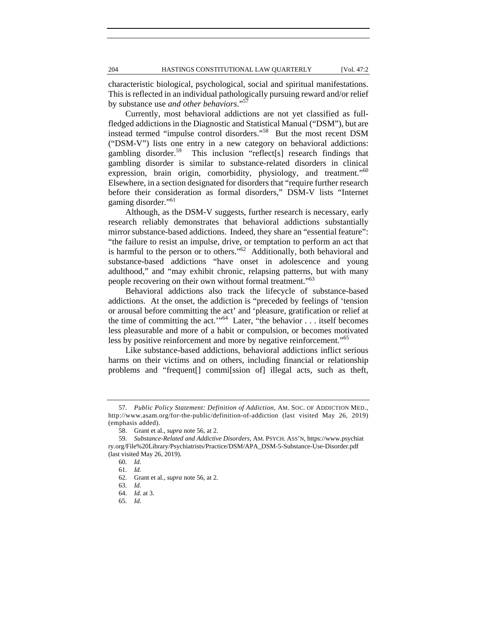characteristic biological, psychological, social and spiritual manifestations. This is reflected in an individual pathologically pursuing reward and/or relief by substance use *and other behaviors*."57

Currently, most behavioral addictions are not yet classified as fullfledged addictions in the Diagnostic and Statistical Manual ("DSM"), but are instead termed "impulse control disorders."58 But the most recent DSM ("DSM-V") lists one entry in a new category on behavioral addictions: gambling disorder.<sup>59</sup> This inclusion "reflect<sup>[s]</sup> research findings that gambling disorder is similar to substance-related disorders in clinical expression, brain origin, comorbidity, physiology, and treatment."<sup>60</sup> Elsewhere, in a section designated for disorders that "require further research before their consideration as formal disorders," DSM-V lists "Internet gaming disorder."61

Although, as the DSM-V suggests, further research is necessary, early research reliably demonstrates that behavioral addictions substantially mirror substance-based addictions. Indeed, they share an "essential feature": "the failure to resist an impulse, drive, or temptation to perform an act that is harmful to the person or to others."<sup>62</sup> Additionally, both behavioral and substance-based addictions "have onset in adolescence and young adulthood," and "may exhibit chronic, relapsing patterns, but with many people recovering on their own without formal treatment."<sup>63</sup>

Behavioral addictions also track the lifecycle of substance-based addictions. At the onset, the addiction is "preceded by feelings of 'tension or arousal before committing the act' and 'pleasure, gratification or relief at the time of committing the act.'"<sup>64</sup> Later, "the behavior . . . itself becomes less pleasurable and more of a habit or compulsion, or becomes motivated less by positive reinforcement and more by negative reinforcement."<sup>65</sup>

Like substance-based addictions, behavioral addictions inflict serious harms on their victims and on others, including financial or relationship problems and "frequent[] commi[ssion of] illegal acts, such as theft,

 <sup>57.</sup> *Public Policy Statement: Definition of Addiction*, AM. SOC. OF ADDICTION MED., http://www.asam.org/for-the-public/definition-of-addiction (last visited May 26, 2019) (emphasis added).

 <sup>58.</sup> Grant et al., *supra* note 56, at 2.

 <sup>59.</sup> *Substance-Related and Addictive Disorders*, AM. PSYCH. ASS'N, https://www.psychiat ry.org/File%20Library/Psychiatrists/Practice/DSM/APA\_DSM-5-Substance-Use-Disorder.pdf (last visited May 26, 2019).

 <sup>60.</sup> *Id.*

 <sup>61.</sup> *Id.*

 <sup>62.</sup> Grant et al., *supra* note 56, at 2.

 <sup>63.</sup> *Id.*

 <sup>64.</sup> *Id.* at 3.

 <sup>65.</sup> *Id.*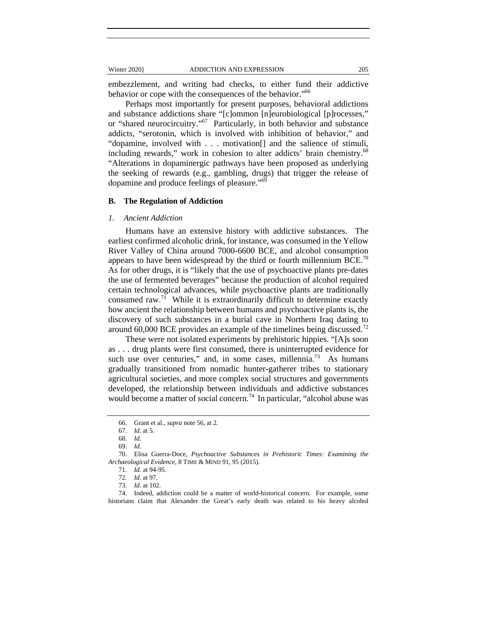embezzlement, and writing bad checks, to either fund their addictive behavior or cope with the consequences of the behavior.<sup>"66</sup>

Perhaps most importantly for present purposes, behavioral addictions and substance addictions share "[c]ommon [n]eurobiological [p]rocesses," or "shared neurocircuitry."67 Particularly, in both behavior and substance addicts, "serotonin, which is involved with inhibition of behavior," and "dopamine, involved with . . . motivation[] and the salience of stimuli, including rewards," work in cohesion to alter addicts' brain chemistry.<sup>68</sup> "Alterations in dopaminergic pathways have been proposed as underlying the seeking of rewards (e.g., gambling, drugs) that trigger the release of dopamine and produce feelings of pleasure."69

# **B. The Regulation of Addiction**

### *1. Ancient Addiction*

Humans have an extensive history with addictive substances. The earliest confirmed alcoholic drink, for instance, was consumed in the Yellow River Valley of China around 7000-6600 BCE, and alcohol consumption appears to have been widespread by the third or fourth millennium  $BCE$ <sup>70</sup> As for other drugs, it is "likely that the use of psychoactive plants pre-dates the use of fermented beverages" because the production of alcohol required certain technological advances, while psychoactive plants are traditionally consumed raw.<sup>71</sup> While it is extraordinarily difficult to determine exactly how ancient the relationship between humans and psychoactive plants is, the discovery of such substances in a burial cave in Northern Iraq dating to around 60,000 BCE provides an example of the timelines being discussed.<sup>72</sup>

These were not isolated experiments by prehistoric hippies. "[A]s soon as . . . drug plants were first consumed, there is uninterrupted evidence for such use over centuries," and, in some cases, millennia. $^{73}$  As humans gradually transitioned from nomadic hunter-gatherer tribes to stationary agricultural societies, and more complex social structures and governments developed, the relationship between individuals and addictive substances would become a matter of social concern.<sup>74</sup> In particular, "alcohol abuse was

 74. Indeed, addiction could be a matter of world-historical concern. For example, some historians claim that Alexander the Great's early death was related to his heavy alcohol

 <sup>66.</sup> Grant et al., *supra* note 56, at 2*.*

 <sup>67.</sup> *Id.* at 5.

 <sup>68.</sup> *Id.*

 <sup>69.</sup> *Id.*

 <sup>70.</sup> Elisa Guerra-Doce, *Psychoactive Substances in Prehistoric Times: Examining the Archaeological Evidence*, 8 TIME & MIND 91, 95 (2015).

 <sup>71.</sup> *Id.* at 94-95.

 <sup>72.</sup> *Id.* at 97.

 <sup>73.</sup> *Id.* at 102.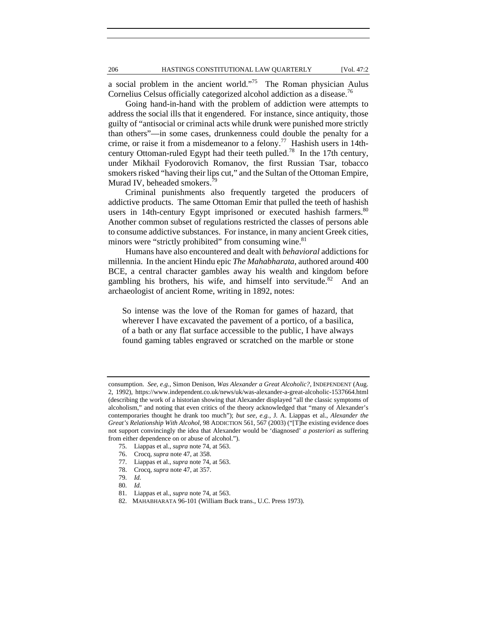a social problem in the ancient world."75 The Roman physician Aulus Cornelius Celsus officially categorized alcohol addiction as a disease.<sup>76</sup>

Going hand-in-hand with the problem of addiction were attempts to address the social ills that it engendered. For instance, since antiquity, those guilty of "antisocial or criminal acts while drunk were punished more strictly than others"—in some cases, drunkenness could double the penalty for a crime, or raise it from a misdemeanor to a felony.<sup>77</sup> Hashish users in 14thcentury Ottoman-ruled Egypt had their teeth pulled.<sup>78</sup> In the 17th century, under Mikhail Fyodorovich Romanov, the first Russian Tsar, tobacco smokers risked "having their lips cut," and the Sultan of the Ottoman Empire, Murad IV, beheaded smokers.<sup>79</sup>

Criminal punishments also frequently targeted the producers of addictive products. The same Ottoman Emir that pulled the teeth of hashish users in 14th-century Egypt imprisoned or executed hashish farmers.<sup>80</sup> Another common subset of regulations restricted the classes of persons able to consume addictive substances. For instance, in many ancient Greek cities, minors were "strictly prohibited" from consuming wine.<sup>81</sup>

Humans have also encountered and dealt with *behavioral* addictions for millennia. In the ancient Hindu epic *The Mahabharata*, authored around 400 BCE, a central character gambles away his wealth and kingdom before gambling his brothers, his wife, and himself into servitude.<sup>82</sup> And an archaeologist of ancient Rome, writing in 1892, notes:

So intense was the love of the Roman for games of hazard, that wherever I have excavated the pavement of a portico, of a basilica, of a bath or any flat surface accessible to the public, I have always found gaming tables engraved or scratched on the marble or stone

- 76. Crocq, *supra* note 47, at 358.
- 77. Liappas et al., *supra* note 74, at 563.
- 78. Crocq, *supra* note 47, at 357.
- 79. *Id.*
- 80. *Id.*

consumption. *See, e.g.*, Simon Denison, *Was Alexander a Great Alcoholic?*, INDEPENDENT (Aug. 2, 1992), https://www.independent.co.uk/news/uk/was-alexander-a-great-alcoholic-1537664.html (describing the work of a historian showing that Alexander displayed "all the classic symptoms of alcoholism," and noting that even critics of the theory acknowledged that "many of Alexander's contemporaries thought he drank too much"); *but see, e.g.*, J. A. Liappas et al., *Alexander the Great's Relationship With Alcohol*, 98 ADDICTION 561, 567 (2003) ("[T]he existing evidence does not support convincingly the idea that Alexander would be 'diagnosed' *a posteriori* as suffering from either dependence on or abuse of alcohol.").

 <sup>75.</sup> Liappas et al., *supra* note 74, at 563.

 <sup>81.</sup> Liappas et al., *supra* note 74, at 563.

 <sup>82.</sup> MAHABHARATA 96-101 (William Buck trans., U.C. Press 1973).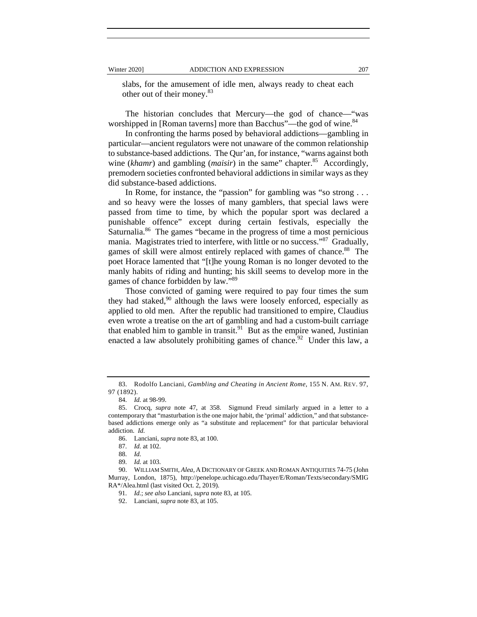slabs, for the amusement of idle men, always ready to cheat each other out of their money.<sup>83</sup>

The historian concludes that Mercury—the god of chance—"was worshipped in [Roman taverns] more than Bacchus"—the god of wine.<sup>84</sup>

In confronting the harms posed by behavioral addictions—gambling in particular—ancient regulators were not unaware of the common relationship to substance-based addictions. The Qur'an, for instance, "warns against both wine (*khamr*) and gambling (*maisir*) in the same" chapter.<sup>85</sup> Accordingly, premodern societies confronted behavioral addictions in similar ways as they did substance-based addictions.

In Rome, for instance, the "passion" for gambling was "so strong . . . and so heavy were the losses of many gamblers, that special laws were passed from time to time, by which the popular sport was declared a punishable offence" except during certain festivals, especially the Saturnalia.<sup>86</sup> The games "became in the progress of time a most pernicious mania. Magistrates tried to interfere, with little or no success."<sup>87</sup> Gradually, games of skill were almost entirely replaced with games of chance.<sup>88</sup> The poet Horace lamented that "[t]he young Roman is no longer devoted to the manly habits of riding and hunting; his skill seems to develop more in the games of chance forbidden by law."<sup>89</sup>

Those convicted of gaming were required to pay four times the sum they had staked, $90$  although the laws were loosely enforced, especially as applied to old men. After the republic had transitioned to empire, Claudius even wrote a treatise on the art of gambling and had a custom-built carriage that enabled him to gamble in transit.<sup>91</sup> But as the empire waned, Justinian enacted a law absolutely prohibiting games of chance.<sup>92</sup> Under this law, a

 <sup>83.</sup> Rodolfo Lanciani, *Gambling and Cheating in Ancient Rome*, 155 N. AM. REV. 97, 97 (1892).

 <sup>84.</sup> *Id.* at 98-99.

 <sup>85.</sup> Crocq, *supra* note 47, at 358. Sigmund Freud similarly argued in a letter to a contemporary that "masturbation is the one major habit, the 'primal' addiction," and that substancebased addictions emerge only as "a substitute and replacement" for that particular behavioral addiction. *Id.*

 <sup>86.</sup> Lanciani, *supra* note 83, at 100.

 <sup>87.</sup> *Id.* at 102.

 <sup>88.</sup> *Id.*

 <sup>89.</sup> *Id.* at 103.

 <sup>90.</sup> WILLIAM SMITH, *Alea,* A DICTIONARY OF GREEK AND ROMAN ANTIQUITIES 74-75 (John Murray, London, 1875), http://penelope.uchicago.edu/Thayer/E/Roman/Texts/secondary/SMIG RA\*/Alea.html (last visited Oct. 2, 2019).

 <sup>91.</sup> *Id.*; *see also* Lanciani, *supra* note 83, at 105.

 <sup>92.</sup> Lanciani, *supra* note 83, at 105.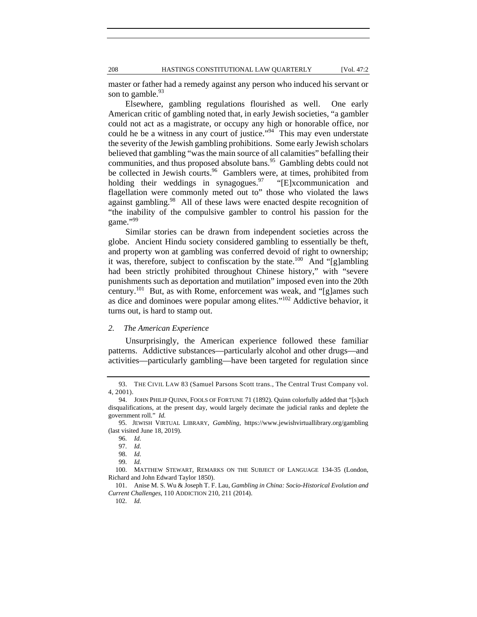208 HASTINGS CONSTITUTIONAL LAW QUARTERLY [Vol. 47:2

master or father had a remedy against any person who induced his servant or son to gamble. $93$ 

Elsewhere, gambling regulations flourished as well. One early American critic of gambling noted that, in early Jewish societies, "a gambler could not act as a magistrate, or occupy any high or honorable office, nor could he be a witness in any court of justice."<sup>94</sup> This may even understate the severity of the Jewish gambling prohibitions. Some early Jewish scholars believed that gambling "was the main source of all calamities" befalling their communities, and thus proposed absolute bans.<sup>95</sup> Gambling debts could not be collected in Jewish courts.<sup>96</sup> Gamblers were, at times, prohibited from holding their weddings in synagogues. $97$  "[E]xcommunication and flagellation were commonly meted out to" those who violated the laws against gambling.<sup>98</sup> All of these laws were enacted despite recognition of "the inability of the compulsive gambler to control his passion for the game."99

Similar stories can be drawn from independent societies across the globe. Ancient Hindu society considered gambling to essentially be theft, and property won at gambling was conferred devoid of right to ownership; it was, therefore, subject to confiscation by the state.<sup>100</sup> And "[g]ambling had been strictly prohibited throughout Chinese history," with "severe punishments such as deportation and mutilation" imposed even into the 20th century.101 But, as with Rome, enforcement was weak, and "[g]ames such as dice and dominoes were popular among elites."102 Addictive behavior, it turns out, is hard to stamp out.

#### *2. The American Experience*

Unsurprisingly, the American experience followed these familiar patterns. Addictive substances—particularly alcohol and other drugs—and activities—particularly gambling—have been targeted for regulation since

102. *Id.*

 <sup>93.</sup> THE CIVIL LAW 83 (Samuel Parsons Scott trans., The Central Trust Company vol. 4, 2001).

 <sup>94.</sup> JOHN PHILIP QUINN, FOOLS OF FORTUNE 71 (1892). Quinn colorfully added that "[s]uch disqualifications, at the present day, would largely decimate the judicial ranks and deplete the government roll." *Id.*

 <sup>95.</sup> JEWISH VIRTUAL LIBRARY, *Gambling*, https://www.jewishvirtuallibrary.org/gambling (last visited June 18, 2019).

 <sup>96.</sup> *Id.*

 <sup>97.</sup> *Id.*

 <sup>98.</sup> *Id.*

 <sup>99.</sup> *Id.*

 <sup>100.</sup> MATTHEW STEWART, REMARKS ON THE SUBJECT OF LANGUAGE 134-35 (London, Richard and John Edward Taylor 1850).

 <sup>101.</sup> Anise M. S. Wu & Joseph T. F. Lau, *Gambling in China: Socio-Historical Evolution and Current Challenges*, 110 ADDICTION 210, 211 (2014).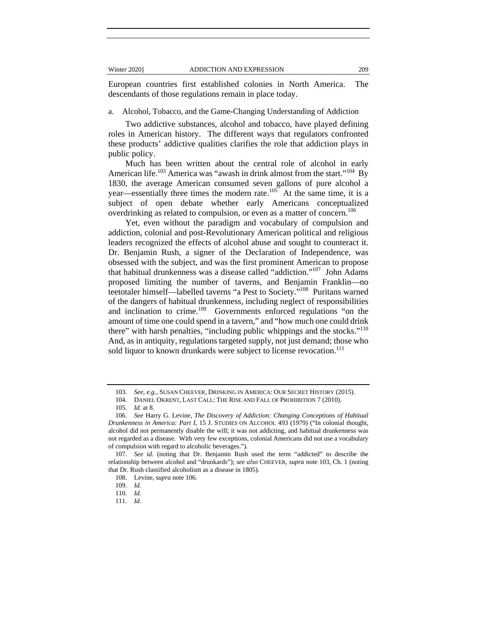European countries first established colonies in North America. The descendants of those regulations remain in place today.

a. Alcohol, Tobacco, and the Game-Changing Understanding of Addiction

Two addictive substances, alcohol and tobacco, have played defining roles in American history. The different ways that regulators confronted these products' addictive qualities clarifies the role that addiction plays in public policy.

Much has been written about the central role of alcohol in early American life.<sup>103</sup> America was "awash in drink almost from the start."<sup>104</sup> By 1830, the average American consumed seven gallons of pure alcohol a year—essentially three times the modern rate. $105$  At the same time, it is a subject of open debate whether early Americans conceptualized overdrinking as related to compulsion, or even as a matter of concern.<sup>106</sup>

Yet, even without the paradigm and vocabulary of compulsion and addiction, colonial and post-Revolutionary American political and religious leaders recognized the effects of alcohol abuse and sought to counteract it. Dr. Benjamin Rush, a signer of the Declaration of Independence, was obsessed with the subject, and was the first prominent American to propose that habitual drunkenness was a disease called "addiction."107 John Adams proposed limiting the number of taverns, and Benjamin Franklin—no teetotaler himself—labelled taverns "a Pest to Society."108 Puritans warned of the dangers of habitual drunkenness, including neglect of responsibilities and inclination to crime.<sup>109</sup> Governments enforced regulations "on the amount of time one could spend in a tavern," and "how much one could drink there" with harsh penalties, "including public whippings and the stocks."<sup>110</sup> And, as in antiquity, regulations targeted supply, not just demand; those who sold liquor to known drunkards were subject to license revocation.<sup>111</sup>

 <sup>103.</sup> *See, e.g.*, SUSAN CHEEVER, DRINKING IN AMERICA: OUR SECRET HISTORY (2015).

 <sup>104.</sup> DANIEL OKRENT, LAST CALL: THE RISE AND FALL OF PROHIBITION 7 (2010).

 <sup>105.</sup> *Id.* at 8.

 <sup>106.</sup> *See* Harry G. Levine, *The Discovery of Addiction: Changing Conceptions of Habitual Drunkenness in America: Part I*, 15 J. STUDIES ON ALCOHOL 493 (1979) ("In colonial thought, alcohol did not permanently disable the will; it was not addicting, and habitual drunkenness was not regarded as a disease. With very few exceptions, colonial Americans did not use a vocabulary of compulsion with regard to alcoholic beverages.").

 <sup>107.</sup> *See id.* (noting that Dr. Benjamin Rush used the term "addicted" to describe the relationship between alcohol and "drunkards"); *see also* CHEEVER, *supra* note 103, Ch. 1 (noting that Dr. Rush classified alcoholism as a disease in 1805).

 <sup>108.</sup> Levine, s*upra* note 106.

 <sup>109.</sup> *Id.*

 <sup>110.</sup> *Id.*

 <sup>111.</sup> *Id.*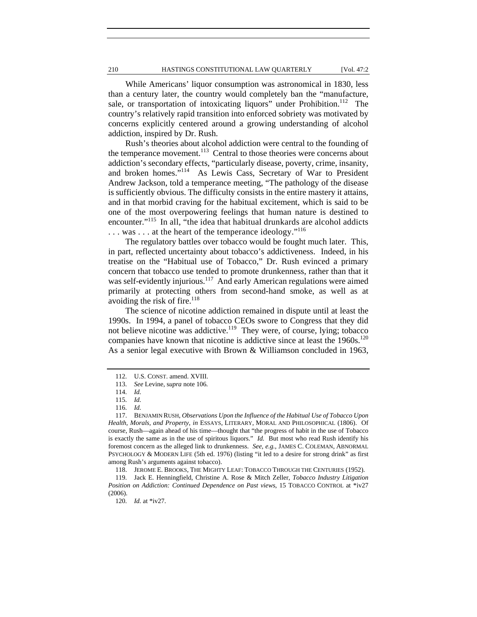While Americans' liquor consumption was astronomical in 1830, less than a century later, the country would completely ban the "manufacture, sale, or transportation of intoxicating liquors" under Prohibition.<sup>112</sup> The country's relatively rapid transition into enforced sobriety was motivated by concerns explicitly centered around a growing understanding of alcohol addiction, inspired by Dr. Rush.

Rush's theories about alcohol addiction were central to the founding of the temperance movement.<sup>113</sup> Central to those theories were concerns about addiction's secondary effects, "particularly disease, poverty, crime, insanity, and broken homes."114 As Lewis Cass, Secretary of War to President Andrew Jackson, told a temperance meeting, "The pathology of the disease is sufficiently obvious. The difficulty consists in the entire mastery it attains, and in that morbid craving for the habitual excitement, which is said to be one of the most overpowering feelings that human nature is destined to encounter."<sup>115</sup> In all, "the idea that habitual drunkards are alcohol addicts ... was ... at the heart of the temperance ideology."<sup>116</sup>

The regulatory battles over tobacco would be fought much later. This, in part, reflected uncertainty about tobacco's addictiveness. Indeed, in his treatise on the "Habitual use of Tobacco," Dr. Rush evinced a primary concern that tobacco use tended to promote drunkenness, rather than that it was self-evidently injurious.<sup>117</sup> And early American regulations were aimed primarily at protecting others from second-hand smoke, as well as at avoiding the risk of fire.<sup>118</sup>

The science of nicotine addiction remained in dispute until at least the 1990s. In 1994, a panel of tobacco CEOs swore to Congress that they did not believe nicotine was addictive.<sup>119</sup> They were, of course, lying; tobacco companies have known that nicotine is addictive since at least the  $1960s$ .<sup>120</sup> As a senior legal executive with Brown & Williamson concluded in 1963,

118. JEROME E. BROOKS, THE MIGHTY LEAF: TOBACCO THROUGH THE CENTURIES (1952).

 <sup>112.</sup> U.S. CONST. amend. XVIII.

 <sup>113.</sup> *See* Levine, s*upra* note 106.

 <sup>114.</sup> *Id.* 

 <sup>115.</sup> *Id.*

 <sup>116.</sup> *Id.*

 <sup>117.</sup> BENJAMIN RUSH, *Observations Upon the Influence of the Habitual Use of Tobacco Upon Health, Morals, and Property*, *in* ESSAYS, LITERARY, MORAL AND PHILOSOPHICAL (1806). Of course, Rush—again ahead of his time—thought that "the progress of habit in the use of Tobacco is exactly the same as in the use of spiritous liquors." *Id.* But most who read Rush identify his foremost concern as the alleged link to drunkenness. *See, e.g.*, JAMES C. COLEMAN, ABNORMAL PSYCHOLOGY & MODERN LIFE (5th ed. 1976) (listing "it led to a desire for strong drink" as first among Rush's arguments against tobacco).

 <sup>119.</sup> Jack E. Henningfield, Christine A. Rose & Mitch Zeller, *Tobacco Industry Litigation Position on Addiction: Continued Dependence on Past views*, 15 TOBACCO CONTROL at \*iv27 (2006).

 <sup>120.</sup> *Id.* at \*iv27.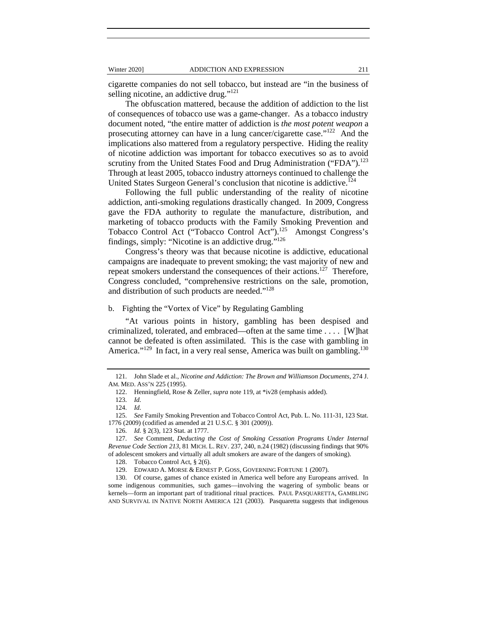cigarette companies do not sell tobacco, but instead are "in the business of selling nicotine, an addictive drug."<sup>121</sup>

The obfuscation mattered, because the addition of addiction to the list of consequences of tobacco use was a game-changer. As a tobacco industry document noted, "the entire matter of addiction is *the most potent weapon* a prosecuting attorney can have in a lung cancer/cigarette case."<sup>122</sup> And the implications also mattered from a regulatory perspective. Hiding the reality of nicotine addiction was important for tobacco executives so as to avoid scrutiny from the United States Food and Drug Administration ("FDA").<sup>123</sup> Through at least 2005, tobacco industry attorneys continued to challenge the United States Surgeon General's conclusion that nicotine is addictive.<sup>124</sup>

Following the full public understanding of the reality of nicotine addiction, anti-smoking regulations drastically changed. In 2009, Congress gave the FDA authority to regulate the manufacture, distribution, and marketing of tobacco products with the Family Smoking Prevention and Tobacco Control Act ("Tobacco Control Act").<sup>125</sup> Amongst Congress's findings, simply: "Nicotine is an addictive drug."126

Congress's theory was that because nicotine is addictive, educational campaigns are inadequate to prevent smoking; the vast majority of new and repeat smokers understand the consequences of their actions.<sup>127</sup> Therefore, Congress concluded, "comprehensive restrictions on the sale, promotion, and distribution of such products are needed."<sup>128</sup>

# b. Fighting the "Vortex of Vice" by Regulating Gambling

"At various points in history, gambling has been despised and criminalized, tolerated, and embraced—often at the same time . . . . [W]hat cannot be defeated is often assimilated. This is the case with gambling in America." $129$  In fact, in a very real sense, America was built on gambling. $130$ 

 <sup>121.</sup> John Slade et al., *Nicotine and Addiction: The Brown and Williamson Documents*, 274 J. AM. MED. ASS'N 225 (1995).

 <sup>122.</sup> Henningfield, Rose & Zeller, *supra* note 119, at \*iv28 (emphasis added).

 <sup>123.</sup> *Id.*

 <sup>124.</sup> *Id.*

 <sup>125.</sup> *See* Family Smoking Prevention and Tobacco Control Act, Pub. L. No. 111-31, 123 Stat. 1776 (2009) (codified as amended at 21 U.S.C. § 301 (2009)).

 <sup>126.</sup> *Id.* § 2(3), 123 Stat. at 1777.

 <sup>127.</sup> *See* Comment, *Deducting the Cost of Smoking Cessation Programs Under Internal Revenue Code Section 213*, 81 MICH. L. REV. 237, 240, n.24 (1982) (discussing findings that 90% of adolescent smokers and virtually all adult smokers are aware of the dangers of smoking).

 <sup>128.</sup> Tobacco Control Act, § 2(6).

 <sup>129.</sup> EDWARD A. MORSE & ERNEST P. GOSS, GOVERNING FORTUNE 1 (2007).

 <sup>130.</sup> Of course, games of chance existed in America well before any Europeans arrived. In some indigenous communities, such games—involving the wagering of symbolic beans or kernels—form an important part of traditional ritual practices. PAUL PASQUARETTA, GAMBLING AND SURVIVAL IN NATIVE NORTH AMERICA 121 (2003). Pasquaretta suggests that indigenous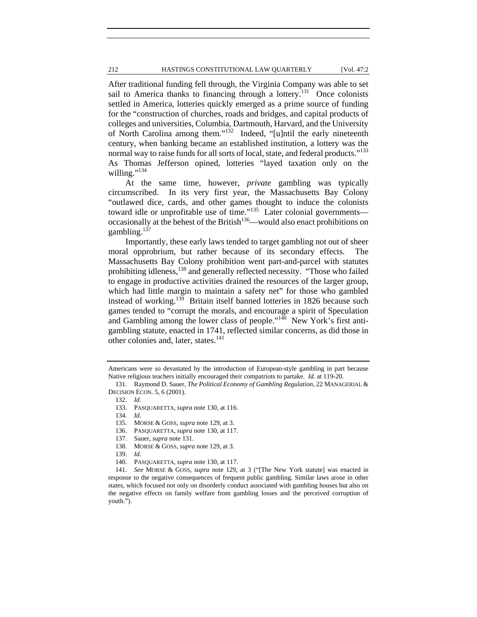# 212 HASTINGS CONSTITUTIONAL LAW QUARTERLY [Vol. 47:2

After traditional funding fell through, the Virginia Company was able to set sail to America thanks to financing through a lottery.<sup>131</sup> Once colonists settled in America, lotteries quickly emerged as a prime source of funding for the "construction of churches, roads and bridges, and capital products of colleges and universities, Columbia, Dartmouth, Harvard, and the University of North Carolina among them."132 Indeed, "[u]ntil the early nineteenth century, when banking became an established institution, a lottery was the normal way to raise funds for all sorts of local, state, and federal products."<sup>133</sup> As Thomas Jefferson opined, lotteries "layed taxation only on the willing." $134$ 

At the same time, however, *private* gambling was typically circumscribed. In its very first year, the Massachusetts Bay Colony "outlawed dice, cards, and other games thought to induce the colonists toward idle or unprofitable use of time."<sup>135</sup> Later colonial governments occasionally at the behest of the British<sup>136</sup>—would also enact prohibitions on gambling. $137$ 

Importantly, these early laws tended to target gambling not out of sheer moral opprobrium, but rather because of its secondary effects. The Massachusetts Bay Colony prohibition went part-and-parcel with statutes prohibiting idleness,<sup>138</sup> and generally reflected necessity. "Those who failed to engage in productive activities drained the resources of the larger group, which had little margin to maintain a safety net" for those who gambled instead of working.<sup>139</sup> Britain itself banned lotteries in 1826 because such games tended to "corrupt the morals, and encourage a spirit of Speculation and Gambling among the lower class of people."<sup>140</sup> New York's first antigambling statute, enacted in 1741, reflected similar concerns, as did those in other colonies and, later, states.<sup>141</sup>

134. *Id.*

Americans were so devastated by the introduction of European-style gambling in part because Native religious teachers initially encouraged their compatriots to partake. *Id.* at 119-20.

 <sup>131.</sup> Raymond D. Sauer, *The Political Economy of Gambling Regulation*, 22 MANAGERIAL & DECISION ECON. 5, 6 (2001).

 <sup>132.</sup> *Id.*

 <sup>133.</sup> PASQUARETTA, *supra* note 130, at 116.

 <sup>135.</sup> MORSE & GOSS, *supra* note 129, at 3.

 <sup>136.</sup> PASQUARETTA, *supra* note 130, at 117.

 <sup>137.</sup> Sauer, *supra* note 131.

 <sup>138.</sup> MORSE & GOSS, *supra* note 129, at 3.

 <sup>139.</sup> *Id.*

 <sup>140.</sup> PASQUARETTA, *supra* note 130, at 117.

 <sup>141.</sup> *See* MORSE & GOSS, *supra* note 129, at 3 ("[The New York statute] was enacted in response to the negative consequences of frequent public gambling. Similar laws arose in other states, which focused not only on disorderly conduct associated with gambling houses but also on the negative effects on family welfare from gambling losses and the perceived corruption of youth.").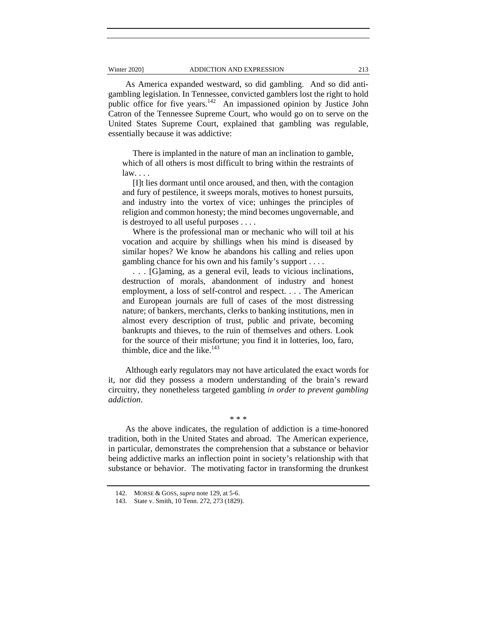As America expanded westward, so did gambling. And so did antigambling legislation. In Tennessee, convicted gamblers lost the right to hold public office for five years.<sup>142</sup> An impassioned opinion by Justice John Catron of the Tennessee Supreme Court, who would go on to serve on the United States Supreme Court, explained that gambling was regulable, essentially because it was addictive:

There is implanted in the nature of man an inclination to gamble, which of all others is most difficult to bring within the restraints of  $law. \ldots$ 

[I]t lies dormant until once aroused, and then, with the contagion and fury of pestilence, it sweeps morals, motives to honest pursuits, and industry into the vortex of vice; unhinges the principles of religion and common honesty; the mind becomes ungovernable, and is destroyed to all useful purposes . . . .

Where is the professional man or mechanic who will toil at his vocation and acquire by shillings when his mind is diseased by similar hopes? We know he abandons his calling and relies upon gambling chance for his own and his family's support . . . .

. . . [G]aming, as a general evil, leads to vicious inclinations, destruction of morals, abandonment of industry and honest employment, a loss of self-control and respect. . . . The American and European journals are full of cases of the most distressing nature; of bankers, merchants, clerks to banking institutions, men in almost every description of trust, public and private, becoming bankrupts and thieves, to the ruin of themselves and others. Look for the source of their misfortune; you find it in lotteries, loo, faro, thimble, dice and the like. $143$ 

Although early regulators may not have articulated the exact words for it, nor did they possess a modern understanding of the brain's reward circuitry, they nonetheless targeted gambling *in order to prevent gambling addiction*.

# \* \* \*

As the above indicates, the regulation of addiction is a time-honored tradition, both in the United States and abroad. The American experience, in particular, demonstrates the comprehension that a substance or behavior being addictive marks an inflection point in society's relationship with that substance or behavior. The motivating factor in transforming the drunkest

 <sup>142.</sup> MORSE & GOSS, *supra* note 129, at 5-6.

 <sup>143.</sup> State v. Smith, 10 Tenn. 272, 273 (1829).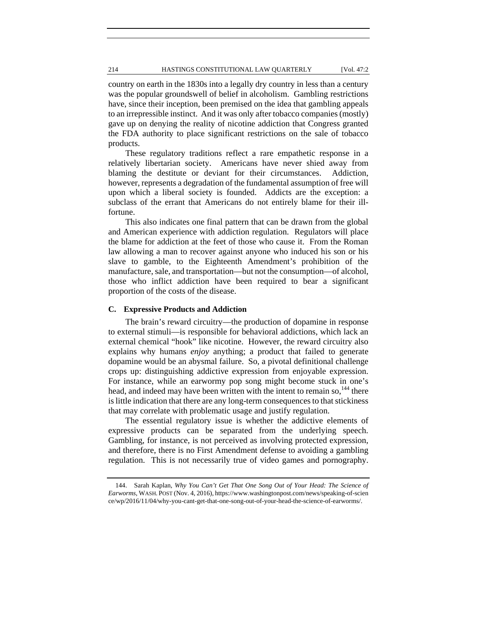#### 214 HASTINGS CONSTITUTIONAL LAW QUARTERLY [Vol. 47:2

country on earth in the 1830s into a legally dry country in less than a century was the popular groundswell of belief in alcoholism. Gambling restrictions have, since their inception, been premised on the idea that gambling appeals to an irrepressible instinct. And it was only after tobacco companies (mostly) gave up on denying the reality of nicotine addiction that Congress granted the FDA authority to place significant restrictions on the sale of tobacco products.

These regulatory traditions reflect a rare empathetic response in a relatively libertarian society. Americans have never shied away from blaming the destitute or deviant for their circumstances. Addiction, however, represents a degradation of the fundamental assumption of free will upon which a liberal society is founded. Addicts are the exception: a subclass of the errant that Americans do not entirely blame for their illfortune.

This also indicates one final pattern that can be drawn from the global and American experience with addiction regulation. Regulators will place the blame for addiction at the feet of those who cause it. From the Roman law allowing a man to recover against anyone who induced his son or his slave to gamble, to the Eighteenth Amendment's prohibition of the manufacture, sale, and transportation—but not the consumption—of alcohol, those who inflict addiction have been required to bear a significant proportion of the costs of the disease.

# **C. Expressive Products and Addiction**

The brain's reward circuitry—the production of dopamine in response to external stimuli—is responsible for behavioral addictions, which lack an external chemical "hook" like nicotine. However, the reward circuitry also explains why humans *enjoy* anything; a product that failed to generate dopamine would be an abysmal failure. So, a pivotal definitional challenge crops up: distinguishing addictive expression from enjoyable expression. For instance, while an earwormy pop song might become stuck in one's head, and indeed may have been written with the intent to remain so,  $144$  there is little indication that there are any long-term consequences to that stickiness that may correlate with problematic usage and justify regulation.

The essential regulatory issue is whether the addictive elements of expressive products can be separated from the underlying speech. Gambling, for instance, is not perceived as involving protected expression, and therefore, there is no First Amendment defense to avoiding a gambling regulation. This is not necessarily true of video games and pornography.

 <sup>144.</sup> Sarah Kaplan, *Why You Can't Get That One Song Out of Your Head: The Science of Earworms*, WASH. POST (Nov. 4, 2016), https://www.washingtonpost.com/news/speaking-of-scien ce/wp/2016/11/04/why-you-cant-get-that-one-song-out-of-your-head-the-science-of-earworms/.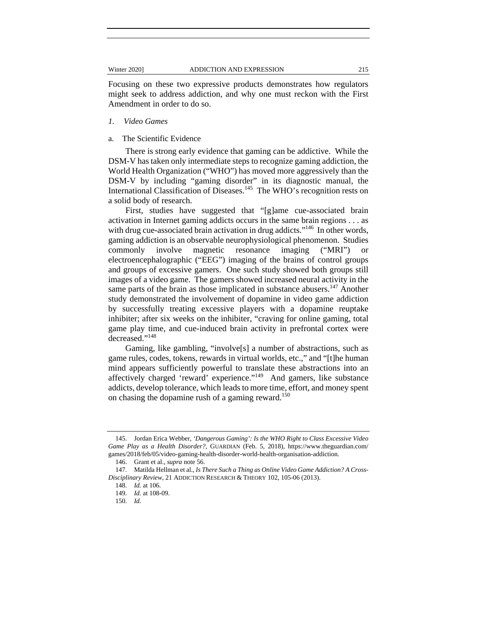Focusing on these two expressive products demonstrates how regulators might seek to address addiction, and why one must reckon with the First Amendment in order to do so.

- *1. Video Games*
- a. The Scientific Evidence

There is strong early evidence that gaming can be addictive. While the DSM-V has taken only intermediate steps to recognize gaming addiction, the World Health Organization ("WHO") has moved more aggressively than the DSM-V by including "gaming disorder" in its diagnostic manual, the International Classification of Diseases.<sup>145</sup> The WHO's recognition rests on a solid body of research.

First, studies have suggested that "[g]ame cue-associated brain activation in Internet gaming addicts occurs in the same brain regions . . . as with drug cue-associated brain activation in drug addicts."<sup>146</sup> In other words, gaming addiction is an observable neurophysiological phenomenon. Studies commonly involve magnetic resonance imaging ("MRI") or electroencephalographic ("EEG") imaging of the brains of control groups and groups of excessive gamers. One such study showed both groups still images of a video game. The gamers showed increased neural activity in the same parts of the brain as those implicated in substance abusers.<sup>147</sup> Another study demonstrated the involvement of dopamine in video game addiction by successfully treating excessive players with a dopamine reuptake inhibiter; after six weeks on the inhibiter, "craving for online gaming, total game play time, and cue-induced brain activity in prefrontal cortex were decreased."<sup>148</sup>

Gaming, like gambling, "involve[s] a number of abstractions, such as game rules, codes, tokens, rewards in virtual worlds, etc.," and "[t]he human mind appears sufficiently powerful to translate these abstractions into an affectively charged 'reward' experience."149 And gamers, like substance addicts, develop tolerance, which leads to more time, effort, and money spent on chasing the dopamine rush of a gaming reward.<sup>150</sup>

 <sup>145.</sup> Jordan Erica Webber, *'Dangerous Gaming': Is the WHO Right to Class Excessive Video Game Play as a Health Disorder?*, GUARDIAN (Feb. 5, 2018), https://www.theguardian.com/ games/2018/feb/05/video-gaming-health-disorder-world-health-organisation-addiction.

 <sup>146.</sup> Grant et al., *supra* note 56.

 <sup>147.</sup> Matilda Hellman et al., *Is There Such a Thing as Online Video Game Addiction? A Cross-Disciplinary Review*, 21 ADDICTION RESEARCH & THEORY 102, 105-06 (2013).

 <sup>148.</sup> *Id.* at 106.

 <sup>149.</sup> *Id.* at 108-09.

 <sup>150.</sup> *Id.*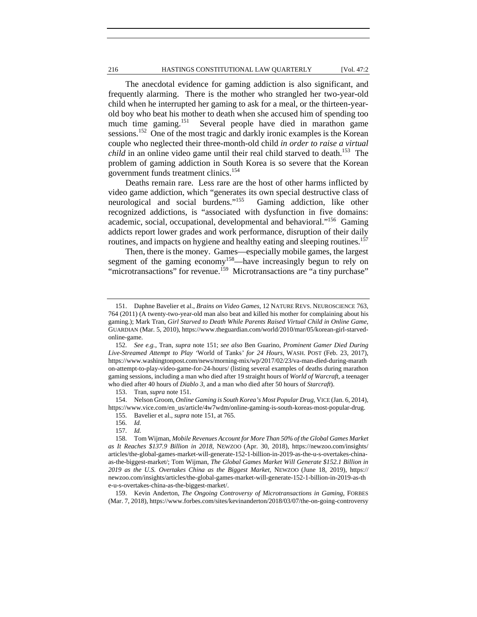# 216 HASTINGS CONSTITUTIONAL LAW QUARTERLY [Vol. 47:2

The anecdotal evidence for gaming addiction is also significant, and frequently alarming. There is the mother who strangled her two-year-old child when he interrupted her gaming to ask for a meal, or the thirteen-yearold boy who beat his mother to death when she accused him of spending too much time gaming.151 Several people have died in marathon game sessions.<sup>152</sup> One of the most tragic and darkly ironic examples is the Korean couple who neglected their three-month-old child *in order to raise a virtual child* in an online video game until their real child starved to death.<sup>153</sup> The problem of gaming addiction in South Korea is so severe that the Korean government funds treatment clinics.<sup>154</sup>

Deaths remain rare. Less rare are the host of other harms inflicted by video game addiction, which "generates its own special destructive class of neurological and social burdens."155 Gaming addiction, like other recognized addictions, is "associated with dysfunction in five domains: academic, social, occupational, developmental and behavioral."156 Gaming addicts report lower grades and work performance, disruption of their daily routines, and impacts on hygiene and healthy eating and sleeping routines.<sup>157</sup>

Then, there is the money. Games—especially mobile games, the largest segment of the gaming economy<sup>158</sup>—have increasingly begun to rely on "microtransactions" for revenue.<sup>159</sup> Microtransactions are "a tiny purchase"

 159. Kevin Anderton, *The Ongoing Controversy of Microtransactions in Gaming*, FORBES (Mar. 7, 2018), https://www.forbes.com/sites/kevinanderton/2018/03/07/the-on-going-controversy

 <sup>151.</sup> Daphne Bavelier et al., *Brains on Video Games*, 12 NATURE REVS. NEUROSCIENCE 763, 764 (2011) (A twenty-two-year-old man also beat and killed his mother for complaining about his gaming.); Mark Tran, *Girl Starved to Death While Parents Raised Virtual Child in Online Game*, GUARDIAN (Mar. 5, 2010), https://www.theguardian.com/world/2010/mar/05/korean-girl-starvedonline-game.

 <sup>152.</sup> *See e.g.*, Tran, *supra* note 151; *see also* Ben Guarino, *Prominent Gamer Died During Live-Streamed Attempt to Play '*World of Tanks*' for 24 Hours*, WASH. POST (Feb. 23, 2017), https://www.washingtonpost.com/news/morning-mix/wp/2017/02/23/va-man-died-during-marath on-attempt-to-play-video-game-for-24-hours/ (listing several examples of deaths during marathon gaming sessions, including a man who died after 19 straight hours of *World of Warcraft*, a teenager who died after 40 hours of *Diablo 3*, and a man who died after 50 hours of *Starcraft*).

 <sup>153.</sup> Tran, *supra* note 151.

 <sup>154.</sup> Nelson Groom, *Online Gaming is South Korea's Most Popular Drug*, VICE (Jan. 6, 2014), https://www.vice.com/en\_us/article/4w7wdm/online-gaming-is-south-koreas-most-popular-drug.

 <sup>155.</sup> Bavelier et al., *supra* note 151, at 765.

 <sup>156.</sup> *Id.*

 <sup>157.</sup> *Id.*

 <sup>158.</sup> Tom Wijman, *Mobile Revenues Account for More Than 50% of the Global Games Market as It Reaches \$137.9 Billion in 2018*, NEWZOO (Apr. 30, 2018), https://newzoo.com/insights/ articles/the-global-games-market-will-generate-152-1-billion-in-2019-as-the-u-s-overtakes-chinaas-the-biggest-market/; Tom Wijman, *The Global Games Market Will Generate \$152.1 Billion in 2019 as the U.S. Overtakes China as the Biggest Market*, NEWZOO (June 18, 2019), https:// newzoo.com/insights/articles/the-global-games-market-will-generate-152-1-billion-in-2019-as-th e-u-s-overtakes-china-as-the-biggest-market/.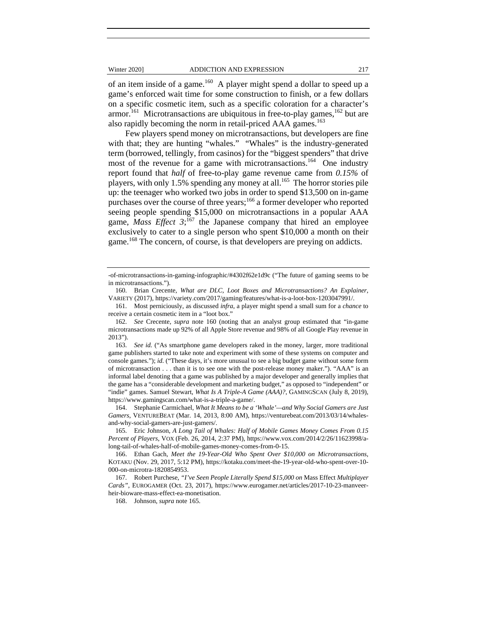of an item inside of a game.<sup>160</sup> A player might spend a dollar to speed up a game's enforced wait time for some construction to finish, or a few dollars on a specific cosmetic item, such as a specific coloration for a character's armor.<sup>161</sup> Microtransactions are ubiquitous in free-to-play games,  $162$  but are also rapidly becoming the norm in retail-priced AAA games.<sup>163</sup>

Few players spend money on microtransactions, but developers are fine with that; they are hunting "whales." "Whales" is the industry-generated term (borrowed, tellingly, from casinos) for the "biggest spenders" that drive most of the revenue for a game with microtransactions.<sup>164</sup> One industry report found that *half* of free-to-play game revenue came from *0.15%* of players, with only 1.5% spending any money at all.<sup>165</sup> The horror stories pile up: the teenager who worked two jobs in order to spend \$13,500 on in-game purchases over the course of three years;<sup>166</sup> a former developer who reported seeing people spending \$15,000 on microtransactions in a popular AAA game, *Mass Effect*  $3$ ;<sup>167</sup> the Japanese company that hired an employee exclusively to cater to a single person who spent \$10,000 a month on their game.<sup>168</sup> The concern, of course, is that developers are preying on addicts.

<sup>-</sup>of-microtransactions-in-gaming-infographic/#4302f62e1d9c ("The future of gaming seems to be in microtransactions.").

 <sup>160.</sup> Brian Crecente, *What are DLC, Loot Boxes and Microtransactions? An Explainer*, VARIETY (2017), https://variety.com/2017/gaming/features/what-is-a-loot-box-1203047991/.

 <sup>161.</sup> Most perniciously, as discussed *infra*, a player might spend a small sum for a *chance* to receive a certain cosmetic item in a "loot box."

 <sup>162.</sup> *See* Crecente, *supra* note 160 (noting that an analyst group estimated that "in-game microtransactions made up 92% of all Apple Store revenue and 98% of all Google Play revenue in 2013").

 <sup>163.</sup> *See id.* ("As smartphone game developers raked in the money, larger, more traditional game publishers started to take note and experiment with some of these systems on computer and console games."); *id.* ("These days, it's more unusual to see a big budget game without some form of microtransaction . . . than it is to see one with the post-release money maker."). "AAA" is an informal label denoting that a game was published by a major developer and generally implies that the game has a "considerable development and marketing budget," as opposed to "independent" or "indie" games. Samuel Stewart, *What Is A Triple-A Game (AAA)?*, GAMINGSCAN (July 8, 2019), https://www.gamingscan.com/what-is-a-triple-a-game/.

 <sup>164.</sup> Stephanie Carmichael, *What It Means to be a 'Whale'—and Why Social Gamers are Just Gamers*, VENTUREBEAT (Mar. 14, 2013, 8:00 AM), https://venturebeat.com/2013/03/14/whalesand-why-social-gamers-are-just-gamers/.

 <sup>165.</sup> Eric Johnson, *A Long Tail of Whales: Half of Mobile Games Money Comes From 0.15 Percent of Players*, VOX (Feb. 26, 2014, 2:37 PM), https://www.vox.com/2014/2/26/11623998/along-tail-of-whales-half-of-mobile-games-money-comes-from-0-15.

 <sup>166.</sup> Ethan Gach, *Meet the 19-Year-Old Who Spent Over \$10,000 on Microtransactions*, KOTAKU (Nov. 29, 2017, 5:12 PM), https://kotaku.com/meet-the-19-year-old-who-spent-over-10- 000-on-microtra-1820854953.

 <sup>167.</sup> Robert Purchese, *"I've Seen People Literally Spend \$15,000 on* Mass Effect *Multiplayer Cards"*, EUROGAMER (Oct. 23, 2017), https://www.eurogamer.net/articles/2017-10-23-manveerheir-bioware-mass-effect-ea-monetisation.

 <sup>168.</sup> Johnson, *supra* note 165.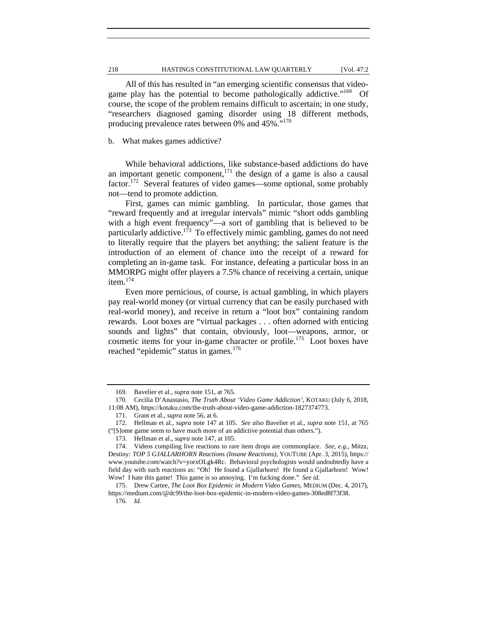All of this has resulted in "an emerging scientific consensus that videogame play has the potential to become pathologically addictive."<sup>169</sup> Of course, the scope of the problem remains difficult to ascertain; in one study, "researchers diagnosed gaming disorder using 18 different methods, producing prevalence rates between 0% and 45%."<sup>170</sup>

b. What makes games addictive?

While behavioral addictions, like substance-based addictions do have an important genetic component,<sup>171</sup> the design of a game is also a causal factor.172 Several features of video games—some optional, some probably not—tend to promote addiction.

First, games can mimic gambling. In particular, those games that "reward frequently and at irregular intervals" mimic "short odds gambling with a high event frequency"—a sort of gambling that is believed to be particularly addictive.<sup>173</sup> To effectively mimic gambling, games do not need to literally require that the players bet anything; the salient feature is the introduction of an element of chance into the receipt of a reward for completing an in-game task. For instance, defeating a particular boss in an MMORPG might offer players a 7.5% chance of receiving a certain, unique item.<sup>174</sup>

Even more pernicious, of course, is actual gambling, in which players pay real-world money (or virtual currency that can be easily purchased with real-world money), and receive in return a "loot box" containing random rewards. Loot boxes are "virtual packages . . . often adorned with enticing sounds and lights" that contain, obviously, loot—weapons, armor, or cosmetic items for your in-game character or profile.<sup>175</sup> Loot boxes have reached "epidemic" status in games.<sup>176</sup>

176. *Id.*

 <sup>169.</sup> Bavelier et al., *supra* note 151, at 765.

 <sup>170.</sup> Cecilia D'Anastasio, *The Truth About 'Video Game Addiction'*, KOTAKU (July 6, 2018, 11:08 AM), https://kotaku.com/the-truth-about-video-game-addiction-1827374773.

 <sup>171.</sup> Grant et al., *supra* note 56, at 6.

 <sup>172.</sup> Hellman et al., *supra* note 147 at 105. *See also* Bavelier et al., *supra* note 151, at 765 ("[S]ome game seem to have much more of an addictive potential than others.").

 <sup>173.</sup> Hellman et al., *supra* note 147, at 105.

 <sup>174.</sup> Videos compiling live reactions to rare item drops are commonplace. *See, e.g.*, Mitzz, Destiny*: TOP 5 GJALLARHORN Reactions (Insane Reactions)*, YOUTUBE (Apr. 3, 2015), https:// www.youtube.com/watch?v=yorxOLgk4Rc. Behavioral psychologists would undoubtedly have a field day with such reactions as: "Oh! He found a Gjallarhorn! He found a Gjallarhorn! Wow! Wow! I hate this game! This game is so annoying. I'm fucking done." *See id.*

 <sup>175.</sup> Drew Cartee, *The Loot Box Epidemic in Modern Video Games*, MEDIUM (Dec. 4, 2017), https://medium.com/@dc99/the-loot-box-epidemic-in-modern-video-games-308ed8f73f38.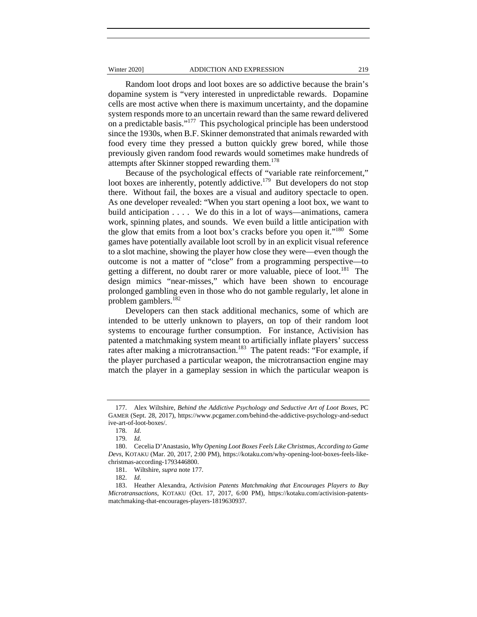#### Winter 2020] **ADDICTION AND EXPRESSION** 219

Random loot drops and loot boxes are so addictive because the brain's dopamine system is "very interested in unpredictable rewards. Dopamine cells are most active when there is maximum uncertainty, and the dopamine system responds more to an uncertain reward than the same reward delivered on a predictable basis."177 This psychological principle has been understood since the 1930s, when B.F. Skinner demonstrated that animals rewarded with food every time they pressed a button quickly grew bored, while those previously given random food rewards would sometimes make hundreds of attempts after Skinner stopped rewarding them.<sup>178</sup>

Because of the psychological effects of "variable rate reinforcement," loot boxes are inherently, potently addictive.<sup>179</sup> But developers do not stop there. Without fail, the boxes are a visual and auditory spectacle to open. As one developer revealed: "When you start opening a loot box, we want to build anticipation . . . . We do this in a lot of ways—animations, camera work, spinning plates, and sounds. We even build a little anticipation with the glow that emits from a loot box's cracks before you open it."<sup>180</sup> Some games have potentially available loot scroll by in an explicit visual reference to a slot machine, showing the player how close they were—even though the outcome is not a matter of "close" from a programming perspective—to getting a different, no doubt rarer or more valuable, piece of loot.<sup>181</sup> The design mimics "near-misses," which have been shown to encourage prolonged gambling even in those who do not gamble regularly, let alone in problem gamblers.<sup>182</sup>

Developers can then stack additional mechanics, some of which are intended to be utterly unknown to players, on top of their random loot systems to encourage further consumption. For instance, Activision has patented a matchmaking system meant to artificially inflate players' success rates after making a microtransaction.<sup>183</sup> The patent reads: "For example, if the player purchased a particular weapon, the microtransaction engine may match the player in a gameplay session in which the particular weapon is

 <sup>177.</sup> Alex Wiltshire, *Behind the Addictive Psychology and Seductive Art of Loot Boxes*, PC GAMER (Sept. 28, 2017), https://www.pcgamer.com/behind-the-addictive-psychology-and-seduct ive-art-of-loot-boxes/.

 <sup>178.</sup> *Id.*

 <sup>179.</sup> *Id.*

 <sup>180.</sup> Cecelia D'Anastasio, *Why Opening Loot Boxes Feels Like Christmas, According to Game Devs*, KOTAKU (Mar. 20, 2017, 2:00 PM), https://kotaku.com/why-opening-loot-boxes-feels-likechristmas-according-1793446800.

 <sup>181.</sup> Wiltshire, *supra* note 177.

 <sup>182.</sup> *Id.*

 <sup>183.</sup> Heather Alexandra, *Activision Patents Matchmaking that Encourages Players to Buy Microtransactions*, KOTAKU (Oct. 17, 2017, 6:00 PM), https://kotaku.com/activision-patentsmatchmaking-that-encourages-players-1819630937.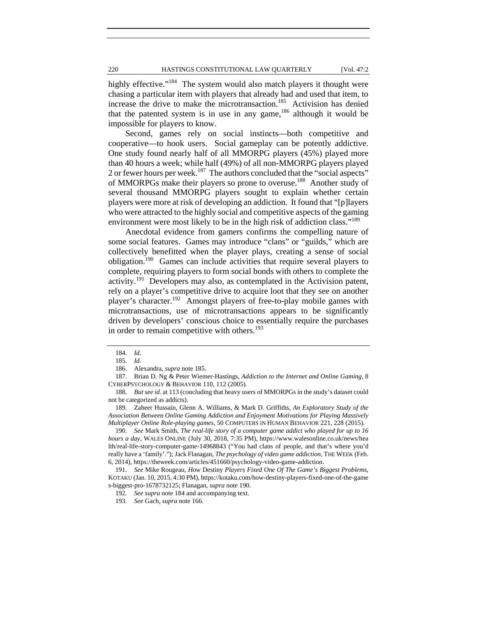highly effective."<sup>184</sup> The system would also match players it thought were chasing a particular item with players that already had and used that item, to increase the drive to make the microtransaction.<sup>185</sup> Activision has denied that the patented system is in use in any game,  $186$  although it would be impossible for players to know.

Second, games rely on social instincts—both competitive and cooperative—to hook users. Social gameplay can be potently addictive. One study found nearly half of all MMORPG players (45%) played more than 40 hours a week; while half (49%) of all non-MMORPG players played 2 or fewer hours per week.<sup>187</sup> The authors concluded that the "social aspects" of MMORPGs make their players so prone to overuse.<sup>188</sup> Another study of several thousand MMORPG players sought to explain whether certain players were more at risk of developing an addiction. It found that "[p]layers who were attracted to the highly social and competitive aspects of the gaming environment were most likely to be in the high risk of addiction class."<sup>189</sup>

Anecdotal evidence from gamers confirms the compelling nature of some social features. Games may introduce "clans" or "guilds," which are collectively benefitted when the player plays, creating a sense of social obligation.190 Games can include activities that require several players to complete, requiring players to form social bonds with others to complete the activity.<sup>191</sup> Developers may also, as contemplated in the Activision patent, rely on a player's competitive drive to acquire loot that they see on another player's character.192 Amongst players of free-to-play mobile games with microtransactions, use of microtransactions appears to be significantly driven by developers' conscious choice to essentially require the purchases in order to remain competitive with others.<sup>193</sup>

 188. *But see id.* at 113 (concluding that heavy users of MMORPGs in the study's dataset could not be categorized as addicts).

 189. Zaheer Hussain, Glenn A. Williams, & Mark D. Griffiths, *An Exploratory Study of the Association Between Online Gaming Addiction and Enjoyment Motivations for Playing Massively Multiplayer Online Role-playing games*, 50 COMPUTERS IN HUMAN BEHAVIOR 221, 228 (2015).

 190. *See* Mark Smith, *The real-life story of a computer game addict who played for up to 16 hours a day*, WALES ONLINE (July 30, 2018, 7:35 PM), https://www.walesonline.co.uk/news/hea lth/real-life-story-computer-game-14968843 ("You had clans of people, and that's where you'd really have a 'family'."); Jack Flanagan, *The psychology of video game addiction*, THE WEEK (Feb. 6, 2014), https://theweek.com/articles/451660/psychology-video-game-addiction.

 191. *See* Mike Rougeau, *How* Destiny *Players Fixed One Of The Game's Biggest Problems*, KOTAKU (Jan. 10, 2015, 4:30 PM), https://kotaku.com/how-destiny-players-fixed-one-of-the-game s-biggest-pro-1678732125; Flanagan, *supra* note 190.

192. *See supra* note 184 and accompanying text.

193. *See* Gach, *supra* note 166.

 <sup>184.</sup> *Id.*

 <sup>185.</sup> *Id.* 

 <sup>186.</sup> Alexandra, *supra* note 185.

 <sup>187.</sup> Brian D. Ng & Peter Wiemer-Hastings, *Addiction to the Internet and Online Gaming*, 8 CYBERPSYCHOLOGY & BEHAVIOR 110, 112 (2005).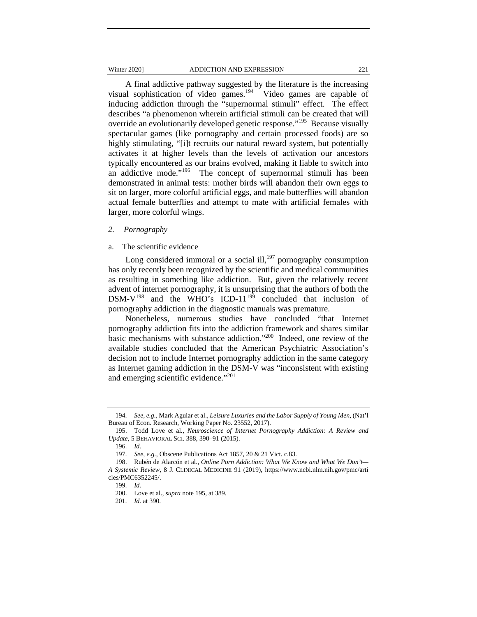#### Winter 2020] **ADDICTION AND EXPRESSION** 221

A final addictive pathway suggested by the literature is the increasing visual sophistication of video games.<sup>194</sup> Video games are capable of inducing addiction through the "supernormal stimuli" effect. The effect describes "a phenomenon wherein artificial stimuli can be created that will override an evolutionarily developed genetic response."<sup>195</sup> Because visually spectacular games (like pornography and certain processed foods) are so highly stimulating, "[i]t recruits our natural reward system, but potentially activates it at higher levels than the levels of activation our ancestors typically encountered as our brains evolved, making it liable to switch into an addictive mode."<sup>196</sup> The concept of supernormal stimuli has been demonstrated in animal tests: mother birds will abandon their own eggs to sit on larger, more colorful artificial eggs, and male butterflies will abandon actual female butterflies and attempt to mate with artificial females with larger, more colorful wings.

### *2. Pornography*

# a. The scientific evidence

Long considered immoral or a social ill,<sup>197</sup> pornography consumption has only recently been recognized by the scientific and medical communities as resulting in something like addiction. But, given the relatively recent advent of internet pornography, it is unsurprising that the authors of both the DSM- $V^{198}$  and the WHO's ICD-11<sup>199</sup> concluded that inclusion of pornography addiction in the diagnostic manuals was premature.

Nonetheless, numerous studies have concluded "that Internet pornography addiction fits into the addiction framework and shares similar basic mechanisms with substance addiction."200 Indeed, one review of the available studies concluded that the American Psychiatric Association's decision not to include Internet pornography addiction in the same category as Internet gaming addiction in the DSM-V was "inconsistent with existing and emerging scientific evidence."<sup>201</sup>

 <sup>194.</sup> *See, e.g.*, Mark Aguiar et al., *Leisure Luxuries and the Labor Supply of Young Men*, (Nat'l Bureau of Econ. Research, Working Paper No. 23552, 2017).

 <sup>195.</sup> Todd Love et al., *Neuroscience of Internet Pornography Addiction: A Review and Update*, 5 BEHAVIORAL SCI. 388, 390–91 (2015).

 <sup>196.</sup> *Id.*

 <sup>197.</sup> *See, e.g.*, Obscene Publications Act 1857, 20 & 21 Vict. c.83.

 <sup>198.</sup> Rubén de Alarcón et al., *Online Porn Addiction: What We Know and What We Don't— A Systemic Review*, 8 J. CLINICAL MEDICINE 91 (2019), https://www.ncbi.nlm.nih.gov/pmc/arti cles/PMC6352245/.

 <sup>199.</sup> *Id.*

 <sup>200.</sup> Love et al., *supra* note 195, at 389.

 <sup>201.</sup> *Id.* at 390.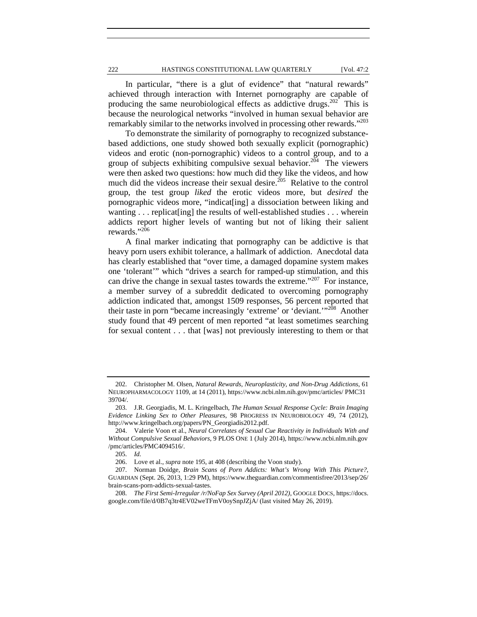222 HASTINGS CONSTITUTIONAL LAW QUARTERLY [Vol. 47:2

In particular, "there is a glut of evidence" that "natural rewards" achieved through interaction with Internet pornography are capable of producing the same neurobiological effects as addictive drugs.<sup>202</sup> This is because the neurological networks "involved in human sexual behavior are remarkably similar to the networks involved in processing other rewards."<sup>203</sup>

To demonstrate the similarity of pornography to recognized substancebased addictions, one study showed both sexually explicit (pornographic) videos and erotic (non-pornographic) videos to a control group, and to a group of subjects exhibiting compulsive sexual behavior.<sup>204</sup> The viewers were then asked two questions: how much did they like the videos, and how much did the videos increase their sexual desire.<sup>205</sup> Relative to the control group, the test group *liked* the erotic videos more, but *desired* the pornographic videos more, "indicat[ing] a dissociation between liking and wanting . . . replicat [ing] the results of well-established studies . . . wherein addicts report higher levels of wanting but not of liking their salient rewards."<sup>206</sup>

A final marker indicating that pornography can be addictive is that heavy porn users exhibit tolerance, a hallmark of addiction. Anecdotal data has clearly established that "over time, a damaged dopamine system makes one 'tolerant'" which "drives a search for ramped-up stimulation, and this can drive the change in sexual tastes towards the extreme."<sup>207</sup> For instance, a member survey of a subreddit dedicated to overcoming pornography addiction indicated that, amongst 1509 responses, 56 percent reported that their taste in porn "became increasingly 'extreme' or 'deviant.'"208 Another study found that 49 percent of men reported "at least sometimes searching for sexual content . . . that [was] not previously interesting to them or that

 <sup>202.</sup> Christopher M. Olsen, *Natural Rewards, Neuroplasticity, and Non-Drug Addictions*, 61 NEUROPHARMACOLOGY 1109, at 14 (2011), https://www.ncbi.nlm.nih.gov/pmc/articles/ PMC31 39704/.

 <sup>203.</sup> J.R. Georgiadis, M. L. Kringelbach, *The Human Sexual Response Cycle: Brain Imaging Evidence Linking Sex to Other Pleasures*, 98 PROGRESS IN NEUROBIOLOGY 49, 74 (2012), http://www.kringelbach.org/papers/PN\_Georgiadis2012.pdf.

 <sup>204.</sup> Valerie Voon et al., *Neural Correlates of Sexual Cue Reactivity in Individuals With and Without Compulsive Sexual Behaviors*, 9 PLOS ONE 1 (July 2014), https://www.ncbi.nlm.nih.gov /pmc/articles/PMC4094516/.

 <sup>205.</sup> *Id.*

 <sup>206.</sup> Love et al., *supra* note 195, at 408 (describing the Voon study).

 <sup>207.</sup> Norman Doidge, *Brain Scans of Porn Addicts: What's Wrong With This Picture?*, GUARDIAN (Sept. 26, 2013, 1:29 PM), https://www.theguardian.com/commentisfree/2013/sep/26/ brain-scans-porn-addicts-sexual-tastes.

 <sup>208.</sup> *The First Semi-Irregular /r/NoFap Sex Survey (April 2012)*, GOOGLE DOCS, https://docs. google.com/file/d/0B7q3tr4EV02weTFmV0oySnpJZjA/ (last visited May 26, 2019).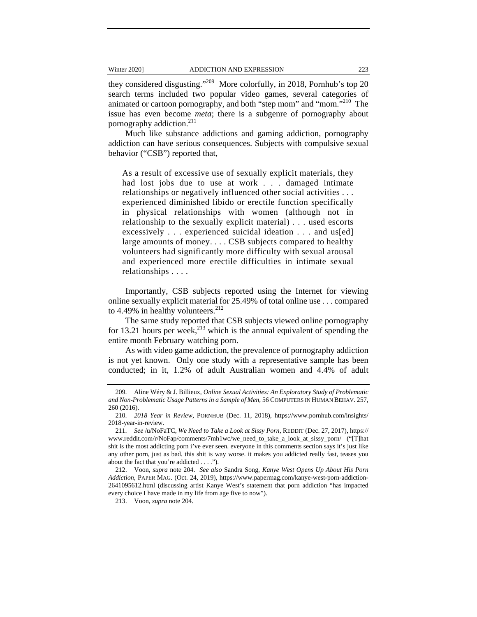they considered disgusting."209 More colorfully, in 2018, Pornhub's top 20 search terms included two popular video games, several categories of animated or cartoon pornography, and both "step mom" and "mom."<sup>210</sup> The issue has even become *meta*; there is a subgenre of pornography about pornography addiction.<sup>211</sup>

Much like substance addictions and gaming addiction, pornography addiction can have serious consequences. Subjects with compulsive sexual behavior ("CSB") reported that,

As a result of excessive use of sexually explicit materials, they had lost jobs due to use at work . . . damaged intimate relationships or negatively influenced other social activities . . . experienced diminished libido or erectile function specifically in physical relationships with women (although not in relationship to the sexually explicit material) . . . used escorts excessively . . . experienced suicidal ideation . . . and us[ed] large amounts of money.... CSB subjects compared to healthy volunteers had significantly more difficulty with sexual arousal and experienced more erectile difficulties in intimate sexual relationships . . . .

Importantly, CSB subjects reported using the Internet for viewing online sexually explicit material for 25.49% of total online use . . . compared to 4.49% in healthy volunteers. $212$ 

The same study reported that CSB subjects viewed online pornography for 13.21 hours per week,<sup>213</sup> which is the annual equivalent of spending the entire month February watching porn.

As with video game addiction, the prevalence of pornography addiction is not yet known. Only one study with a representative sample has been conducted; in it, 1.2% of adult Australian women and 4.4% of adult

213. Voon, *supra* note 204.

 <sup>209.</sup> Aline Wéry & J. Billieux, *Online Sexual Activities: An Exploratory Study of Problematic and Non-Problematic Usage Patterns in a Sample of Men*, 56 COMPUTERS IN HUMAN BEHAV. 257, 260 (2016).

 <sup>210.</sup> *2018 Year in Review*, PORNHUB (Dec. 11, 2018), https://www.pornhub.com/insights/ 2018-year-in-review.

 <sup>211.</sup> *See* /u/NoFaTC, *We Need to Take a Look at Sissy Porn*, REDDIT (Dec. 27, 2017), https:// www.reddit.com/r/NoFap/comments/7mh1wc/we\_need\_to\_take\_a\_look\_at\_sissy\_porn/ ("[T]hat shit is the most addicting porn i've ever seen. everyone in this comments section says it's just like any other porn, just as bad. this shit is way worse. it makes you addicted really fast, teases you about the fact that you're addicted . . . .").

 <sup>212.</sup> Voon, *supra* note 204. *See also* Sandra Song, *Kanye West Opens Up About His Porn Addiction*, PAPER MAG. (Oct. 24, 2019), https://www.papermag.com/kanye-west-porn-addiction-2641095612.html (discussing artist Kanye West's statement that porn addiction "has impacted every choice I have made in my life from age five to now").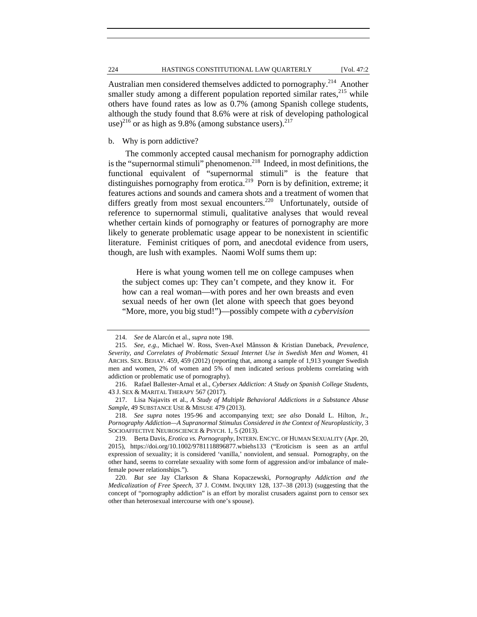Australian men considered themselves addicted to pornography.<sup>214</sup> Another smaller study among a different population reported similar rates,  $215$  while others have found rates as low as 0.7% (among Spanish college students, although the study found that 8.6% were at risk of developing pathological use)<sup>216</sup> or as high as 9.8% (among substance users).<sup>217</sup>

# b. Why is porn addictive?

The commonly accepted causal mechanism for pornography addiction is the "supernormal stimuli" phenomenon.<sup>218</sup> Indeed, in most definitions, the functional equivalent of "supernormal stimuli" is the feature that distinguishes pornography from erotica.<sup>219</sup> Porn is by definition, extreme; it features actions and sounds and camera shots and a treatment of women that differs greatly from most sexual encounters.<sup>220</sup> Unfortunately, outside of reference to supernormal stimuli, qualitative analyses that would reveal whether certain kinds of pornography or features of pornography are more likely to generate problematic usage appear to be nonexistent in scientific literature. Feminist critiques of porn, and anecdotal evidence from users, though, are lush with examples. Naomi Wolf sums them up:

Here is what young women tell me on college campuses when the subject comes up: They can't compete, and they know it. For how can a real woman—with pores and her own breasts and even sexual needs of her own (let alone with speech that goes beyond "More, more, you big stud!")—possibly compete with *a cybervision* 

 <sup>214.</sup> *See* de Alarcón et al., *supra* note 198.

 <sup>215.</sup> *See, e.g.*, Michael W. Ross, Sven-Axel Månsson & Kristian Daneback, *Prevalence, Severity, and Correlates of Problematic Sexual Internet Use in Swedish Men and Women*, 41 ARCHS. SEX. BEHAV. 459, 459 (2012) (reporting that, among a sample of 1,913 younger Swedish men and women, 2% of women and 5% of men indicated serious problems correlating with addiction or problematic use of pornography).

 <sup>216.</sup> Rafael Ballester-Arnal et al., *Cybersex Addiction: A Study on Spanish College Students*, 43 J. SEX & MARITAL THERAPY 567 (2017).

 <sup>217.</sup> Lisa Najavits et al., *A Study of Multiple Behavioral Addictions in a Substance Abuse Sample*, 49 SUBSTANCE USE & MISUSE 479 (2013).

 <sup>218.</sup> *See supra* notes 195-96 and accompanying text; *see also* Donald L. Hilton, Jr., *Pornography Addiction—A Supranormal Stimulus Considered in the Context of Neuroplasticity*, 3 SOCIOAFFECTIVE NEUROSCIENCE & PSYCH. 1, 5 (2013).

 <sup>219.</sup> Berta Davis, *Erotica vs. Pornography*, INTERN. ENCYC. OF HUMAN SEXUALITY (Apr. 20, 2015), https://doi.org/10.1002/9781118896877.wbiehs133 ("Eroticism is seen as an artful expression of sexuality; it is considered 'vanilla,' nonviolent, and sensual. Pornography, on the other hand, seems to correlate sexuality with some form of aggression and/or imbalance of malefemale power relationships.").

 <sup>220.</sup> *But see* Jay Clarkson & Shana Kopaczewski, *Pornography Addiction and the Medicalization of Free Speech*, 37 J. COMM. INQUIRY 128, 137–38 (2013) (suggesting that the concept of "pornography addiction" is an effort by moralist crusaders against porn to censor sex other than heterosexual intercourse with one's spouse).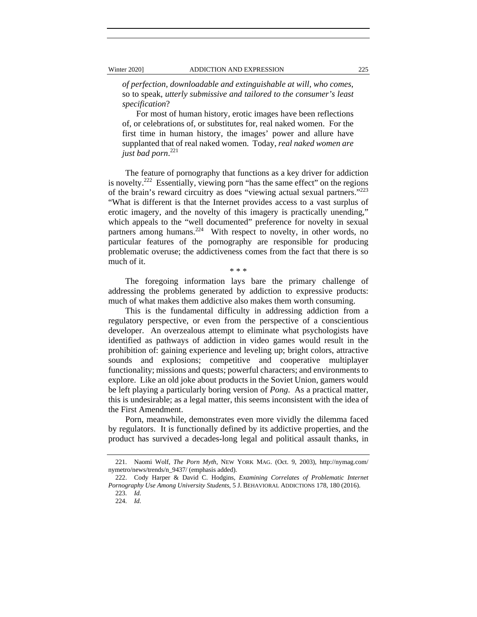*of perfection, downloadable and extinguishable at will, who comes*, so to speak, *utterly submissive and tailored to the consumer's least specification*?

For most of human history, erotic images have been reflections of, or celebrations of, or substitutes for, real naked women. For the first time in human history, the images' power and allure have supplanted that of real naked women. Today, *real naked women are just bad porn*. 221

The feature of pornography that functions as a key driver for addiction is novelty.<sup>222</sup> Essentially, viewing porn "has the same effect" on the regions of the brain's reward circuitry as does "viewing actual sexual partners."223 "What is different is that the Internet provides access to a vast surplus of erotic imagery, and the novelty of this imagery is practically unending," which appeals to the "well documented" preference for novelty in sexual partners among humans.<sup>224</sup> With respect to novelty, in other words, no particular features of the pornography are responsible for producing problematic overuse; the addictiveness comes from the fact that there is so much of it.

\* \* \*

The foregoing information lays bare the primary challenge of addressing the problems generated by addiction to expressive products: much of what makes them addictive also makes them worth consuming.

This is the fundamental difficulty in addressing addiction from a regulatory perspective, or even from the perspective of a conscientious developer. An overzealous attempt to eliminate what psychologists have identified as pathways of addiction in video games would result in the prohibition of: gaining experience and leveling up; bright colors, attractive sounds and explosions; competitive and cooperative multiplayer functionality; missions and quests; powerful characters; and environments to explore. Like an old joke about products in the Soviet Union, gamers would be left playing a particularly boring version of *Pong*. As a practical matter, this is undesirable; as a legal matter, this seems inconsistent with the idea of the First Amendment.

Porn, meanwhile, demonstrates even more vividly the dilemma faced by regulators. It is functionally defined by its addictive properties, and the product has survived a decades-long legal and political assault thanks, in

 <sup>221.</sup> Naomi Wolf, *The Porn Myth*, NEW YORK MAG. (Oct. 9, 2003), http://nymag.com/ nymetro/news/trends/n\_9437/ (emphasis added).

 <sup>222.</sup> Cody Harper & David C. Hodgins, *Examining Correlates of Problematic Internet Pornography Use Among University Students*, 5 J. BEHAVIORAL ADDICTIONS 178, 180 (2016).

 <sup>223.</sup> *Id.*

 <sup>224.</sup> *Id.*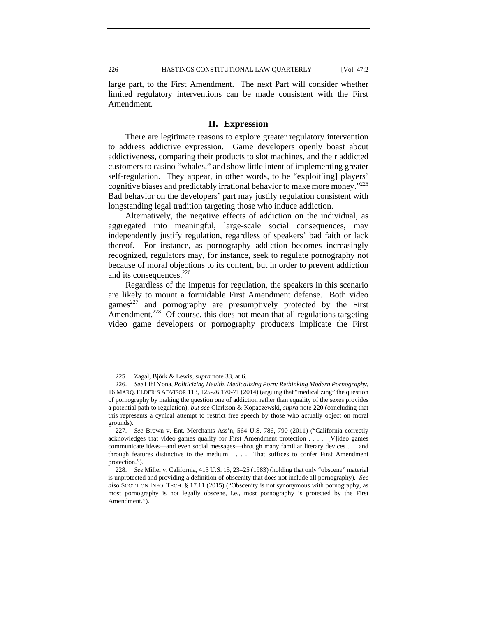large part, to the First Amendment. The next Part will consider whether limited regulatory interventions can be made consistent with the First Amendment.

# **II. Expression**

There are legitimate reasons to explore greater regulatory intervention to address addictive expression. Game developers openly boast about addictiveness, comparing their products to slot machines, and their addicted customers to casino "whales," and show little intent of implementing greater self-regulation. They appear, in other words, to be "exploit[ing] players' cognitive biases and predictably irrational behavior to make more money."225 Bad behavior on the developers' part may justify regulation consistent with longstanding legal tradition targeting those who induce addiction.

Alternatively, the negative effects of addiction on the individual, as aggregated into meaningful, large-scale social consequences, may independently justify regulation, regardless of speakers' bad faith or lack thereof. For instance, as pornography addiction becomes increasingly recognized, regulators may, for instance, seek to regulate pornography not because of moral objections to its content, but in order to prevent addiction and its consequences.<sup>226</sup>

Regardless of the impetus for regulation, the speakers in this scenario are likely to mount a formidable First Amendment defense. Both video games<sup>227</sup> and pornography are presumptively protected by the First Amendment.<sup>228</sup> Of course, this does not mean that all regulations targeting video game developers or pornography producers implicate the First

 <sup>225.</sup> Zagal, Björk & Lewis, *supra* note 33, at 6.

 <sup>226.</sup> *See* Lihi Yona, *Politicizing Health, Medicalizing Porn: Rethinking Modern Pornography*, 16 MARQ. ELDER'S ADVISOR 113, 125-26 170-71 (2014) (arguing that "medicalizing" the question of pornography by making the question one of addiction rather than equality of the sexes provides a potential path to regulation); *but see* Clarkson & Kopaczewski, *supra* note 220 (concluding that this represents a cynical attempt to restrict free speech by those who actually object on moral grounds).

 <sup>227.</sup> *See* Brown v. Ent. Merchants Ass'n, 564 U.S. 786, 790 (2011) ("California correctly acknowledges that video games qualify for First Amendment protection . . . . [V]ideo games communicate ideas—and even social messages—through many familiar literary devices . . . and through features distinctive to the medium . . . . That suffices to confer First Amendment protection.").

 <sup>228.</sup> *See* Miller v. California, 413 U.S. 15, 23–25 (1983) (holding that only "obscene" material is unprotected and providing a definition of obscenity that does not include all pornography). *See also* SCOTT ON INFO. TECH. § 17.11 (2015) ("Obscenity is not synonymous with pornography, as most pornography is not legally obscene, i.e., most pornography is protected by the First Amendment.").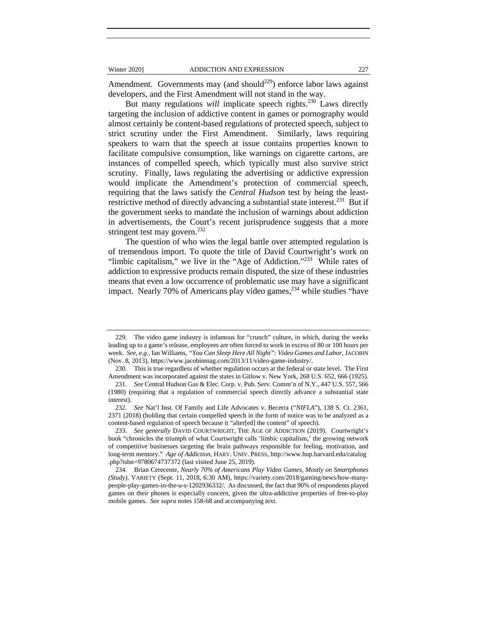Amendment. Governments may (and should<sup>229</sup>) enforce labor laws against developers, and the First Amendment will not stand in the way.

But many regulations *will* implicate speech rights.<sup>230</sup> Laws directly targeting the inclusion of addictive content in games or pornography would almost certainly be content-based regulations of protected speech, subject to strict scrutiny under the First Amendment. Similarly, laws requiring speakers to warn that the speech at issue contains properties known to facilitate compulsive consumption, like warnings on cigarette cartons, are instances of compelled speech, which typically must also survive strict scrutiny. Finally, laws regulating the advertising or addictive expression would implicate the Amendment's protection of commercial speech, requiring that the laws satisfy the *Central Hudson* test by being the leastrestrictive method of directly advancing a substantial state interest.<sup>231</sup> But if the government seeks to mandate the inclusion of warnings about addiction in advertisements, the Court's recent jurisprudence suggests that a more stringent test may govern.<sup>232</sup>

The question of who wins the legal battle over attempted regulation is of tremendous import. To quote the title of David Courtwright's work on "limbic capitalism," we live in the "Age of Addiction."<sup>233</sup> While rates of addiction to expressive products remain disputed, the size of these industries means that even a low occurrence of problematic use may have a significant impact. Nearly 70% of Americans play video games,  $234$  while studies "have

 <sup>229.</sup> The video game industry is infamous for "crunch" culture, in which, during the weeks leading up to a game's release, employees are often forced to work in excess of 80 or 100 hours per week. *See, e.g.*, Ian Williams, *"You Can Sleep Here All Night": Video Games and Labor*, JACOBIN (Nov. 8, 2013), https://www.jacobinmag.com/2013/11/video-game-industry/.

 <sup>230.</sup> This is true regardless of whether regulation occurs at the federal or state level. The First Amendment was incorporated against the states in Gitlow v. New York, 268 U.S. 652, 666 (1925).

 <sup>231.</sup> *See* Central Hudson Gas & Elec. Corp. v. Pub. Serv. Comm'n of N.Y., 447 U.S. 557, 566 (1980) (requiring that a regulation of commercial speech directly advance a substantial state interest).

 <sup>232.</sup> *See* Nat'l Inst. Of Family and Life Advocates v. Becerra ("*NIFLA*"), 138 S. Ct. 2361, 2371 (2018) (holding that certain compelled speech in the form of notice was to be analyzed as a content-based regulation of speech because it "alter[ed] the content" of speech).

 <sup>233.</sup> *See generally* DAVID COURTWRIGHT, THE AGE OF ADDICTION (2019). Courtwright's book "chronicles the triumph of what Courtwright calls 'limbic capitalism,' the growing network of competitive businesses targeting the brain pathways responsible for feeling, motivation, and long-term memory." *Age of Addiction*, HARV. UNIV. PRESS, http://www.hup.harvard.edu/catalog .php?isbn=9780674737372 (last visited June 25, 2019).

 <sup>234.</sup> Brian Cerecente, *Nearly 70% of Americans Play Video Games, Mostly on Smartphones (Study)*, VARIETY (Sept. 11, 2018, 6:30 AM), https://variety.com/2018/gaming/news/how-manypeople-play-games-in-the-u-s-1202936332/. As discussed, the fact that 90% of respondents played games on their phones is especially concern, given the ultra-addictive properties of free-to-play mobile games. *See supra* notes 158-68 and accompanying text.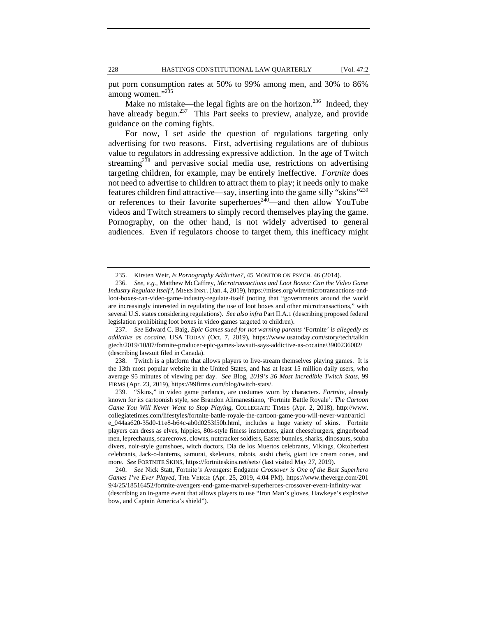put porn consumption rates at 50% to 99% among men, and 30% to 86% among women."<sup>235</sup>

Make no mistake—the legal fights are on the horizon.<sup>236</sup> Indeed, they have already begun.<sup>237</sup> This Part seeks to preview, analyze, and provide guidance on the coming fights.

For now, I set aside the question of regulations targeting only advertising for two reasons. First, advertising regulations are of dubious value to regulators in addressing expressive addiction. In the age of Twitch streaming<sup>238</sup> and pervasive social media use, restrictions on advertising targeting children, for example, may be entirely ineffective. *Fortnite* does not need to advertise to children to attract them to play; it needs only to make features children find attractive—say, inserting into the game silly "skins"239 or references to their favorite superheroes $240$ —and then allow YouTube videos and Twitch streamers to simply record themselves playing the game. Pornography, on the other hand, is not widely advertised to general audiences. Even if regulators choose to target them, this inefficacy might

 238. Twitch is a platform that allows players to live-stream themselves playing games. It is the 13th most popular website in the United States, and has at least 15 million daily users, who average 95 minutes of viewing per day. *See* Blog, *2019's 36 Most Incredible Twitch Stats*, 99 FIRMS (Apr. 23, 2019), https://99firms.com/blog/twitch-stats/.

 <sup>235.</sup> Kirsten Weir, *Is Pornography Addictive?*, 45 MONITOR ON PSYCH. 46 (2014).

 <sup>236.</sup> *See, e.g.*, Matthew McCaffrey, *Microtransactions and Loot Boxes: Can the Video Game Industry Regulate Itself?*, MISES INST. (Jan. 4, 2019), https://mises.org/wire/microtransactions-andloot-boxes-can-video-game-industry-regulate-itself (noting that "governments around the world are increasingly interested in regulating the use of loot boxes and other microtransactions," with several U.S. states considering regulations). *See also infra* Part II.A.1 (describing proposed federal legislation prohibiting loot boxes in video games targeted to children).

 <sup>237.</sup> *See* Edward C. Baig, *Epic Games sued for not warning parents '*Fortnite*' is allegedly as addictive as cocaine*, USA TODAY (Oct. 7, 2019), https://www.usatoday.com/story/tech/talkin gtech/2019/10/07/fortnite-producer-epic-games-lawsuit-says-addictive-as-cocaine/3900236002/ (describing lawsuit filed in Canada).

 <sup>239. &</sup>quot;Skins," in video game parlance, are costumes worn by characters. *Fortnite*, already known for its cartoonish style, *see* Brandon Alimanestiano, *'*Fortnite Battle Royale'*: The Cartoon Game You Will Never Want to Stop Playing*, COLLEGIATE TIMES (Apr. 2, 2018), http://www. collegiatetimes.com/lifestyles/fortnite-battle-royale-the-cartoon-game-you-will-never-want/articl e\_044aa620-35d0-11e8-b64c-ab0d0253f50b.html, includes a huge variety of skins. Fortnite players can dress as elves, hippies, 80s-style fitness instructors, giant cheeseburgers, gingerbread men, leprechauns, scarecrows, clowns, nutcracker soldiers, Easter bunnies, sharks, dinosaurs, scuba divers, noir-style gumshoes, witch doctors, Dia de los Muertos celebrants, Vikings, Oktoberfest celebrants, Jack-o-lanterns, samurai, skeletons, robots, sushi chefs, giant ice cream cones, and more. *See* FORTNITE SKINS, https://fortniteskins.net/sets/ (last visited May 27, 2019).

 <sup>240.</sup> *See* Nick Statt, Fortnite*'s* Avengers: Endgame *Crossover is One of the Best Superhero Games I've Ever Played*, THE VERGE (Apr. 25, 2019, 4:04 PM), https://www.theverge.com/201 9/4/25/18516452/fortnite-avengers-end-game-marvel-superheroes-crossover-event-infinity-war (describing an in-game event that allows players to use "Iron Man's gloves, Hawkeye's explosive bow, and Captain America's shield").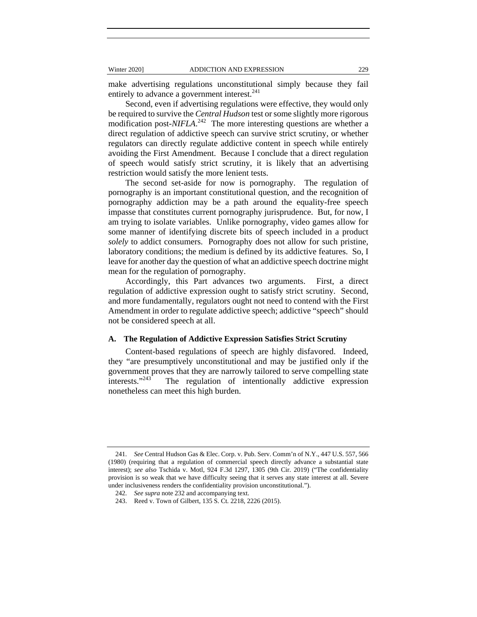make advertising regulations unconstitutional simply because they fail entirely to advance a government interest.<sup>241</sup>

Second, even if advertising regulations were effective, they would only be required to survive the *Central Hudson* test or some slightly more rigorous modification post-*NIFLA*. 242 The more interesting questions are whether a direct regulation of addictive speech can survive strict scrutiny, or whether regulators can directly regulate addictive content in speech while entirely avoiding the First Amendment. Because I conclude that a direct regulation of speech would satisfy strict scrutiny, it is likely that an advertising restriction would satisfy the more lenient tests.

The second set-aside for now is pornography. The regulation of pornography is an important constitutional question, and the recognition of pornography addiction may be a path around the equality-free speech impasse that constitutes current pornography jurisprudence. But, for now, I am trying to isolate variables. Unlike pornography, video games allow for some manner of identifying discrete bits of speech included in a product *solely* to addict consumers. Pornography does not allow for such pristine, laboratory conditions; the medium is defined by its addictive features. So, I leave for another day the question of what an addictive speech doctrine might mean for the regulation of pornography.

Accordingly, this Part advances two arguments. First, a direct regulation of addictive expression ought to satisfy strict scrutiny. Second, and more fundamentally, regulators ought not need to contend with the First Amendment in order to regulate addictive speech; addictive "speech" should not be considered speech at all.

# **A. The Regulation of Addictive Expression Satisfies Strict Scrutiny**

Content-based regulations of speech are highly disfavored. Indeed, they "are presumptively unconstitutional and may be justified only if the government proves that they are narrowly tailored to serve compelling state<br>interests."<sup>243</sup> The regulation of intentionally addictive expression The regulation of intentionally addictive expression nonetheless can meet this high burden.

 <sup>241.</sup> *See* Central Hudson Gas & Elec. Corp. v. Pub. Serv. Comm'n of N.Y., 447 U.S. 557, 566 (1980) (requiring that a regulation of commercial speech directly advance a substantial state interest); *see also* Tschida v. Motl, 924 F.3d 1297, 1305 (9th Cir. 2019) ("The confidentiality provision is so weak that we have difficulty seeing that it serves any state interest at all. Severe under inclusiveness renders the confidentiality provision unconstitutional.").

 <sup>242.</sup> *See supra* note 232 and accompanying text.

 <sup>243.</sup> Reed v. Town of Gilbert, 135 S. Ct. 2218, 2226 (2015).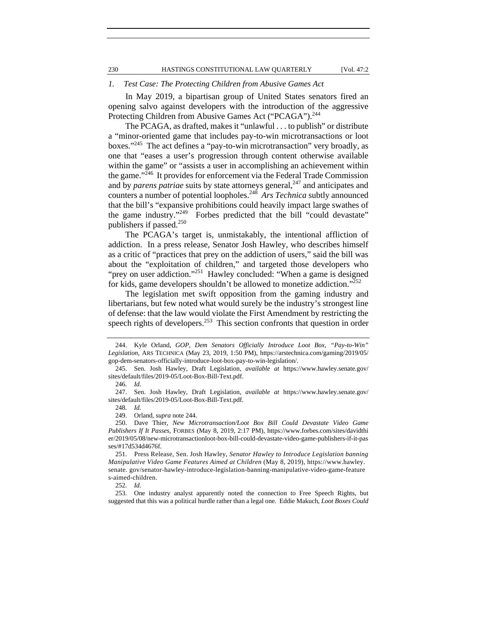#### *1. Test Case: The Protecting Children from Abusive Games Act*

In May 2019, a bipartisan group of United States senators fired an opening salvo against developers with the introduction of the aggressive Protecting Children from Abusive Games Act ("PCAGA").<sup>244</sup>

The PCAGA, as drafted, makes it "unlawful . . . to publish" or distribute a "minor-oriented game that includes pay-to-win microtransactions or loot boxes."245 The act defines a "pay-to-win microtransaction" very broadly, as one that "eases a user's progression through content otherwise available within the game" or "assists a user in accomplishing an achievement within the game."246 It provides for enforcement via the Federal Trade Commission and by *parens patriae* suits by state attorneys general,<sup>247</sup> and anticipates and counters a number of potential loopholes.248 *Ars Technica* subtly announced that the bill's "expansive prohibitions could heavily impact large swathes of the game industry."249 Forbes predicted that the bill "could devastate" publishers if passed. $250$ 

The PCAGA's target is, unmistakably, the intentional affliction of addiction. In a press release, Senator Josh Hawley, who describes himself as a critic of "practices that prey on the addiction of users," said the bill was about the "exploitation of children," and targeted those developers who "prey on user addiction."<sup>251</sup> Hawley concluded: "When a game is designed for kids, game developers shouldn't be allowed to monetize addiction."<sup>252</sup>

The legislation met swift opposition from the gaming industry and libertarians, but few noted what would surely be the industry's strongest line of defense: that the law would violate the First Amendment by restricting the speech rights of developers.<sup>253</sup> This section confronts that question in order

 <sup>244.</sup> Kyle Orland, *GOP, Dem Senators Officially Introduce Loot Box, "Pay-to-Win" Legislation*, ARS TECHNICA (May 23, 2019, 1:50 PM), https://arstechnica.com/gaming/2019/05/ gop-dem-senators-officially-introduce-loot-box-pay-to-win-legislation/.

 <sup>245.</sup> Sen. Josh Hawley, Draft Legislation, *available at* https://www.hawley.senate.gov/ sites/default/files/2019-05/Loot-Box-Bill-Text.pdf.

 <sup>246.</sup> *Id.*

 <sup>247.</sup> Sen. Josh Hawley, Draft Legislation, *available at* https://www.hawley.senate.gov/ sites/default/files/2019-05/Loot-Box-Bill-Text.pdf*.* 

 <sup>248.</sup> *Id.* 249. Orland, *supra* note 244.

 <sup>250.</sup> Dave Thier, *New Microtransaction/Loot Box Bill Could Devastate Video Game Publishers If It Passes*, FORBES (May 8, 2019, 2:17 PM), https://www.forbes.com/sites/davidthi er/2019/05/08/new-microtransactionloot-box-bill-could-devastate-video-game-publishers-if-it-pas ses/#17d534d4676f.

 <sup>251.</sup> Press Release, Sen. Josh Hawley, *Senator Hawley to Introduce Legislation banning Manipulative Video Game Features Aimed at Children* (May 8, 2019), https://www.hawley. senate. gov/senator-hawley-introduce-legislation-banning-manipulative-video-game-feature s-aimed-children.

 <sup>252.</sup> *Id.*

 <sup>253.</sup> One industry analyst apparently noted the connection to Free Speech Rights, but suggested that this was a political hurdle rather than a legal one. Eddie Makuch, *Loot Boxes Could*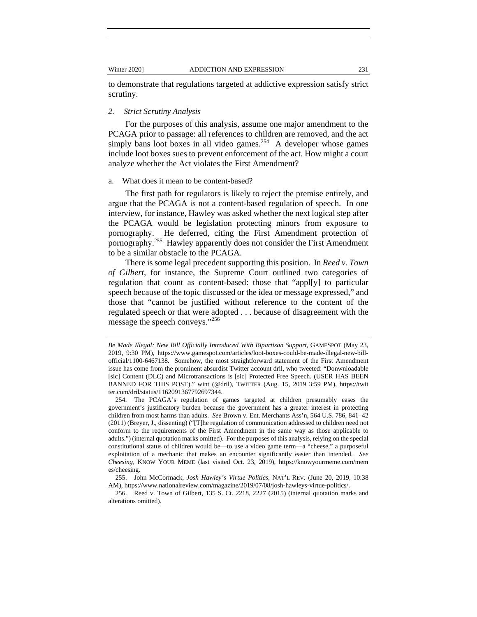to demonstrate that regulations targeted at addictive expression satisfy strict scrutiny.

# *2. Strict Scrutiny Analysis*

For the purposes of this analysis, assume one major amendment to the PCAGA prior to passage: all references to children are removed, and the act simply bans loot boxes in all video games.<sup>254</sup> A developer whose games include loot boxes sues to prevent enforcement of the act. How might a court analyze whether the Act violates the First Amendment?

### a. What does it mean to be content-based?

The first path for regulators is likely to reject the premise entirely, and argue that the PCAGA is not a content-based regulation of speech. In one interview, for instance, Hawley was asked whether the next logical step after the PCAGA would be legislation protecting minors from exposure to pornography. He deferred, citing the First Amendment protection of pornography.255 Hawley apparently does not consider the First Amendment to be a similar obstacle to the PCAGA.

There is some legal precedent supporting this position. In *Reed v. Town of Gilbert*, for instance, the Supreme Court outlined two categories of regulation that count as content-based: those that "appl[y] to particular speech because of the topic discussed or the idea or message expressed," and those that "cannot be justified without reference to the content of the regulated speech or that were adopted . . . because of disagreement with the message the speech conveys."<sup>256</sup>

 256. Reed v. Town of Gilbert, 135 S. Ct. 2218, 2227 (2015) (internal quotation marks and alterations omitted).

*Be Made Illegal: New Bill Officially Introduced With Bipartisan Support*, GAMESPOT (May 23, 2019, 9:30 PM), https://www.gamespot.com/articles/loot-boxes-could-be-made-illegal-new-billofficial/1100-6467138. Somehow, the most straightforward statement of the First Amendment issue has come from the prominent absurdist Twitter account dril, who tweeted: "Donwnloadable [sic] Content (DLC) and Microtransactions is [sic] Protected Free Speech. (USER HAS BEEN BANNED FOR THIS POST)." wint (@dril), TWITTER (Aug. 15, 2019 3:59 PM), https://twit ter.com/dril/status/1162091367792697344.

 <sup>254.</sup> The PCAGA's regulation of games targeted at children presumably eases the government's justificatory burden because the government has a greater interest in protecting children from most harms than adults. *See* Brown v. Ent. Merchants Ass'n, 564 U.S. 786, 841–42 (2011) (Breyer, J., dissenting) ("[T]he regulation of communication addressed to children need not conform to the requirements of the First Amendment in the same way as those applicable to adults.") (internal quotation marks omitted). For the purposes of this analysis, relying on the special constitutional status of children would be—to use a video game term—a "cheese," a purposeful exploitation of a mechanic that makes an encounter significantly easier than intended. *See Cheesing*, KNOW YOUR MEME (last visited Oct. 23, 2019), https://knowyourmeme.com/mem es/cheesing.

 <sup>255.</sup> John McCormack, *Josh Hawley's Virtue Politics*, NAT'L REV. (June 20, 2019, 10:38 AM), https://www.nationalreview.com/magazine/2019/07/08/josh-hawleys-virtue-politics/.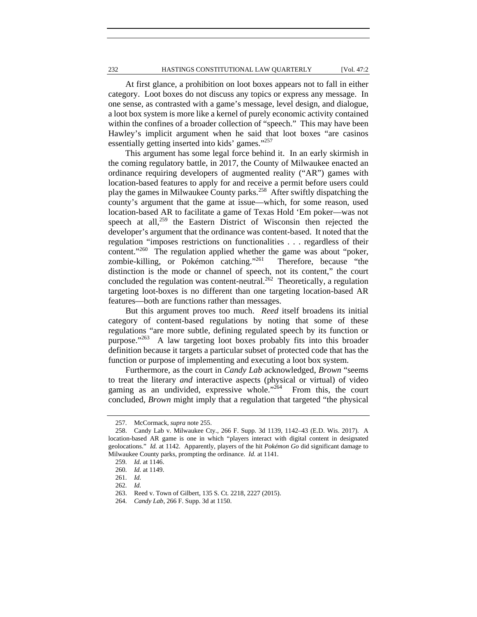At first glance, a prohibition on loot boxes appears not to fall in either category. Loot boxes do not discuss any topics or express any message. In one sense, as contrasted with a game's message, level design, and dialogue, a loot box system is more like a kernel of purely economic activity contained within the confines of a broader collection of "speech." This may have been Hawley's implicit argument when he said that loot boxes "are casinos essentially getting inserted into kids' games."257

This argument has some legal force behind it. In an early skirmish in the coming regulatory battle, in 2017, the County of Milwaukee enacted an ordinance requiring developers of augmented reality ("AR") games with location-based features to apply for and receive a permit before users could play the games in Milwaukee County parks.<sup>258</sup> After swiftly dispatching the county's argument that the game at issue—which, for some reason, used location-based AR to facilitate a game of Texas Hold 'Em poker—was not speech at all,<sup>259</sup> the Eastern District of Wisconsin then rejected the developer's argument that the ordinance was content-based. It noted that the regulation "imposes restrictions on functionalities . . . regardless of their content."<sup>260</sup> The regulation applied whether the game was about "poker, zombie-killing, or Pokémon catching."261 Therefore, because "the distinction is the mode or channel of speech, not its content," the court concluded the regulation was content-neutral.<sup>262</sup> Theoretically, a regulation targeting loot-boxes is no different than one targeting location-based AR features—both are functions rather than messages.

But this argument proves too much. *Reed* itself broadens its initial category of content-based regulations by noting that some of these regulations "are more subtle, defining regulated speech by its function or purpose."263 A law targeting loot boxes probably fits into this broader definition because it targets a particular subset of protected code that has the function or purpose of implementing and executing a loot box system.

Furthermore, as the court in *Candy Lab* acknowledged, *Brown* "seems to treat the literary *and* interactive aspects (physical or virtual) of video gaming as an undivided, expressive whole.<sup>"264</sup> From this, the court concluded, *Brown* might imply that a regulation that targeted "the physical

 <sup>257.</sup> McCormack, *supra* note 255.

 <sup>258.</sup> Candy Lab v. Milwaukee Cty., 266 F. Supp. 3d 1139, 1142–43 (E.D. Wis. 2017). A location-based AR game is one in which "players interact with digital content in designated geolocations." *Id.* at 1142. Apparently, players of the hit *Pokémon Go* did significant damage to Milwaukee County parks, prompting the ordinance. *Id.* at 1141.

 <sup>259.</sup> *Id.* at 1146.

 <sup>260.</sup> *Id.* at 1149.

 <sup>261.</sup> *Id.* 

 <sup>262.</sup> *Id.*

 <sup>263.</sup> Reed v. Town of Gilbert, 135 S. Ct. 2218, 2227 (2015).

 <sup>264.</sup> *Candy Lab*, 266 F. Supp. 3d at 1150.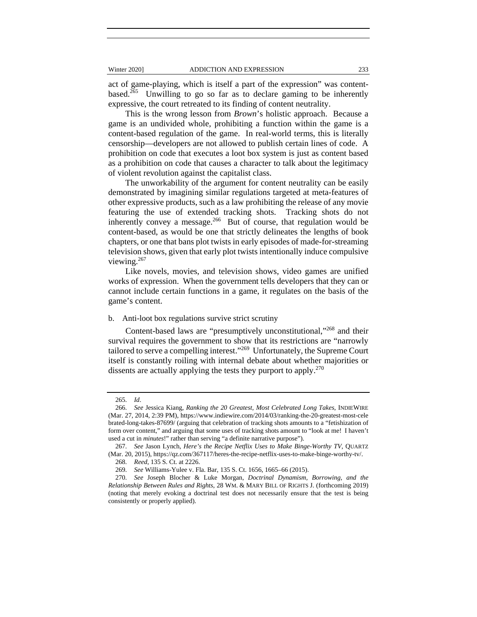act of game-playing, which is itself a part of the expression" was contentbased.<sup>265</sup> Unwilling to go so far as to declare gaming to be inherently expressive, the court retreated to its finding of content neutrality.

This is the wrong lesson from *Brown*'s holistic approach. Because a game is an undivided whole, prohibiting a function within the game is a content-based regulation of the game. In real-world terms, this is literally censorship—developers are not allowed to publish certain lines of code. A prohibition on code that executes a loot box system is just as content based as a prohibition on code that causes a character to talk about the legitimacy of violent revolution against the capitalist class.

The unworkability of the argument for content neutrality can be easily demonstrated by imagining similar regulations targeted at meta-features of other expressive products, such as a law prohibiting the release of any movie featuring the use of extended tracking shots. Tracking shots do not inherently convey a message.<sup>266</sup> But of course, that regulation would be content-based, as would be one that strictly delineates the lengths of book chapters, or one that bans plot twists in early episodes of made-for-streaming television shows, given that early plot twists intentionally induce compulsive viewing.<sup>267</sup>

Like novels, movies, and television shows, video games are unified works of expression. When the government tells developers that they can or cannot include certain functions in a game, it regulates on the basis of the game's content.

#### b. Anti-loot box regulations survive strict scrutiny

Content-based laws are "presumptively unconstitutional,"268 and their survival requires the government to show that its restrictions are "narrowly tailored to serve a compelling interest."269 Unfortunately, the Supreme Court itself is constantly roiling with internal debate about whether majorities or dissents are actually applying the tests they purport to apply. $270$ 

 <sup>265.</sup> *Id*.

 <sup>266.</sup> *See* Jessica Kiang, *Ranking the 20 Greatest, Most Celebrated Long Takes*, INDIEWIRE (Mar. 27, 2014, 2:39 PM), https://www.indiewire.com/2014/03/ranking-the-20-greatest-most-cele brated-long-takes-87699/ (arguing that celebration of tracking shots amounts to a "fetishization of form over content," and arguing that some uses of tracking shots amount to "look at me! I haven't used a cut in *minutes*!" rather than serving "a definite narrative purpose").

 <sup>267.</sup> *See* Jason Lynch, *Here's the Recipe Netflix Uses to Make Binge-Worthy TV*, QUARTZ (Mar. 20, 2015), https://qz.com/367117/heres-the-recipe-netflix-uses-to-make-binge-worthy-tv/.

 <sup>268.</sup> *Reed*, 135 S. Ct. at 2226.

 <sup>269.</sup> *See* Williams-Yulee v. Fla. Bar, 135 S. Ct. 1656, 1665–66 (2015).

 <sup>270.</sup> *See* Joseph Blocher & Luke Morgan, *Doctrinal Dynamism, Borrowing, and the Relationship Between Rules and Rights*, 28 WM. & MARY BILL OF RIGHTS J. (forthcoming 2019) (noting that merely evoking a doctrinal test does not necessarily ensure that the test is being consistently or properly applied).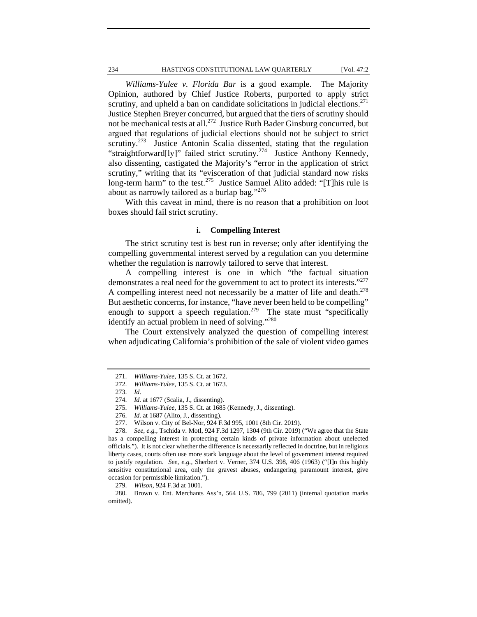# 234 HASTINGS CONSTITUTIONAL LAW QUARTERLY [Vol. 47:2

*Williams-Yulee v. Florida Bar* is a good example. The Majority Opinion, authored by Chief Justice Roberts, purported to apply strict scrutiny, and upheld a ban on candidate solicitations in judicial elections.<sup>271</sup> Justice Stephen Breyer concurred, but argued that the tiers of scrutiny should not be mechanical tests at all.272 Justice Ruth Bader Ginsburg concurred, but argued that regulations of judicial elections should not be subject to strict scrutiny.<sup>273</sup> Justice Antonin Scalia dissented, stating that the regulation "straightforward[ly]" failed strict scrutiny.<sup>274</sup> Justice Anthony Kennedy, also dissenting, castigated the Majority's "error in the application of strict scrutiny," writing that its "evisceration of that judicial standard now risks long-term harm" to the test.<sup>275</sup> Justice Samuel Alito added: "[T]his rule is about as narrowly tailored as a burlap bag."276

With this caveat in mind, there is no reason that a prohibition on loot boxes should fail strict scrutiny.

# **i. Compelling Interest**

The strict scrutiny test is best run in reverse; only after identifying the compelling governmental interest served by a regulation can you determine whether the regulation is narrowly tailored to serve that interest.

A compelling interest is one in which "the factual situation demonstrates a real need for the government to act to protect its interests."<sup>277</sup> A compelling interest need not necessarily be a matter of life and death.<sup>278</sup> But aesthetic concerns, for instance, "have never been held to be compelling" enough to support a speech regulation.<sup>279</sup> The state must "specifically identify an actual problem in need of solving."<sup>280</sup>

The Court extensively analyzed the question of compelling interest when adjudicating California's prohibition of the sale of violent video games

 <sup>271.</sup> *Williams-Yulee*, 135 S. Ct. at 1672.

 <sup>272.</sup> *Williams-Yulee*, 135 S. Ct. at 1673.

 <sup>273.</sup> *Id.*

 <sup>274.</sup> *Id.* at 1677 (Scalia, J., dissenting).

 <sup>275.</sup> *Williams-Yulee*, 135 S. Ct. at 1685 (Kennedy, J., dissenting).

 <sup>276.</sup> *Id.* at 1687 (Alito, J., dissenting).

 <sup>277.</sup> Wilson v. City of Bel-Nor, 924 F.3d 995, 1001 (8th Cir. 2019).

 <sup>278.</sup> *See, e.g.*, Tschida v. Motl, 924 F.3d 1297, 1304 (9th Cir. 2019) ("We agree that the State has a compelling interest in protecting certain kinds of private information about unelected officials."). It is not clear whether the difference is necessarily reflected in doctrine, but in religious liberty cases, courts often use more stark language about the level of government interest required to justify regulation. *See, e.g.*, Sherbert v. Verner, 374 U.S. 398, 406 (1963) ("[I]n this highly sensitive constitutional area, only the gravest abuses, endangering paramount interest, give occasion for permissible limitation.").

 <sup>279.</sup> *Wilson*, 924 F.3d at 1001.

 <sup>280.</sup> Brown v. Ent. Merchants Ass'n, 564 U.S. 786, 799 (2011) (internal quotation marks omitted).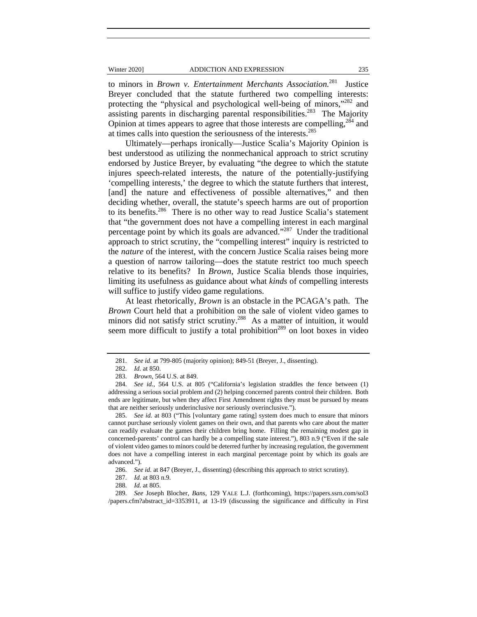to minors in *Brown v. Entertainment Merchants Association.*<sup>281</sup>Justice Breyer concluded that the statute furthered two compelling interests: protecting the "physical and psychological well-being of minors,"282 and assisting parents in discharging parental responsibilities.<sup>283</sup> The Majority Opinion at times appears to agree that those interests are compelling,  $^{284}$  and at times calls into question the seriousness of the interests.<sup>285</sup>

Ultimately—perhaps ironically—Justice Scalia's Majority Opinion is best understood as utilizing the nonmechanical approach to strict scrutiny endorsed by Justice Breyer, by evaluating "the degree to which the statute injures speech-related interests, the nature of the potentially-justifying 'compelling interests,' the degree to which the statute furthers that interest, [and] the nature and effectiveness of possible alternatives," and then deciding whether, overall, the statute's speech harms are out of proportion to its benefits.<sup>286</sup> There is no other way to read Justice Scalia's statement that "the government does not have a compelling interest in each marginal percentage point by which its goals are advanced."287 Under the traditional approach to strict scrutiny, the "compelling interest" inquiry is restricted to the *nature* of the interest, with the concern Justice Scalia raises being more a question of narrow tailoring—does the statute restrict too much speech relative to its benefits? In *Brown*, Justice Scalia blends those inquiries, limiting its usefulness as guidance about what *kinds* of compelling interests will suffice to justify video game regulations.

At least rhetorically, *Brown* is an obstacle in the PCAGA's path. The *Brown* Court held that a prohibition on the sale of violent video games to minors did not satisfy strict scrutiny.<sup>288</sup> As a matter of intuition, it would seem more difficult to justify a total prohibition<sup>289</sup> on loot boxes in video

 <sup>281.</sup> *See id.* at 799-805 (majority opinion); 849-51 (Breyer, J., dissenting).

 <sup>282.</sup> *Id.* at 850.

 <sup>283.</sup> *Brown*, 564 U.S. at 849.

 <sup>284.</sup> *See id.*, 564 U.S. at 805 ("California's legislation straddles the fence between (1) addressing a serious social problem and (2) helping concerned parents control their children. Both ends are legitimate, but when they affect First Amendment rights they must be pursued by means that are neither seriously underinclusive nor seriously overinclusive.").

 <sup>285.</sup> *See id.* at 803 ("This [voluntary game rating] system does much to ensure that minors cannot purchase seriously violent games on their own, and that parents who care about the matter can readily evaluate the games their children bring home. Filling the remaining modest gap in concerned-parents' control can hardly be a compelling state interest."), 803 n.9 ("Even if the sale of violent video games to minors could be deterred further by increasing regulation, the government does not have a compelling interest in each marginal percentage point by which its goals are advanced.").

 <sup>286.</sup> *See id.* at 847 (Breyer, J., dissenting) (describing this approach to strict scrutiny).

 <sup>287.</sup> *Id.* at 803 n.9.

 <sup>288.</sup> *Id.* at 805.

 <sup>289.</sup> *See* Joseph Blocher, *Bans*, 129 YALE L.J. (forthcoming), https://papers.ssrn.com/sol3 /papers.cfm?abstract\_id=3353911, at 13-19 (discussing the significance and difficulty in First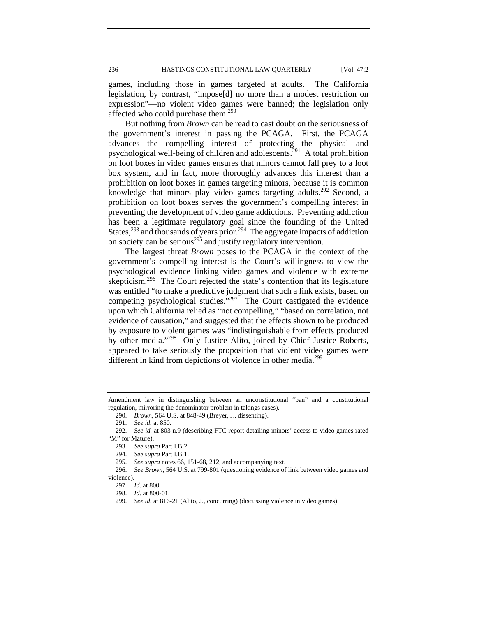games, including those in games targeted at adults. The California legislation, by contrast, "impose[d] no more than a modest restriction on expression"—no violent video games were banned; the legislation only affected who could purchase them.<sup>290</sup>

But nothing from *Brown* can be read to cast doubt on the seriousness of the government's interest in passing the PCAGA. First, the PCAGA advances the compelling interest of protecting the physical and psychological well-being of children and adolescents.<sup>291</sup> A total prohibition on loot boxes in video games ensures that minors cannot fall prey to a loot box system, and in fact, more thoroughly advances this interest than a prohibition on loot boxes in games targeting minors, because it is common knowledge that minors play video games targeting adults.<sup>292</sup> Second, a prohibition on loot boxes serves the government's compelling interest in preventing the development of video game addictions. Preventing addiction has been a legitimate regulatory goal since the founding of the United States,  $^{293}$  and thousands of years prior.<sup>294</sup> The aggregate impacts of addiction on society can be serious<sup> $295$ </sup> and justify regulatory intervention.

The largest threat *Brown* poses to the PCAGA in the context of the government's compelling interest is the Court's willingness to view the psychological evidence linking video games and violence with extreme skepticism.<sup>296</sup> The Court rejected the state's contention that its legislature was entitled "to make a predictive judgment that such a link exists, based on competing psychological studies."<sup>297</sup> The Court castigated the evidence upon which California relied as "not compelling," "based on correlation, not evidence of causation," and suggested that the effects shown to be produced by exposure to violent games was "indistinguishable from effects produced by other media."298 Only Justice Alito, joined by Chief Justice Roberts, appeared to take seriously the proposition that violent video games were different in kind from depictions of violence in other media.<sup>299</sup>

Amendment law in distinguishing between an unconstitutional "ban" and a constitutional regulation, mirroring the denominator problem in takings cases).

 <sup>290.</sup> *Brown*, 564 U.S. at 848-49 (Breyer, J., dissenting).

 <sup>291.</sup> *See id.* at 850.

 <sup>292.</sup> *See id.* at 803 n.9 (describing FTC report detailing minors' access to video games rated "M" for Mature).

 <sup>293.</sup> *See supra* Part I.B.2.

 <sup>294.</sup> *See supra* Part I.B.1.

 <sup>295.</sup> *See supra* notes 66, 151-68, 212, and accompanying text.

 <sup>296.</sup> *See Brown*, 564 U.S. at 799-801 (questioning evidence of link between video games and violence).

 <sup>297.</sup> *Id.* at 800.

 <sup>298.</sup> *Id.* at 800-01.

 <sup>299.</sup> *See id.* at 816-21 (Alito, J., concurring) (discussing violence in video games).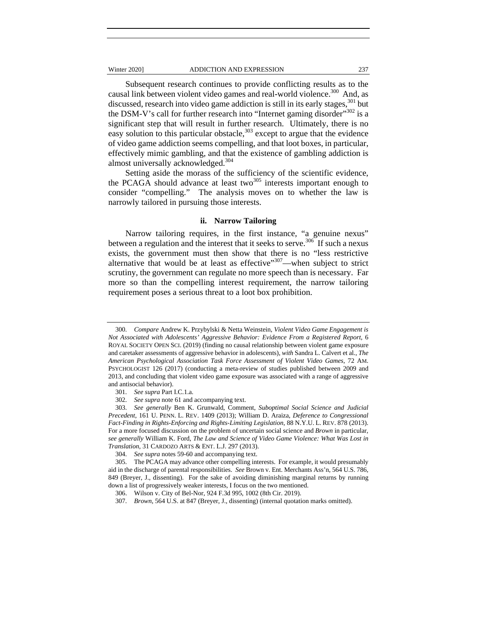Subsequent research continues to provide conflicting results as to the causal link between violent video games and real-world violence.<sup>300</sup> And, as discussed, research into video game addiction is still in its early stages,<sup>301</sup> but the DSM-V's call for further research into "Internet gaming disorder"<sup>302</sup> is a significant step that will result in further research. Ultimately, there is no easy solution to this particular obstacle, $303$  except to argue that the evidence of video game addiction seems compelling, and that loot boxes, in particular, effectively mimic gambling, and that the existence of gambling addiction is almost universally acknowledged.<sup>304</sup>

Setting aside the morass of the sufficiency of the scientific evidence, the PCAGA should advance at least two $305$  interests important enough to consider "compelling." The analysis moves on to whether the law is narrowly tailored in pursuing those interests.

# **ii. Narrow Tailoring**

Narrow tailoring requires, in the first instance, "a genuine nexus" between a regulation and the interest that it seeks to serve.<sup>306</sup> If such a nexus exists, the government must then show that there is no "less restrictive alternative that would be at least as effective"<sup>307</sup>—when subject to strict scrutiny, the government can regulate no more speech than is necessary. Far more so than the compelling interest requirement, the narrow tailoring requirement poses a serious threat to a loot box prohibition.

 <sup>300.</sup> *Compare* Andrew K. Przybylski & Netta Weinstein, *Violent Video Game Engagement is Not Associated with Adolescents' Aggressive Behavior: Evidence From a Registered Report*, 6 ROYAL SOCIETY OPEN SCI. (2019) (finding no causal relationship between violent game exposure and caretaker assessments of aggressive behavior in adolescents), *with* Sandra L. Calvert et al., *The American Psychological Association Task Force Assessment of Violent Video Games*, 72 AM. PSYCHOLOGIST 126 (2017) (conducting a meta-review of studies published between 2009 and 2013, and concluding that violent video game exposure was associated with a range of aggressive and antisocial behavior).

 <sup>301.</sup> *See supra* Part I.C.1.a.

 <sup>302.</sup> *See supra* note 61 and accompanying text.

 <sup>303.</sup> *See generally* Ben K. Grunwald, Comment, *Suboptimal Social Science and Judicial Precedent*, 161 U. PENN. L. REV. 1409 (2013); William D. Araiza, *Deference to Congressional Fact-Finding in Rights-Enforcing and Rights-Limiting Legislation*, 88 N.Y.U. L. REV. 878 (2013). For a more focused discussion on the problem of uncertain social science and *Brown* in particular, *see generally* William K. Ford, *The Law and Science of Video Game Violence: What Was Lost in Translation*, 31 CARDOZO ARTS & ENT. L.J. 297 (2013).

 <sup>304.</sup> *See supra* notes 59-60 and accompanying text.

 <sup>305.</sup> The PCAGA may advance other compelling interests. For example, it would presumably aid in the discharge of parental responsibilities. *See* Brown v. Ent. Merchants Ass'n, 564 U.S. 786, 849 (Breyer, J., dissenting). For the sake of avoiding diminishing marginal returns by running down a list of progressively weaker interests, I focus on the two mentioned.

 <sup>306.</sup> Wilson v. City of Bel-Nor, 924 F.3d 995, 1002 (8th Cir. 2019).

 <sup>307.</sup> *Brown*, 564 U.S. at 847 (Breyer, J., dissenting) (internal quotation marks omitted).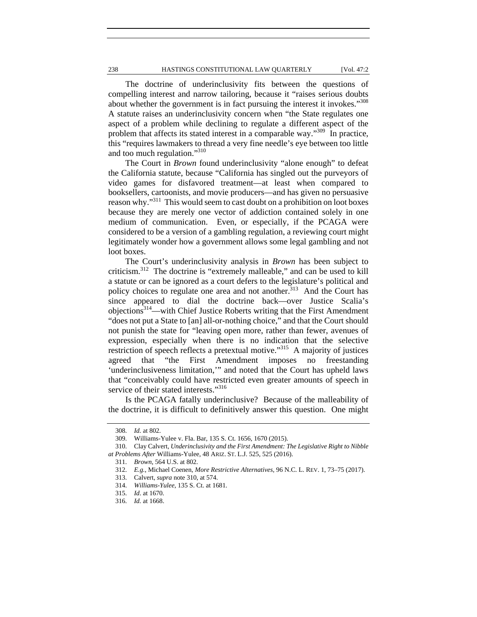The doctrine of underinclusivity fits between the questions of compelling interest and narrow tailoring, because it "raises serious doubts about whether the government is in fact pursuing the interest it invokes."<sup>308</sup> A statute raises an underinclusivity concern when "the State regulates one aspect of a problem while declining to regulate a different aspect of the problem that affects its stated interest in a comparable way."<sup>309</sup> In practice, this "requires lawmakers to thread a very fine needle's eye between too little and too much regulation."310

The Court in *Brown* found underinclusivity "alone enough" to defeat the California statute, because "California has singled out the purveyors of video games for disfavored treatment—at least when compared to booksellers, cartoonists, and movie producers—and has given no persuasive reason why."311 This would seem to cast doubt on a prohibition on loot boxes because they are merely one vector of addiction contained solely in one medium of communication. Even, or especially, if the PCAGA were considered to be a version of a gambling regulation, a reviewing court might legitimately wonder how a government allows some legal gambling and not loot boxes.

The Court's underinclusivity analysis in *Brown* has been subject to criticism.312 The doctrine is "extremely malleable," and can be used to kill a statute or can be ignored as a court defers to the legislature's political and policy choices to regulate one area and not another.<sup>313</sup> And the Court has since appeared to dial the doctrine back—over Justice Scalia's objections314—with Chief Justice Roberts writing that the First Amendment "does not put a State to [an] all-or-nothing choice," and that the Court should not punish the state for "leaving open more, rather than fewer, avenues of expression, especially when there is no indication that the selective restriction of speech reflects a pretextual motive."315 A majority of justices agreed that "the First Amendment imposes no freestanding 'underinclusiveness limitation,'" and noted that the Court has upheld laws that "conceivably could have restricted even greater amounts of speech in service of their stated interests."316

Is the PCAGA fatally underinclusive? Because of the malleability of the doctrine, it is difficult to definitively answer this question. One might

 <sup>308.</sup> *Id.* at 802.

 <sup>309.</sup> Williams-Yulee v. Fla. Bar, 135 S. Ct. 1656, 1670 (2015).

 <sup>310.</sup> Clay Calvert, *Underinclusivity and the First Amendment: The Legislative Right to Nibble at Problems After* Williams-Yulee, 48 ARIZ. ST. L.J. 525, 525 (2016).

 <sup>311.</sup> *Brown*, 564 U.S. at 802.

 <sup>312.</sup> *E.g.*, Michael Coenen, *More Restrictive Alternatives*, 96 N.C. L. REV. 1, 73–75 (2017).

 <sup>313.</sup> Calvert, *supra* note 310, at 574.

 <sup>314.</sup> *Williams-Yulee*, 135 S. Ct. at 1681.

 <sup>315.</sup> *Id*. at 1670.

 <sup>316.</sup> *Id.* at 1668.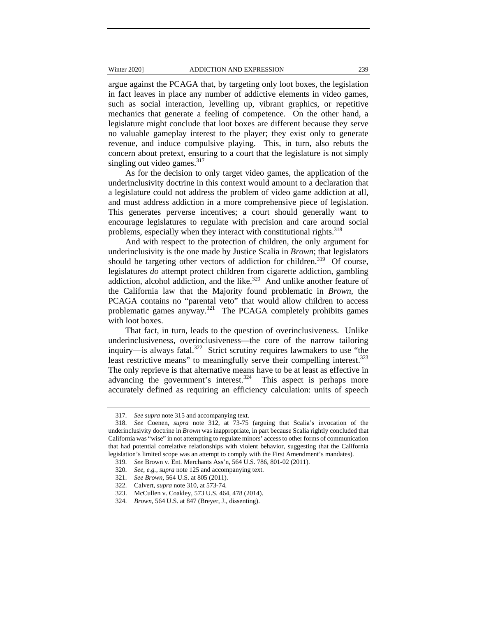#### Winter 2020] **ADDICTION AND EXPRESSION** 239

argue against the PCAGA that, by targeting only loot boxes, the legislation in fact leaves in place any number of addictive elements in video games, such as social interaction, levelling up, vibrant graphics, or repetitive mechanics that generate a feeling of competence. On the other hand, a legislature might conclude that loot boxes are different because they serve no valuable gameplay interest to the player; they exist only to generate revenue, and induce compulsive playing. This, in turn, also rebuts the concern about pretext, ensuring to a court that the legislature is not simply singling out video games. $317$ 

As for the decision to only target video games, the application of the underinclusivity doctrine in this context would amount to a declaration that a legislature could not address the problem of video game addiction at all, and must address addiction in a more comprehensive piece of legislation. This generates perverse incentives; a court should generally want to encourage legislatures to regulate with precision and care around social problems, especially when they interact with constitutional rights.<sup>318</sup>

And with respect to the protection of children, the only argument for underinclusivity is the one made by Justice Scalia in *Brown*; that legislators should be targeting other vectors of addiction for children.<sup>319</sup> Of course, legislatures *do* attempt protect children from cigarette addiction, gambling addiction, alcohol addiction, and the like.<sup>320</sup> And unlike another feature of the California law that the Majority found problematic in *Brown*, the PCAGA contains no "parental veto" that would allow children to access problematic games anyway.<sup>321</sup> The PCAGA completely prohibits games with loot boxes.

That fact, in turn, leads to the question of overinclusiveness. Unlike underinclusiveness, overinclusiveness—the core of the narrow tailoring inquiry—is always fatal.<sup>322</sup> Strict scrutiny requires lawmakers to use "the least restrictive means" to meaningfully serve their compelling interest.<sup>323</sup> The only reprieve is that alternative means have to be at least as effective in advancing the government's interest.<sup>324</sup> This aspect is perhaps more accurately defined as requiring an efficiency calculation: units of speech

 <sup>317.</sup> *See supra* note 315 and accompanying text.

 <sup>318.</sup> *See* Coenen, *supra* note 312, at 73-75 (arguing that Scalia's invocation of the underinclusivity doctrine in *Brown* was inappropriate, in part because Scalia rightly concluded that California was "wise" in not attempting to regulate minors' access to other forms of communication that had potential correlative relationships with violent behavior, suggesting that the California legislation's limited scope was an attempt to comply with the First Amendment's mandates).

 <sup>319.</sup> *See* Brown v. Ent. Merchants Ass'n, 564 U.S. 786, 801-02 (2011).

 <sup>320.</sup> *See, e.g.*, *supra* note 125 and accompanying text.

 <sup>321.</sup> *See Brown*, 564 U.S. at 805 (2011).

 <sup>322.</sup> Calvert, *supra* note 310, at 573-74.

 <sup>323.</sup> McCullen v. Coakley, 573 U.S. 464, 478 (2014).

 <sup>324.</sup> *Brown*, 564 U.S. at 847 (Breyer, J., dissenting).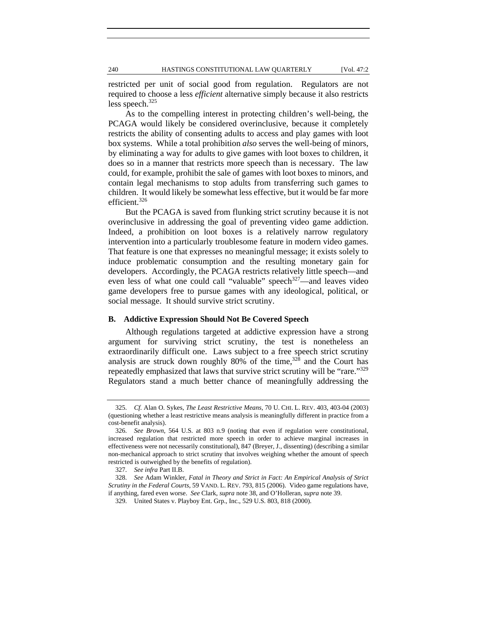restricted per unit of social good from regulation. Regulators are not required to choose a less *efficient* alternative simply because it also restricts less speech. $325$ 

As to the compelling interest in protecting children's well-being, the PCAGA would likely be considered overinclusive, because it completely restricts the ability of consenting adults to access and play games with loot box systems. While a total prohibition *also* serves the well-being of minors, by eliminating a way for adults to give games with loot boxes to children, it does so in a manner that restricts more speech than is necessary. The law could, for example, prohibit the sale of games with loot boxes to minors, and contain legal mechanisms to stop adults from transferring such games to children. It would likely be somewhat less effective, but it would be far more efficient.<sup>326</sup>

But the PCAGA is saved from flunking strict scrutiny because it is not overinclusive in addressing the goal of preventing video game addiction. Indeed, a prohibition on loot boxes is a relatively narrow regulatory intervention into a particularly troublesome feature in modern video games. That feature is one that expresses no meaningful message; it exists solely to induce problematic consumption and the resulting monetary gain for developers. Accordingly, the PCAGA restricts relatively little speech—and even less of what one could call "valuable" speech $327$ —and leaves video game developers free to pursue games with any ideological, political, or social message. It should survive strict scrutiny.

# **B. Addictive Expression Should Not Be Covered Speech**

Although regulations targeted at addictive expression have a strong argument for surviving strict scrutiny, the test is nonetheless an extraordinarily difficult one. Laws subject to a free speech strict scrutiny analysis are struck down roughly  $80\%$  of the time,<sup>328</sup> and the Court has repeatedly emphasized that laws that survive strict scrutiny will be "rare."<sup>329</sup> Regulators stand a much better chance of meaningfully addressing the

 <sup>325.</sup> *Cf.* Alan O. Sykes, *The Least Restrictive Means*, 70 U. CHI. L. REV. 403, 403-04 (2003) (questioning whether a least restrictive means analysis is meaningfully different in practice from a cost-benefit analysis).

 <sup>326.</sup> *See Brown*, 564 U.S. at 803 n.9 (noting that even if regulation were constitutional, increased regulation that restricted more speech in order to achieve marginal increases in effectiveness were not necessarily constitutional), 847 (Breyer, J., dissenting) (describing a similar non-mechanical approach to strict scrutiny that involves weighing whether the amount of speech restricted is outweighed by the benefits of regulation).

 <sup>327.</sup> *See infra* Part II.B.

 <sup>328.</sup> *See* Adam Winkler, *Fatal in Theory and Strict in Fact: An Empirical Analysis of Strict Scrutiny in the Federal Courts*, 59 VAND. L. REV. 793, 815 (2006). Video game regulations have, if anything, fared even worse. *See* Clark, *supra* note 38, and O'Holleran, *supra* note 39.

 <sup>329.</sup> United States v. Playboy Ent. Grp., Inc., 529 U.S. 803, 818 (2000).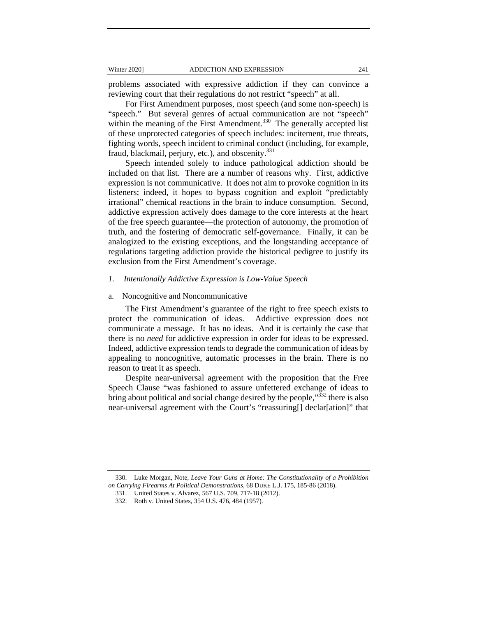problems associated with expressive addiction if they can convince a reviewing court that their regulations do not restrict "speech" at all.

For First Amendment purposes, most speech (and some non-speech) is "speech." But several genres of actual communication are not "speech" within the meaning of the First Amendment.<sup>330</sup> The generally accepted list of these unprotected categories of speech includes: incitement, true threats, fighting words, speech incident to criminal conduct (including, for example, fraud, blackmail, perjury, etc.), and obscenity.<sup>331</sup>

Speech intended solely to induce pathological addiction should be included on that list. There are a number of reasons why. First, addictive expression is not communicative. It does not aim to provoke cognition in its listeners; indeed, it hopes to bypass cognition and exploit "predictably irrational" chemical reactions in the brain to induce consumption. Second, addictive expression actively does damage to the core interests at the heart of the free speech guarantee—the protection of autonomy, the promotion of truth, and the fostering of democratic self-governance. Finally, it can be analogized to the existing exceptions, and the longstanding acceptance of regulations targeting addiction provide the historical pedigree to justify its exclusion from the First Amendment's coverage.

# *1. Intentionally Addictive Expression is Low-Value Speech*

### a. Noncognitive and Noncommunicative

The First Amendment's guarantee of the right to free speech exists to protect the communication of ideas. Addictive expression does not communicate a message. It has no ideas. And it is certainly the case that there is no *need* for addictive expression in order for ideas to be expressed. Indeed, addictive expression tends to degrade the communication of ideas by appealing to noncognitive, automatic processes in the brain. There is no reason to treat it as speech.

Despite near-universal agreement with the proposition that the Free Speech Clause "was fashioned to assure unfettered exchange of ideas to bring about political and social change desired by the people,"<sup>332</sup> there is also near-universal agreement with the Court's "reassuring[] declar[ation]" that

 <sup>330.</sup> Luke Morgan, Note, *Leave Your Guns at Home: The Constitutionality of a Prohibition on Carrying Firearms At Political Demonstrations*, 68 DUKE L.J. 175, 185-86 (2018).

 <sup>331.</sup> United States v. Alvarez, 567 U.S. 709, 717-18 (2012).

 <sup>332.</sup> Roth v. United States, 354 U.S. 476, 484 (1957).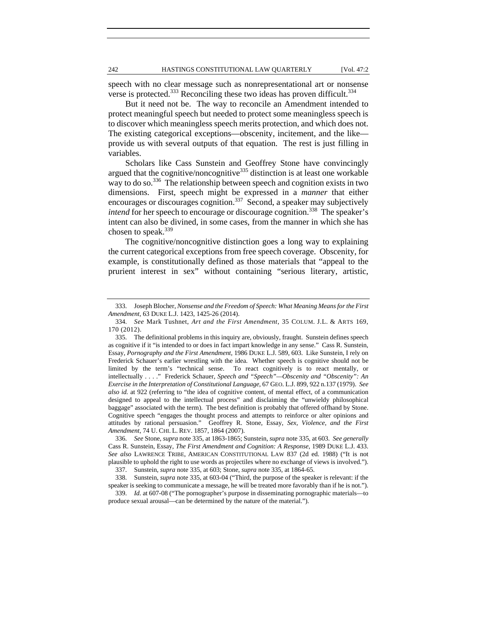speech with no clear message such as nonrepresentational art or nonsense verse is protected.<sup>333</sup> Reconciling these two ideas has proven difficult.<sup>334</sup>

But it need not be. The way to reconcile an Amendment intended to protect meaningful speech but needed to protect some meaningless speech is to discover which meaningless speech merits protection, and which does not. The existing categorical exceptions—obscenity, incitement, and the like provide us with several outputs of that equation. The rest is just filling in variables.

Scholars like Cass Sunstein and Geoffrey Stone have convincingly argued that the cognitive/noncognitive<sup>335</sup> distinction is at least one workable way to do so.<sup>336</sup> The relationship between speech and cognition exists in two dimensions. First, speech might be expressed in a *manner* that either encourages or discourages cognition.<sup>337</sup> Second, a speaker may subjectively *intend* for her speech to encourage or discourage cognition.<sup>338</sup> The speaker's intent can also be divined, in some cases, from the manner in which she has chosen to speak.<sup>339</sup>

The cognitive/noncognitive distinction goes a long way to explaining the current categorical exceptions from free speech coverage. Obscenity, for example, is constitutionally defined as those materials that "appeal to the prurient interest in sex" without containing "serious literary, artistic,

 <sup>333.</sup> Joseph Blocher, *Nonsense and the Freedom of Speech: What Meaning Means for the First Amendment*, 63 DUKE L.J. 1423, 1425-26 (2014).

 <sup>334.</sup> *See* Mark Tushnet, *Art and the First Amendment*, 35 COLUM. J.L. & ARTS 169, 170 (2012).

 <sup>335.</sup> The definitional problems in this inquiry are, obviously, fraught. Sunstein defines speech as cognitive if it "is intended to or does in fact impart knowledge in any sense." Cass R. Sunstein, Essay, *Pornography and the First Amendment*, 1986 DUKE L.J. 589, 603. Like Sunstein, I rely on Frederick Schauer's earlier wrestling with the idea. Whether speech is cognitive should not be limited by the term's "technical sense. To react cognitively is to react mentally, or intellectually . . . ." Frederick Schauer, *Speech and "Speech"—Obscenity and "Obscenity": An Exercise in the Interpretation of Constitutional Language*, 67 GEO. L.J. 899, 922 n.137 (1979). *See also id.* at 922 (referring to "the idea of cognitive content, of mental effect, of a communication designed to appeal to the intellectual process" and disclaiming the "unwieldy philosophical baggage" associated with the term). The best definition is probably that offered offhand by Stone. Cognitive speech "engages the thought process and attempts to reinforce or alter opinions and attitudes by rational persuasion." Geoffrey R. Stone, Essay, *Sex, Violence, and the First Amendment*, 74 U. CHI. L. REV. 1857, 1864 (2007).

 <sup>336.</sup> *See* Stone, *supra* note 335, at 1863-1865; Sunstein, *supra* note 335, at 603. *See generally* Cass R. Sunstein, Essay, *The First Amendment and Cognition: A Response*, 1989 DUKE L.J. 433. *See also* LAWRENCE TRIBE, AMERICAN CONSTITUTIONAL LAW 837 (2d ed. 1988) ("It is not plausible to uphold the right to use words as projectiles where no exchange of views is involved."). 337. Sunstein, *supra* note 335, at 603; Stone, *supra* note 335, at 1864-65.

 <sup>338.</sup> Sunstein, *supra* note 335, at 603-04 ("Third, the purpose of the speaker is relevant: if the

speaker is seeking to communicate a message, he will be treated more favorably than if he is not."). 339. *Id.* at 607-08 ("The pornographer's purpose in disseminating pornographic materials—to

produce sexual arousal—can be determined by the nature of the material.").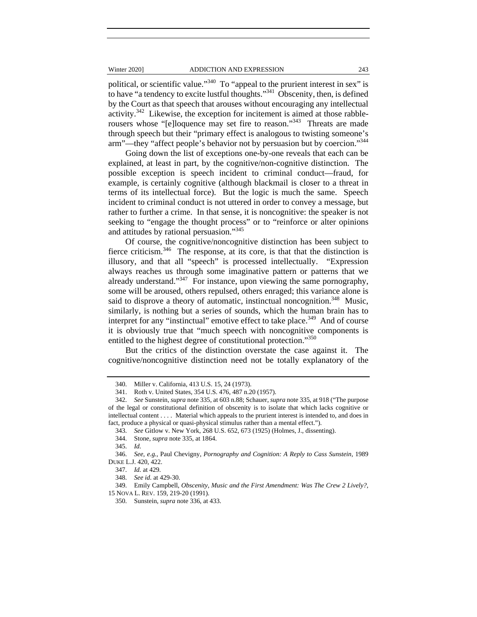political, or scientific value."340 To "appeal to the prurient interest in sex" is to have "a tendency to excite lustful thoughts."<sup>341</sup> Obscenity, then, is defined by the Court as that speech that arouses without encouraging any intellectual activity.<sup>342</sup> Likewise, the exception for incitement is aimed at those rabblerousers whose "[e]loquence may set fire to reason."343 Threats are made through speech but their "primary effect is analogous to twisting someone's arm"—they "affect people's behavior not by persuasion but by coercion."344

Going down the list of exceptions one-by-one reveals that each can be explained, at least in part, by the cognitive/non-cognitive distinction. The possible exception is speech incident to criminal conduct—fraud, for example, is certainly cognitive (although blackmail is closer to a threat in terms of its intellectual force). But the logic is much the same. Speech incident to criminal conduct is not uttered in order to convey a message, but rather to further a crime. In that sense, it is noncognitive: the speaker is not seeking to "engage the thought process" or to "reinforce or alter opinions and attitudes by rational persuasion."345

Of course, the cognitive/noncognitive distinction has been subject to fierce criticism.<sup>346</sup> The response, at its core, is that that the distinction is illusory, and that all "speech" is processed intellectually. "Expression always reaches us through some imaginative pattern or patterns that we already understand."<sup>347</sup> For instance, upon viewing the same pornography, some will be aroused, others repulsed, others enraged; this variance alone is said to disprove a theory of automatic, instinctual noncognition.<sup>348</sup> Music, similarly, is nothing but a series of sounds, which the human brain has to interpret for any "instinctual" emotive effect to take place.<sup>349</sup> And of course it is obviously true that "much speech with noncognitive components is entitled to the highest degree of constitutional protection."<sup>350</sup>

But the critics of the distinction overstate the case against it. The cognitive/noncognitive distinction need not be totally explanatory of the

 <sup>340.</sup> Miller v. California, 413 U.S. 15, 24 (1973).

 <sup>341.</sup> Roth v. United States, 354 U.S. 476, 487 n.20 (1957).

 <sup>342.</sup> *See* Sunstein, *supra* note 335, at 603 n.88; Schauer, *supra* note 335, at 918 ("The purpose of the legal or constitutional definition of obscenity is to isolate that which lacks cognitive or intellectual content . . . . Material which appeals to the prurient interest is intended to, and does in fact, produce a physical or quasi-physical stimulus rather than a mental effect.").

 <sup>343.</sup> *See* Gitlow v. New York, 268 U.S. 652, 673 (1925) (Holmes, J., dissenting).

 <sup>344.</sup> Stone, *supra* note 335, at 1864.

 <sup>345.</sup> *Id.*

 <sup>346.</sup> *See, e.g.*, Paul Chevigny, *Pornography and Cognition: A Reply to Cass Sunstein*, 1989 DUKE L.J. 420, 422.

 <sup>347.</sup> *Id.* at 429.

 <sup>348.</sup> *See id.* at 429-30.

 <sup>349.</sup> Emily Campbell, *Obscenity, Music and the First Amendment: Was The Crew 2 Lively?*, 15 NOVA L. REV. 159, 219-20 (1991).

 <sup>350.</sup> Sunstein, *supra* note 336, at 433.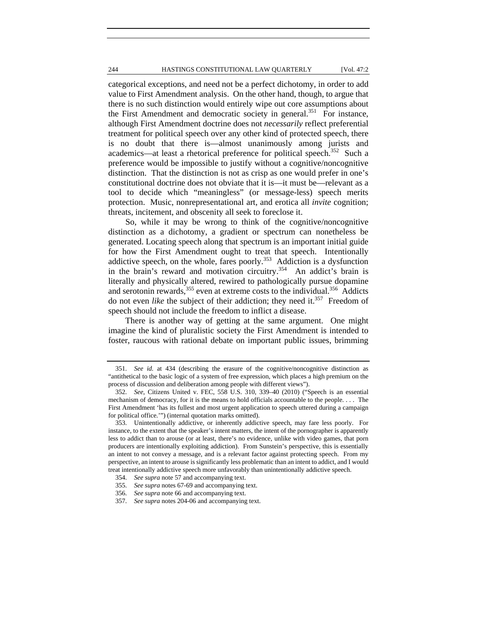# 244 HASTINGS CONSTITUTIONAL LAW QUARTERLY [Vol. 47:2

categorical exceptions, and need not be a perfect dichotomy, in order to add value to First Amendment analysis. On the other hand, though, to argue that there is no such distinction would entirely wipe out core assumptions about the First Amendment and democratic society in general.<sup>351</sup> For instance, although First Amendment doctrine does not *necessarily* reflect preferential treatment for political speech over any other kind of protected speech, there is no doubt that there is—almost unanimously among jurists and academics—at least a rhetorical preference for political speech.<sup>352</sup> Such a preference would be impossible to justify without a cognitive/noncognitive distinction. That the distinction is not as crisp as one would prefer in one's constitutional doctrine does not obviate that it is—it must be—relevant as a tool to decide which "meaningless" (or message-less) speech merits protection. Music, nonrepresentational art, and erotica all *invite* cognition; threats, incitement, and obscenity all seek to foreclose it.

So, while it may be wrong to think of the cognitive/noncognitive distinction as a dichotomy, a gradient or spectrum can nonetheless be generated. Locating speech along that spectrum is an important initial guide for how the First Amendment ought to treat that speech. Intentionally addictive speech, on the whole, fares poorly.<sup>353</sup> Addiction is a dysfunction in the brain's reward and motivation circuitry.<sup>354</sup> An addict's brain is literally and physically altered, rewired to pathologically pursue dopamine and serotonin rewards,  $355$  even at extreme costs to the individual.  $356$  Addicts do not even *like* the subject of their addiction; they need it.<sup>357</sup> Freedom of speech should not include the freedom to inflict a disease.

There is another way of getting at the same argument. One might imagine the kind of pluralistic society the First Amendment is intended to foster, raucous with rational debate on important public issues, brimming

 <sup>351.</sup> *See id.* at 434 (describing the erasure of the cognitive/noncognitive distinction as "antithetical to the basic logic of a system of free expression, which places a high premium on the process of discussion and deliberation among people with different views").

 <sup>352.</sup> *See*, Citizens United v. FEC, 558 U.S. 310, 339–40 (2010) ("Speech is an essential mechanism of democracy, for it is the means to hold officials accountable to the people. . . . The First Amendment 'has its fullest and most urgent application to speech uttered during a campaign for political office.'") (internal quotation marks omitted).

 <sup>353.</sup> Unintentionally addictive, or inherently addictive speech, may fare less poorly. For instance, to the extent that the speaker's intent matters, the intent of the pornographer is apparently less to addict than to arouse (or at least, there's no evidence, unlike with video games, that porn producers are intentionally exploiting addiction). From Sunstein's perspective, this is essentially an intent to not convey a message, and is a relevant factor against protecting speech. From my perspective, an intent to arouse is significantly less problematic than an intent to addict, and I would treat intentionally addictive speech more unfavorably than unintentionally addictive speech.

 <sup>354.</sup> *See supra* note 57 and accompanying text.

 <sup>355.</sup> *See supra* notes 67-69 and accompanying text.

 <sup>356.</sup> *See supra* note 66 and accompanying text.

 <sup>357.</sup> *See supra* notes 204-06 and accompanying text.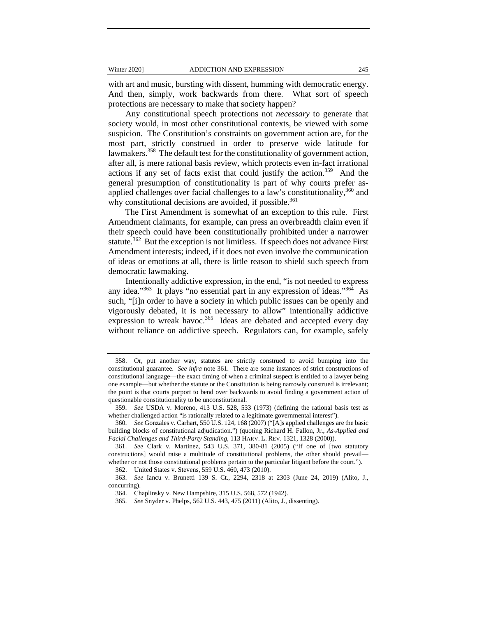with art and music, bursting with dissent, humming with democratic energy. And then, simply, work backwards from there. What sort of speech protections are necessary to make that society happen?

Any constitutional speech protections not *necessary* to generate that society would, in most other constitutional contexts, be viewed with some suspicion. The Constitution's constraints on government action are, for the most part, strictly construed in order to preserve wide latitude for lawmakers.<sup>358</sup> The default test for the constitutionality of government action, after all, is mere rational basis review, which protects even in-fact irrational actions if any set of facts exist that could justify the action.359 And the general presumption of constitutionality is part of why courts prefer asapplied challenges over facial challenges to a law's constitutionality,  $360$  and why constitutional decisions are avoided, if possible.<sup>361</sup>

The First Amendment is somewhat of an exception to this rule. First Amendment claimants, for example, can press an overbreadth claim even if their speech could have been constitutionally prohibited under a narrower statute.<sup>362</sup> But the exception is not limitless. If speech does not advance First Amendment interests; indeed, if it does not even involve the communication of ideas or emotions at all, there is little reason to shield such speech from democratic lawmaking.

Intentionally addictive expression, in the end, "is not needed to express any idea."<sup>363</sup> It plays "no essential part in any expression of ideas."<sup>364</sup> As such, "[i]n order to have a society in which public issues can be openly and vigorously debated, it is not necessary to allow" intentionally addictive expression to wreak havoc.<sup>365</sup> Ideas are debated and accepted every day without reliance on addictive speech. Regulators can, for example, safely

 <sup>358.</sup> Or, put another way, statutes are strictly construed to avoid bumping into the constitutional guarantee. *See infra* note 361. There are some instances of strict constructions of constitutional language—the exact timing of when a criminal suspect is entitled to a lawyer being one example—but whether the statute or the Constitution is being narrowly construed is irrelevant; the point is that courts purport to bend over backwards to avoid finding a government action of questionable constitutionality to be unconstitutional.

 <sup>359.</sup> *See* USDA v. Moreno, 413 U.S. 528, 533 (1973) (defining the rational basis test as whether challenged action "is rationally related to a legitimate governmental interest").

 <sup>360.</sup> *See* Gonzales v. Carhart, 550 U.S. 124, 168 (2007) ("[A]s applied challenges are the basic building blocks of constitutional adjudication.") (quoting Richard H. Fallon, Jr., *As-Applied and Facial Challenges and Third-Party Standing*, 113 HARV. L. REV. 1321, 1328 (2000)).

 <sup>361.</sup> *See* Clark v. Martinez, 543 U.S. 371, 380-81 (2005) ("If one of [two statutory constructions] would raise a multitude of constitutional problems, the other should prevail whether or not those constitutional problems pertain to the particular litigant before the court.").

 <sup>362.</sup> United States v. Stevens, 559 U.S. 460, 473 (2010).

 <sup>363.</sup> *See* Iancu v. Brunetti 139 S. Ct., 2294, 2318 at 2303 (June 24, 2019) (Alito, J., concurring).

 <sup>364.</sup> Chaplinsky v. New Hampshire, 315 U.S. 568, 572 (1942).

 <sup>365.</sup> *See* Snyder v. Phelps, 562 U.S. 443, 475 (2011) (Alito, J., dissenting).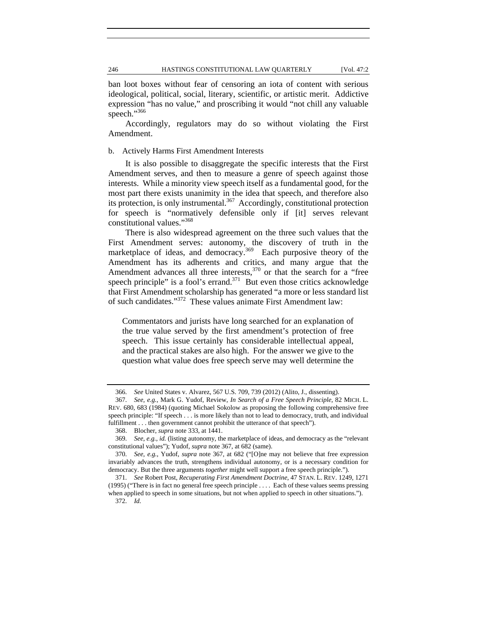ban loot boxes without fear of censoring an iota of content with serious ideological, political, social, literary, scientific, or artistic merit. Addictive expression "has no value," and proscribing it would "not chill any valuable speech."<sup>366</sup>

Accordingly, regulators may do so without violating the First Amendment.

b. Actively Harms First Amendment Interests

It is also possible to disaggregate the specific interests that the First Amendment serves, and then to measure a genre of speech against those interests. While a minority view speech itself as a fundamental good, for the most part there exists unanimity in the idea that speech, and therefore also its protection, is only instrumental.<sup>367</sup> Accordingly, constitutional protection for speech is "normatively defensible only if [it] serves relevant constitutional values."368

There is also widespread agreement on the three such values that the First Amendment serves: autonomy, the discovery of truth in the marketplace of ideas, and democracy.<sup>369</sup> Each purposive theory of the Amendment has its adherents and critics, and many argue that the Amendment advances all three interests, $370$  or that the search for a "free speech principle" is a fool's errand.<sup>371</sup> But even those critics acknowledge that First Amendment scholarship has generated "a more or less standard list of such candidates."372 These values animate First Amendment law:

Commentators and jurists have long searched for an explanation of the true value served by the first amendment's protection of free speech. This issue certainly has considerable intellectual appeal, and the practical stakes are also high. For the answer we give to the question what value does free speech serve may well determine the

 <sup>366.</sup> *See* United States v. Alvarez, 567 U.S. 709, 739 (2012) (Alito, J., dissenting).

 <sup>367.</sup> *See, e.g.*, Mark G. Yudof, Review, *In Search of a Free Speech Principle*, 82 MICH. L. REV. 680, 683 (1984) (quoting Michael Sokolow as proposing the following comprehensive free speech principle: "If speech . . . is more likely than not to lead to democracy, truth, and individual fulfillment . . . then government cannot prohibit the utterance of that speech").

 <sup>368.</sup> Blocher, *supra* note 333, at 1441.

 <sup>369.</sup> *See, e.g.*, *id.* (listing autonomy, the marketplace of ideas, and democracy as the "relevant constitutional values"); Yudof, *supra* note 367, at 682 (same).

 <sup>370.</sup> *See, e.g.*, Yudof, *supra* note 367, at 682 ("[O]ne may not believe that free expression invariably advances the truth, strengthens individual autonomy, or is a necessary condition for democracy. But the three arguments *together* might well support a free speech principle.").

 <sup>371.</sup> *See* Robert Post, *Recuperating First Amendment Doctrine*, 47 STAN. L. REV. 1249, 1271 (1995) ("There is in fact no general free speech principle . . . . Each of these values seems pressing

when applied to speech in some situations, but not when applied to speech in other situations."). 372. *Id.*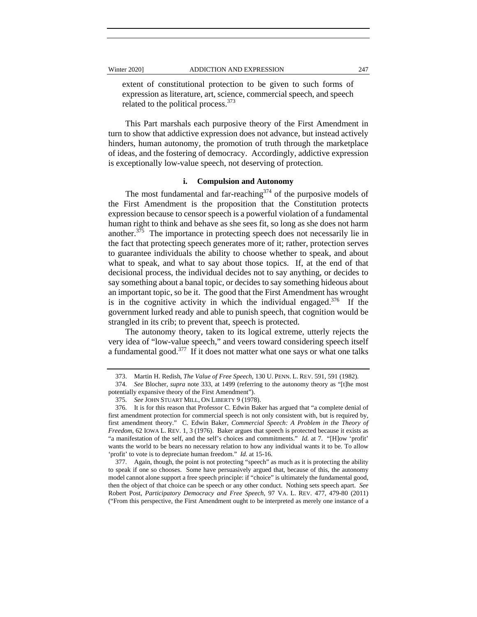extent of constitutional protection to be given to such forms of expression as literature, art, science, commercial speech, and speech related to the political process.<sup>373</sup>

This Part marshals each purposive theory of the First Amendment in turn to show that addictive expression does not advance, but instead actively hinders, human autonomy, the promotion of truth through the marketplace of ideas, and the fostering of democracy. Accordingly, addictive expression is exceptionally low-value speech, not deserving of protection.

# **i. Compulsion and Autonomy**

The most fundamental and far-reaching  $374$  of the purposive models of the First Amendment is the proposition that the Constitution protects expression because to censor speech is a powerful violation of a fundamental human right to think and behave as she sees fit, so long as she does not harm another.375 The importance in protecting speech does not necessarily lie in the fact that protecting speech generates more of it; rather, protection serves to guarantee individuals the ability to choose whether to speak, and about what to speak, and what to say about those topics. If, at the end of that decisional process, the individual decides not to say anything, or decides to say something about a banal topic, or decides to say something hideous about an important topic, so be it. The good that the First Amendment has wrought is in the cognitive activity in which the individual engaged. $376$  If the government lurked ready and able to punish speech, that cognition would be strangled in its crib; to prevent that, speech is protected.

The autonomy theory, taken to its logical extreme, utterly rejects the very idea of "low-value speech," and veers toward considering speech itself a fundamental good.<sup>377</sup> If it does not matter what one says or what one talks

 <sup>373.</sup> Martin H. Redish, *The Value of Free Speech*, 130 U. PENN. L. REV. 591, 591 (1982).

 <sup>374.</sup> *See* Blocher, *supra* note 333, at 1499 (referring to the autonomy theory as "[t]he most potentially expansive theory of the First Amendment").

 <sup>375.</sup> *See* JOHN STUART MILL, ON LIBERTY 9 (1978).

 <sup>376.</sup> It is for this reason that Professor C. Edwin Baker has argued that "a complete denial of first amendment protection for commercial speech is not only consistent with, but is required by, first amendment theory." C. Edwin Baker, *Commercial Speech: A Problem in the Theory of Freedom*, 62 IOWA L. REV. 1, 3 (1976). Baker argues that speech is protected because it exists as "a manifestation of the self, and the self's choices and commitments." *Id.* at 7. "[H]ow 'profit' wants the world to be bears no necessary relation to how any individual wants it to be. To allow 'profit' to vote is to depreciate human freedom." *Id.* at 15-16.

 <sup>377.</sup> Again, though, the point is not protecting "speech" as much as it is protecting the ability to speak if one so chooses. Some have persuasively argued that, because of this, the autonomy model cannot alone support a free speech principle: if "choice" is ultimately the fundamental good, then the object of that choice can be speech or any other conduct. Nothing sets speech apart. *See* Robert Post, *Participatory Democracy and Free Speech*, 97 VA. L. REV. 477, 479-80 (2011) ("From this perspective, the First Amendment ought to be interpreted as merely one instance of a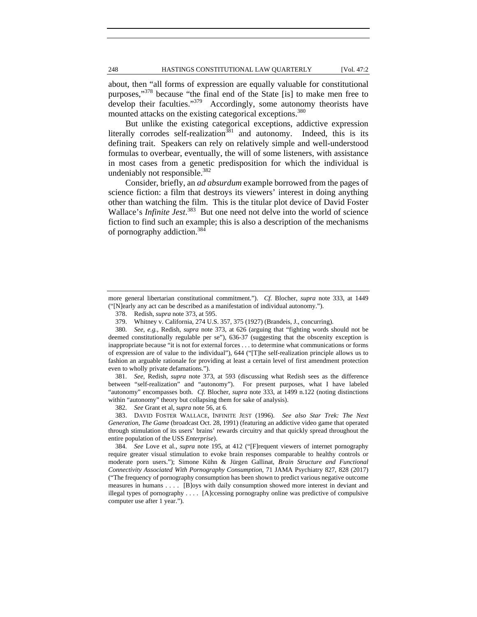about, then "all forms of expression are equally valuable for constitutional purposes,"378 because "the final end of the State [is] to make men free to develop their faculties."<sup>379</sup> Accordingly, some autonomy theorists have mounted attacks on the existing categorical exceptions.<sup>380</sup>

But unlike the existing categorical exceptions, addictive expression literally corrodes self-realization<sup>381</sup> and autonomy. Indeed, this is its defining trait. Speakers can rely on relatively simple and well-understood formulas to overbear, eventually, the will of some listeners, with assistance in most cases from a genetic predisposition for which the individual is undeniably not responsible. $382$ 

Consider, briefly, an *ad absurdum* example borrowed from the pages of science fiction: a film that destroys its viewers' interest in doing anything other than watching the film. This is the titular plot device of David Foster Wallace's *Infinite Jest*.<sup>383</sup> But one need not delve into the world of science fiction to find such an example; this is also a description of the mechanisms of pornography addiction.384

 381. *See,* Redish, *supra* note 373, at 593 (discussing what Redish sees as the difference between "self-realization" and "autonomy"). For present purposes, what I have labeled "autonomy" encompasses both. *Cf.* Blocher, *supra* note 333, at 1499 n.122 (noting distinctions within "autonomy" theory but collapsing them for sake of analysis).

382. *See* Grant et al, *supra* note 56, at 6.

 383. DAVID FOSTER WALLACE, INFINITE JEST (1996). *See also Star Trek: The Next Generation*, *The Game* (broadcast Oct. 28, 1991) (featuring an addictive video game that operated through stimulation of its users' brains' rewards circuitry and that quickly spread throughout the entire population of the USS *Enterprise*).

 384. *See* Love et al., *supra* note 195, at 412 ("[F]requent viewers of internet pornography require greater visual stimulation to evoke brain responses comparable to healthy controls or moderate porn users."); Simone Kühn & Jürgen Gallinat, *Brain Structure and Functional Connectivity Associated With Pornography Consumption*, 71 JAMA Psychiatry 827, 828 (2017) ("The frequency of pornography consumption has been shown to predict various negative outcome measures in humans . . . . [B]oys with daily consumption showed more interest in deviant and illegal types of pornography . . . . [A]ccessing pornography online was predictive of compulsive computer use after 1 year.").

more general libertarian constitutional commitment."). *Cf.* Blocher, *supra* note 333, at 1449 ("[N]early any act can be described as a manifestation of individual autonomy.").

 <sup>378.</sup> Redish, *supra* note 373, at 595.

 <sup>379.</sup> Whitney v. California, 274 U.S. 357, 375 (1927) (Brandeis, J., concurring).

 <sup>380.</sup> *See, e.g.*, Redish, *supra* note 373, at 626 (arguing that "fighting words should not be deemed constitutionally regulable per se"), 636-37 (suggesting that the obscenity exception is inappropriate because "it is not for external forces . . . to determine what communications or forms of expression are of value to the individual"), 644 ("[T]he self-realization principle allows us to fashion an arguable rationale for providing at least a certain level of first amendment protection even to wholly private defamations.").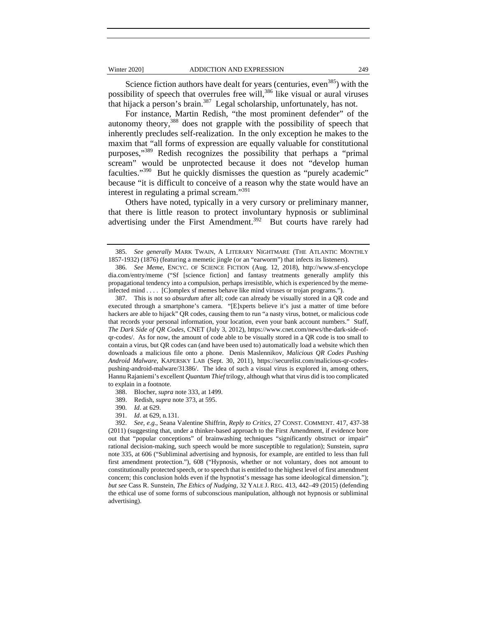Science fiction authors have dealt for years (centuries, even<sup>385</sup>) with the possibility of speech that overrules free will,<sup>386</sup> like visual or aural viruses that hijack a person's brain.<sup>387</sup> Legal scholarship, unfortunately, has not.

For instance, Martin Redish, "the most prominent defender" of the autonomy theory,388 does not grapple with the possibility of speech that inherently precludes self-realization. In the only exception he makes to the maxim that "all forms of expression are equally valuable for constitutional purposes,"389 Redish recognizes the possibility that perhaps a "primal scream" would be unprotected because it does not "develop human faculties."<sup>390</sup> But he quickly dismisses the question as "purely academic" because "it is difficult to conceive of a reason why the state would have an interest in regulating a primal scream."391

Others have noted, typically in a very cursory or preliminary manner, that there is little reason to protect involuntary hypnosis or subliminal advertising under the First Amendment.<sup>392</sup> But courts have rarely had

391. *Id*. at 629, n.131.

 <sup>385.</sup> *See generally* MARK TWAIN, A LITERARY NIGHTMARE (THE ATLANTIC MONTHLY 1857-1932) (1876) (featuring a memetic jingle (or an "earworm") that infects its listeners).

 <sup>386.</sup> *See Meme*, ENCYC. OF SCIENCE FICTION (Aug. 12, 2018), http://www.sf-encyclope dia.com/entry/meme ("Sf [science fiction] and fantasy treatments generally amplify this propagational tendency into a compulsion, perhaps irresistible, which is experienced by the memeinfected mind . . . . [C]omplex sf memes behave like mind viruses or trojan programs.").

 <sup>387.</sup> This is not so *absurdum* after all; code can already be visually stored in a QR code and executed through a smartphone's camera. "[E]xperts believe it's just a matter of time before hackers are able to hijack" QR codes, causing them to run "a nasty virus, botnet, or malicious code that records your personal information, your location, even your bank account numbers." Staff, *The Dark Side of QR Codes*, CNET (July 3, 2012), https://www.cnet.com/news/the-dark-side-ofqr-codes/. As for now, the amount of code able to be visually stored in a QR code is too small to contain a virus, but QR codes can (and have been used to) automatically load a website which then downloads a malicious file onto a phone. Denis Maslennikov, *Malicious QR Codes Pushing Android Malware*, KAPERSKY LAB (Sept. 30, 2011), https://securelist.com/malicious-qr-codespushing-android-malware/31386/. The idea of such a visual virus is explored in, among others, Hannu Rajaniemi's excellent *Quantum Thief* trilogy, although what that virus did is too complicated to explain in a footnote.

 <sup>388.</sup> Blocher, *supra* note 333, at 1499.

 <sup>389.</sup> Redish, *supra* note 373, at 595.

<sup>390</sup>*. Id*. at 629.

 <sup>392.</sup> *See, e.g.*, Seana Valentine Shiffrin, *Reply to Critics*, 27 CONST. COMMENT. 417, 437-38 (2011) (suggesting that, under a thinker-based approach to the First Amendment, if evidence bore out that "popular conceptions" of brainwashing techniques "significantly obstruct or impair" rational decision-making, such speech would be more susceptible to regulation); Sunstein, *supra* note 335, at 606 ("Subliminal advertising and hypnosis, for example, are entitled to less than full first amendment protection."), 608 ("Hypnosis, whether or not voluntary, does not amount to constitutionally protected speech, or to speech that is entitled to the highest level of first amendment concern; this conclusion holds even if the hypnotist's message has some ideological dimension."); *but see* Cass R. Sunstein, *The Ethics of Nudging*, 32 YALE J. REG. 413, 442–49 (2015) (defending the ethical use of some forms of subconscious manipulation, although not hypnosis or subliminal advertising).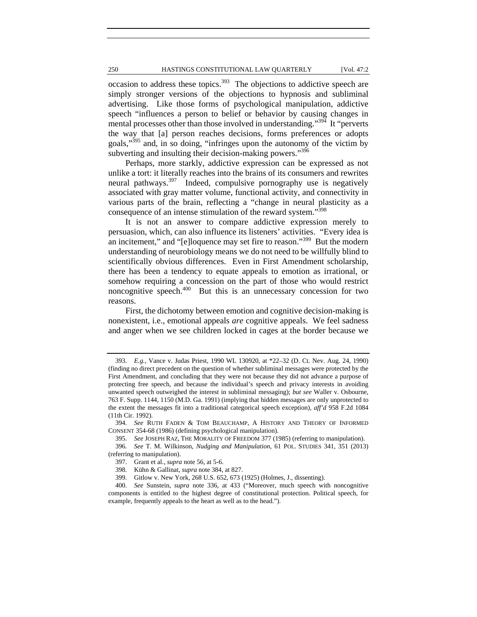# 250 HASTINGS CONSTITUTIONAL LAW QUARTERLY [Vol. 47:2

occasion to address these topics. $393$  The objections to addictive speech are simply stronger versions of the objections to hypnosis and subliminal advertising. Like those forms of psychological manipulation, addictive speech "influences a person to belief or behavior by causing changes in mental processes other than those involved in understanding."<sup>394</sup> It "perverts the way that [a] person reaches decisions, forms preferences or adopts goals,"395 and, in so doing, "infringes upon the autonomy of the victim by subverting and insulting their decision-making powers."<sup>396</sup>

Perhaps, more starkly, addictive expression can be expressed as not unlike a tort: it literally reaches into the brains of its consumers and rewrites neural pathways.<sup>397</sup> Indeed, compulsive pornography use is negatively associated with gray matter volume, functional activity, and connectivity in various parts of the brain, reflecting a "change in neural plasticity as a consequence of an intense stimulation of the reward system."<sup>398</sup>

It is not an answer to compare addictive expression merely to persuasion, which, can also influence its listeners' activities. "Every idea is an incitement," and "[e]loquence may set fire to reason."<sup>399</sup> But the modern understanding of neurobiology means we do not need to be willfully blind to scientifically obvious differences. Even in First Amendment scholarship, there has been a tendency to equate appeals to emotion as irrational, or somehow requiring a concession on the part of those who would restrict noncognitive speech.<sup>400</sup> But this is an unnecessary concession for two reasons.

First, the dichotomy between emotion and cognitive decision-making is nonexistent, i.e., emotional appeals *are* cognitive appeals. We feel sadness and anger when we see children locked in cages at the border because we

 <sup>393.</sup> *E.g.*, Vance v. Judas Priest, 1990 WL 130920, at \*22–32 (D. Ct. Nev. Aug. 24, 1990) (finding no direct precedent on the question of whether subliminal messages were protected by the First Amendment, and concluding that they were not because they did not advance a purpose of protecting free speech, and because the individual's speech and privacy interests in avoiding unwanted speech outweighed the interest in subliminal messaging); *but see* Waller v. Osbourne, 763 F. Supp. 1144, 1150 (M.D. Ga. 1991) (implying that hidden messages are only unprotected to the extent the messages fit into a traditional categorical speech exception), *aff'd* 958 F.2d 1084 (11th Cir. 1992).

 <sup>394.</sup> *See* RUTH FADEN & TOM BEAUCHAMP, A HISTORY AND THEORY OF INFORMED CONSENT 354-68 (1986) (defining psychological manipulation).

 <sup>395.</sup> *See* JOSEPH RAZ, THE MORALITY OF FREEDOM 377 (1985) (referring to manipulation).

 <sup>396.</sup> *See* T. M. Wilkinson, *Nudging and Manipulation*, 61 POL. STUDIES 341, 351 (2013) (referring to manipulation).

 <sup>397.</sup> Grant et al., *supra* note 56*,* at 5-6.

 <sup>398.</sup> Kühn & Gallinat, *supra* note 384, at 827.

 <sup>399.</sup> Gitlow v. New York, 268 U.S. 652, 673 (1925) (Holmes, J., dissenting).

 <sup>400.</sup> *See* Sunstein, *supra* note 336, at 433 ("Moreover, much speech with noncognitive components is entitled to the highest degree of constitutional protection. Political speech, for example, frequently appeals to the heart as well as to the head.").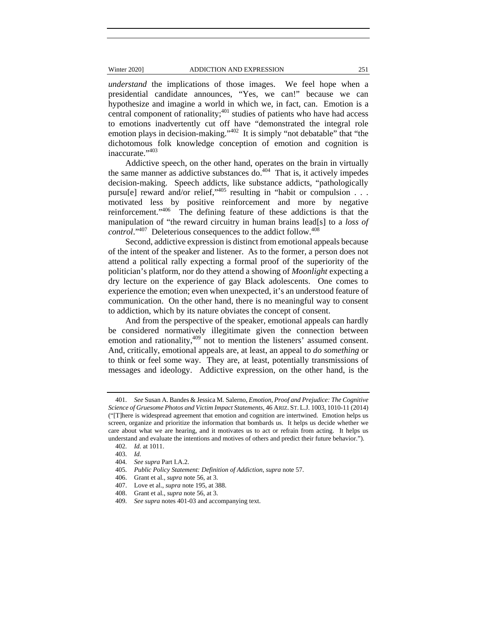*understand* the implications of those images. We feel hope when a presidential candidate announces, "Yes, we can!" because we can hypothesize and imagine a world in which we, in fact, can. Emotion is a central component of rationality; $401$  studies of patients who have had access to emotions inadvertently cut off have "demonstrated the integral role emotion plays in decision-making."<sup>402</sup> It is simply "not debatable" that "the dichotomous folk knowledge conception of emotion and cognition is inaccurate."403

Addictive speech, on the other hand, operates on the brain in virtually the same manner as addictive substances do. $404$  That is, it actively impedes decision-making. Speech addicts, like substance addicts, "pathologically pursu[e] reward and/or relief,"405 resulting in "habit or compulsion . . . motivated less by positive reinforcement and more by negative reinforcement."406 The defining feature of these addictions is that the manipulation of "the reward circuitry in human brains lead[s] to a *loss of control*."407 Deleterious consequences to the addict follow.408

Second, addictive expression is distinct from emotional appeals because of the intent of the speaker and listener. As to the former, a person does not attend a political rally expecting a formal proof of the superiority of the politician's platform, nor do they attend a showing of *Moonlight* expecting a dry lecture on the experience of gay Black adolescents. One comes to experience the emotion; even when unexpected, it's an understood feature of communication. On the other hand, there is no meaningful way to consent to addiction, which by its nature obviates the concept of consent.

And from the perspective of the speaker, emotional appeals can hardly be considered normatively illegitimate given the connection between emotion and rationality,<sup>409</sup> not to mention the listeners' assumed consent. And, critically, emotional appeals are, at least, an appeal to *do something* or to think or feel some way. They are, at least, potentially transmissions of messages and ideology. Addictive expression, on the other hand, is the

 <sup>401.</sup> *See* Susan A. Bandes & Jessica M. Salerno, *Emotion, Proof and Prejudice: The Cognitive Science of Gruesome Photos and Victim Impact Statements*, 46 ARIZ. ST. L.J. 1003, 1010-11 (2014) ("[T]here is widespread agreement that emotion and cognition are intertwined. Emotion helps us screen, organize and prioritize the information that bombards us. It helps us decide whether we care about what we are hearing, and it motivates us to act or refrain from acting. It helps us understand and evaluate the intentions and motives of others and predict their future behavior.").

 <sup>402.</sup> *Id.* at 1011.

 <sup>403.</sup> *Id.*

 <sup>404.</sup> *See supra* Part I.A.2.

 <sup>405.</sup> *Public Policy Statement: Definition of Addiction*, *supra* note 57.

 <sup>406.</sup> Grant et al., *supra* note 56, at 3.

 <sup>407.</sup> Love et al., *supra* note 195, at 388.

 <sup>408.</sup> Grant et al., *supra* note 56, at 3.

 <sup>409.</sup> *See supra* notes 401-03 and accompanying text.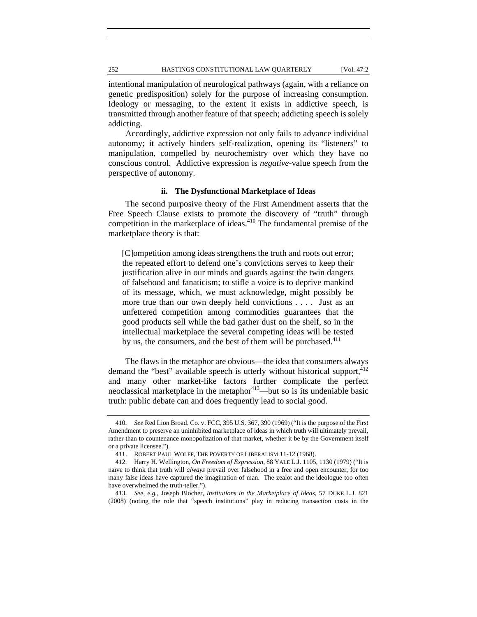intentional manipulation of neurological pathways (again, with a reliance on genetic predisposition) solely for the purpose of increasing consumption. Ideology or messaging, to the extent it exists in addictive speech, is transmitted through another feature of that speech; addicting speech is solely addicting.

Accordingly, addictive expression not only fails to advance individual autonomy; it actively hinders self-realization, opening its "listeners" to manipulation, compelled by neurochemistry over which they have no conscious control. Addictive expression is *negative*-value speech from the perspective of autonomy.

# **ii. The Dysfunctional Marketplace of Ideas**

The second purposive theory of the First Amendment asserts that the Free Speech Clause exists to promote the discovery of "truth" through competition in the marketplace of ideas.<sup>410</sup> The fundamental premise of the marketplace theory is that:

[C]ompetition among ideas strengthens the truth and roots out error; the repeated effort to defend one's convictions serves to keep their justification alive in our minds and guards against the twin dangers of falsehood and fanaticism; to stifle a voice is to deprive mankind of its message, which, we must acknowledge, might possibly be more true than our own deeply held convictions . . . . Just as an unfettered competition among commodities guarantees that the good products sell while the bad gather dust on the shelf, so in the intellectual marketplace the several competing ideas will be tested by us, the consumers, and the best of them will be purchased.<sup>411</sup>

The flaws in the metaphor are obvious—the idea that consumers always demand the "best" available speech is utterly without historical support,  $412$ and many other market-like factors further complicate the perfect neoclassical marketplace in the metaphor $413$ —but so is its undeniable basic truth: public debate can and does frequently lead to social good.

 <sup>410.</sup> *See* Red Lion Broad. Co. v. FCC, 395 U.S. 367, 390 (1969) ("It is the purpose of the First Amendment to preserve an uninhibited marketplace of ideas in which truth will ultimately prevail, rather than to countenance monopolization of that market, whether it be by the Government itself or a private licensee.").

 <sup>411.</sup> ROBERT PAUL WOLFF, THE POVERTY OF LIBERALISM 11-12 (1968).

 <sup>412.</sup> Harry H. Wellington, *On Freedom of Expression*, 88 YALE L.J. 1105, 1130 (1979) ("It is naïve to think that truth will *always* prevail over falsehood in a free and open encounter, for too many false ideas have captured the imagination of man. The zealot and the ideologue too often have overwhelmed the truth-teller.").

 <sup>413.</sup> *See, e.g.*, Joseph Blocher, *Institutions in the Marketplace of Ideas*, 57 DUKE L.J. 821 (2008) (noting the role that "speech institutions" play in reducing transaction costs in the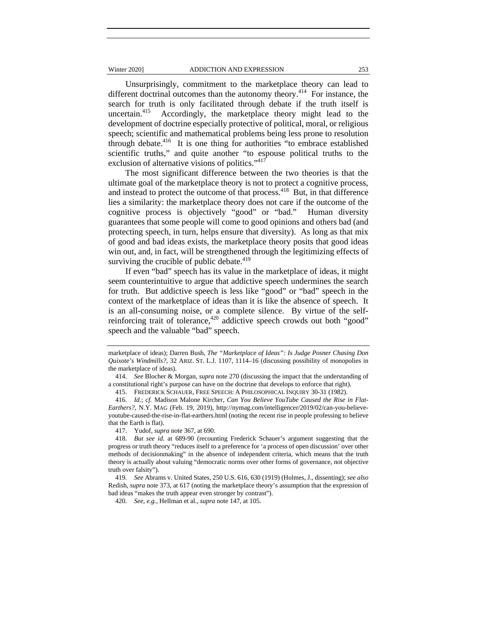Unsurprisingly, commitment to the marketplace theory can lead to different doctrinal outcomes than the autonomy theory.<sup>414</sup> For instance, the search for truth is only facilitated through debate if the truth itself is uncertain.<sup>415</sup> Accordingly, the marketplace theory might lead to the development of doctrine especially protective of political, moral, or religious speech; scientific and mathematical problems being less prone to resolution through debate. $416$  It is one thing for authorities "to embrace established scientific truths," and quite another "to espouse political truths to the exclusion of alternative visions of politics."<sup>417</sup>

The most significant difference between the two theories is that the ultimate goal of the marketplace theory is not to protect a cognitive process, and instead to protect the outcome of that process.<sup>418</sup> But, in that difference lies a similarity: the marketplace theory does not care if the outcome of the cognitive process is objectively "good" or "bad." Human diversity guarantees that some people will come to good opinions and others bad (and protecting speech, in turn, helps ensure that diversity). As long as that mix of good and bad ideas exists, the marketplace theory posits that good ideas win out, and, in fact, will be strengthened through the legitimizing effects of surviving the crucible of public debate.<sup>419</sup>

If even "bad" speech has its value in the marketplace of ideas, it might seem counterintuitive to argue that addictive speech undermines the search for truth. But addictive speech is less like "good" or "bad" speech in the context of the marketplace of ideas than it is like the absence of speech. It is an all-consuming noise, or a complete silence. By virtue of the selfreinforcing trait of tolerance,<sup>420</sup> addictive speech crowds out both "good" speech and the valuable "bad" speech.

417. Yudof, *supra* note 367, at 690.

marketplace of ideas); Darren Bush, *The "Marketplace of Ideas": Is Judge Posner Chasing Don Quixote's Windmills?*, 32 ARIZ. ST. L.J. 1107, 1114–16 (discussing possibility of monopolies in the marketplace of ideas).

 <sup>414.</sup> *See* Blocher & Morgan, *supra* note 270 (discussing the impact that the understanding of a constitutional right's purpose can have on the doctrine that develops to enforce that right).

 <sup>415.</sup> FREDERICK SCHAUER, FREE SPEECH: A PHILOSOPHICAL INQUIRY 30-31 (1982).

 <sup>416.</sup> *Id.*; *cf.* Madison Malone Kircher, *Can You Believe YouTube Caused the Rise in Flat-Earthers?*, N.Y. MAG (Feb. 19, 2019), http://nymag.com/intelligencer/2019/02/can-you-believeyoutube-caused-the-rise-in-flat-earthers.html (noting the recent rise in people professing to believe that the Earth is flat).

 <sup>418.</sup> *But see id.* at 689-90 (recounting Frederick Schauer's argument suggesting that the progress or truth theory "reduces itself to a preference for 'a process of open discussion' over other methods of decisionmaking" in the absence of independent criteria, which means that the truth theory is actually about valuing "democratic norms over other forms of governance, not objective truth over falsity").

 <sup>419.</sup> *See* Abrams v. United States, 250 U.S. 616, 630 (1919) (Holmes, J., dissenting); *see also* Redish, *supra* note 373, at 617 (noting the marketplace theory's assumption that the expression of bad ideas "makes the truth appear even stronger by contrast").

 <sup>420.</sup> *See, e.g.*, Hellman et al., *supra* note 147, at 105.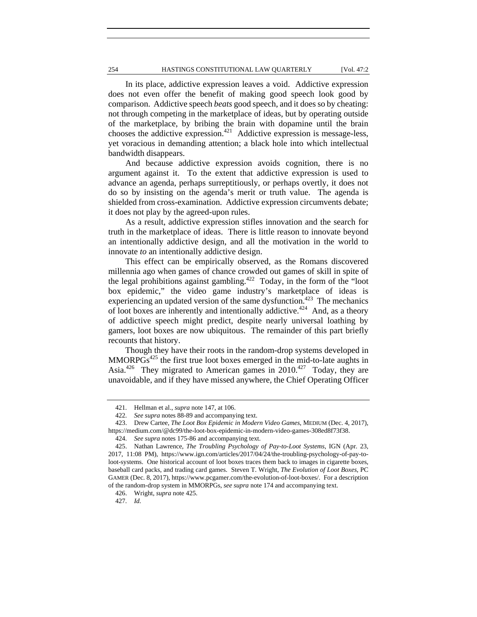#### 254 HASTINGS CONSTITUTIONAL LAW QUARTERLY [Vol. 47:2

In its place, addictive expression leaves a void. Addictive expression does not even offer the benefit of making good speech look good by comparison. Addictive speech *beats* good speech, and it does so by cheating: not through competing in the marketplace of ideas, but by operating outside of the marketplace, by bribing the brain with dopamine until the brain chooses the addictive expression.<sup>421</sup> Addictive expression is message-less, yet voracious in demanding attention; a black hole into which intellectual bandwidth disappears.

And because addictive expression avoids cognition, there is no argument against it. To the extent that addictive expression is used to advance an agenda, perhaps surreptitiously, or perhaps overtly, it does not do so by insisting on the agenda's merit or truth value. The agenda is shielded from cross-examination. Addictive expression circumvents debate; it does not play by the agreed-upon rules.

As a result, addictive expression stifles innovation and the search for truth in the marketplace of ideas. There is little reason to innovate beyond an intentionally addictive design, and all the motivation in the world to innovate *to* an intentionally addictive design.

This effect can be empirically observed, as the Romans discovered millennia ago when games of chance crowded out games of skill in spite of the legal prohibitions against gambling.<sup> $422$ </sup> Today, in the form of the "loot" box epidemic," the video game industry's marketplace of ideas is experiencing an updated version of the same dysfunction.<sup>423</sup> The mechanics of loot boxes are inherently and intentionally addictive.<sup>424</sup> And, as a theory of addictive speech might predict, despite nearly universal loathing by gamers, loot boxes are now ubiquitous. The remainder of this part briefly recounts that history.

Though they have their roots in the random-drop systems developed in  $MMORPGs<sup>425</sup>$  the first true loot boxes emerged in the mid-to-late aughts in Asia.<sup>426</sup> They migrated to American games in 2010.<sup>427</sup> Today, they are unavoidable, and if they have missed anywhere, the Chief Operating Officer

 <sup>421.</sup> Hellman et al., *supra* note 147, at 106.

 <sup>422.</sup> *See supra* notes 88-89 and accompanying text.

 <sup>423.</sup> Drew Cartee, *The Loot Box Epidemic in Modern Video Games*, MEDIUM (Dec. 4, 2017), https://medium.com/@dc99/the-loot-box-epidemic-in-modern-video-games-308ed8f73f38.

 <sup>424.</sup> *See supra* notes 175-86 and accompanying text.

 <sup>425.</sup> Nathan Lawrence, *The Troubling Psychology of Pay-to-Loot Systems*, IGN (Apr. 23, 2017, 11:08 PM), https://www.ign.com/articles/2017/04/24/the-troubling-psychology-of-pay-toloot-systems. One historical account of loot boxes traces them back to images in cigarette boxes, baseball card packs, and trading card games. Steven T. Wright, *The Evolution of Loot Boxes*, PC GAMER (Dec. 8, 2017), https://www.pcgamer.com/the-evolution-of-loot-boxes/. For a description of the random-drop system in MMORPGs, *see supra* note 174 and accompanying text.

 <sup>426.</sup> Wright, *supra* note 425.

 <sup>427.</sup> *Id.*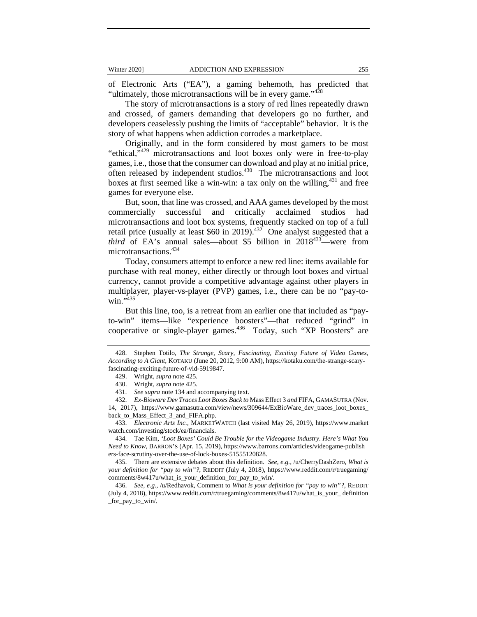of Electronic Arts ("EA"), a gaming behemoth, has predicted that "ultimately, those microtransactions will be in every game."<sup>428</sup>

The story of microtransactions is a story of red lines repeatedly drawn and crossed, of gamers demanding that developers go no further, and developers ceaselessly pushing the limits of "acceptable" behavior. It is the story of what happens when addiction corrodes a marketplace.

Originally, and in the form considered by most gamers to be most "ethical,"<sup>429</sup> microtransactions and loot boxes only were in free-to-play games, i.e., those that the consumer can download and play at no initial price, often released by independent studios.<sup>430</sup> The microtransactions and loot boxes at first seemed like a win-win: a tax only on the willing,  $431$  and free games for everyone else.

But, soon, that line was crossed, and AAA games developed by the most commercially successful and critically acclaimed studios had microtransactions and loot box systems, frequently stacked on top of a full retail price (usually at least \$60 in 2019).<sup>432</sup> One analyst suggested that a *third* of EA's annual sales—about \$5 billion in 2018<sup>433</sup>—were from microtransactions.434

Today, consumers attempt to enforce a new red line: items available for purchase with real money, either directly or through loot boxes and virtual currency, cannot provide a competitive advantage against other players in multiplayer, player-vs-player (PVP) games, i.e., there can be no "pay-towin." $435$ 

But this line, too, is a retreat from an earlier one that included as "payto-win" items—like "experience boosters"—that reduced "grind" in cooperative or single-player games.<sup>436</sup> Today, such "XP Boosters" are

 433. *Electronic Arts Inc.*, MARKETWATCH (last visited May 26, 2019), https://www.market watch.com/investing/stock/ea/financials.

 434. Tae Kim, *'Loot Boxes' Could Be Trouble for the Videogame Industry. Here's What You Need to Know*, BARRON'S (Apr. 15, 2019), https://www.barrons.com/articles/videogame-publish ers-face-scrutiny-over-the-use-of-lock-boxes-51555120828.

 435. There are extensive debates about this definition. *See, e.g.*, /u/CherryDashZero, *What is your definition for "pay to win"?*, REDDIT (July 4, 2018), https://www.reddit.com/r/truegaming/ comments/8w417u/what\_is\_your\_definition\_for\_pay\_to\_win/.

 436. *See, e.g.*, /u/Redhavok, Comment to *What is your definition for "pay to win"?*, REDDIT (July 4, 2018), https://www.reddit.com/r/truegaming/comments/8w417u/what\_is\_your\_ definition \_for\_pay\_to\_win/.

 <sup>428.</sup> Stephen Totilo, *The Strange, Scary, Fascinating, Exciting Future of Video Games, According to A Giant*, KOTAKU (June 20, 2012, 9:00 AM), https://kotaku.com/the-strange-scaryfascinating-exciting-future-of-vid-5919847.

 <sup>429.</sup> Wright, *supra* note 425.

 <sup>430.</sup> Wright, *supra* note 425.

 <sup>431.</sup> *See supra* note 134 and accompanying text.

 <sup>432.</sup> *Ex-Bioware Dev Traces Loot Boxes Back to* Mass Effect 3 *and* FIFA, GAMASUTRA (Nov. 14, 2017), https://www.gamasutra.com/view/news/309644/ExBioWare\_dev\_traces\_loot\_boxes\_ back\_to\_Mass\_Effect\_3\_and\_FIFA.php.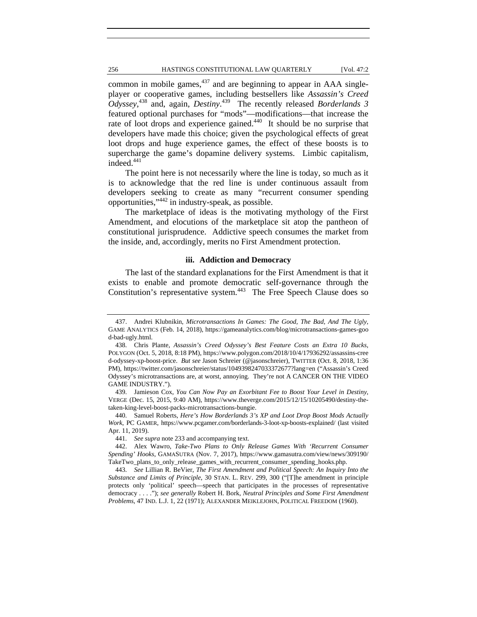# 256 HASTINGS CONSTITUTIONAL LAW QUARTERLY [Vol. 47:2

common in mobile games, $437$  and are beginning to appear in AAA singleplayer or cooperative games, including bestsellers like *Assassin's Creed Odyssey*, 438 and, again, *Destiny*. 439 The recently released *Borderlands 3* featured optional purchases for "mods"—modifications—that increase the rate of loot drops and experience gained.<sup>440</sup> It should be no surprise that developers have made this choice; given the psychological effects of great loot drops and huge experience games, the effect of these boosts is to supercharge the game's dopamine delivery systems. Limbic capitalism, indeed.<sup>441</sup>

The point here is not necessarily where the line is today, so much as it is to acknowledge that the red line is under continuous assault from developers seeking to create as many "recurrent consumer spending opportunities,"442 in industry-speak, as possible.

The marketplace of ideas is the motivating mythology of the First Amendment, and elocutions of the marketplace sit atop the pantheon of constitutional jurisprudence. Addictive speech consumes the market from the inside, and, accordingly, merits no First Amendment protection.

## **iii. Addiction and Democracy**

The last of the standard explanations for the First Amendment is that it exists to enable and promote democratic self-governance through the Constitution's representative system.<sup>443</sup> The Free Speech Clause does so

 439. Jamieson Cox, *You Can Now Pay an Exorbitant Fee to Boost Your Level in Destiny*, VERGE (Dec. 15, 2015, 9:40 AM), https://www.theverge.com/2015/12/15/10205490/destiny-thetaken-king-level-boost-packs-microtransactions-bungie.

 440. Samuel Roberts, *Here's How Borderlands 3's XP and Loot Drop Boost Mods Actually Work*, PC GAMER, https://www.pcgamer.com/borderlands-3-loot-xp-boosts-explained/ (last visited Apr. 11, 2019).

441. *See supra* note 233 and accompanying text.

 442. Alex Wawro, *Take-Two Plans to Only Release Games With 'Recurrent Consumer Spending' Hooks*, GAMASUTRA (Nov. 7, 2017), https://www.gamasutra.com/view/news/309190/ TakeTwo\_plans\_to\_only\_release\_games\_with\_recurrent\_consumer\_spending\_hooks.php.

 443. *See* Lillian R. BeVier, *The First Amendment and Political Speech: An Inquiry Into the Substance and Limits of Principle*, 30 STAN. L. REV. 299, 300 ("[T]he amendment in principle protects only 'political' speech—speech that participates in the processes of representative democracy . . . ."); *see generally* Robert H. Bork, *Neutral Principles and Some First Amendment Problems*, 47 IND. L.J. 1, 22 (1971); ALEXANDER MEIKLEJOHN, POLITICAL FREEDOM (1960).

 <sup>437.</sup> Andrei Klubnikin, *Microtransactions In Games: The Good, The Bad, And The Ugly*, GAME ANALYTICS (Feb. 14, 2018), https://gameanalytics.com/blog/microtransactions-games-goo d-bad-ugly.html.

 <sup>438.</sup> Chris Plante, *Assassin's Creed Odyssey's Best Feature Costs an Extra 10 Bucks*, POLYGON (Oct. 5, 2018, 8:18 PM), https://www.polygon.com/2018/10/4/17936292/assassins-cree d-odyssey-xp-boost-price. *But see* Jason Schreier (@jasonschreier), TWITTER (Oct. 8, 2018, 1:36 PM), https://twitter.com/jasonschreier/status/1049398247033372677?lang=en ("Assassin's Creed Odyssey's microtransactions are, at worst, annoying. They're not A CANCER ON THE VIDEO GAME INDUSTRY.").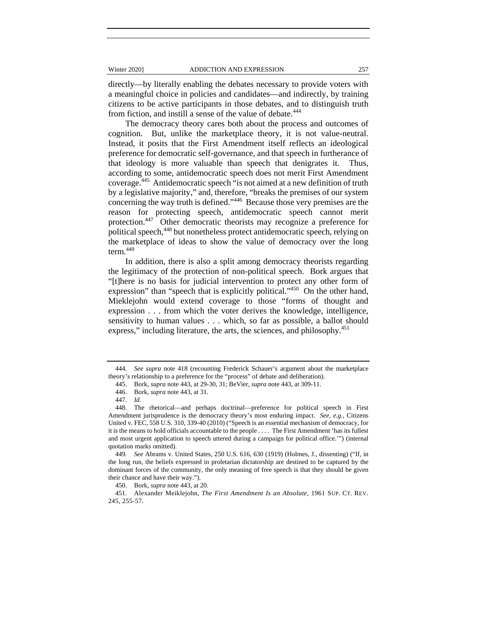directly—by literally enabling the debates necessary to provide voters with a meaningful choice in policies and candidates—and indirectly, by training citizens to be active participants in those debates, and to distinguish truth from fiction, and instill a sense of the value of debate.<sup>444</sup>

The democracy theory cares both about the process and outcomes of cognition. But, unlike the marketplace theory, it is not value-neutral. Instead, it posits that the First Amendment itself reflects an ideological preference for democratic self-governance, and that speech in furtherance of that ideology is more valuable than speech that denigrates it. Thus, according to some, antidemocratic speech does not merit First Amendment coverage.445 Antidemocratic speech "is not aimed at a new definition of truth by a legislative majority," and, therefore, "breaks the premises of our system concerning the way truth is defined." $446$  Because those very premises are the reason for protecting speech, antidemocratic speech cannot merit protection.447 Other democratic theorists may recognize a preference for political speech,<sup>448</sup> but nonetheless protect antidemocratic speech, relying on the marketplace of ideas to show the value of democracy over the long term.<sup>449</sup>

In addition, there is also a split among democracy theorists regarding the legitimacy of the protection of non-political speech. Bork argues that "[t]here is no basis for judicial intervention to protect any other form of expression" than "speech that is explicitly political."<sup>450</sup> On the other hand, Mieklejohn would extend coverage to those "forms of thought and expression . . . from which the voter derives the knowledge, intelligence, sensitivity to human values . . . which, so far as possible, a ballot should express," including literature, the arts, the sciences, and philosophy.<sup>451</sup>

 <sup>444.</sup> *See supra* note 418 (recounting Frederick Schauer's argument about the marketplace theory's relationship to a preference for the "process" of debate and deliberation).

 <sup>445.</sup> Bork, *supra* note 443, at 29-30, 31; BeVier, *supra* note 443, at 309-11.

 <sup>446.</sup> Bork, *supra* note 443, at 31.

 <sup>447.</sup> *Id.*

 <sup>448.</sup> The rhetorical—and perhaps doctrinal—preference for political speech in First Amendment jurisprudence is the democracy theory's most enduring impact. *See, e.g.*, Citizens United v. FEC, 558 U.S. 310, 339-40 (2010) ("Speech is an essential mechanism of democracy, for it is the means to hold officials accountable to the people . . . . The First Amendment 'has its fullest and most urgent application to speech uttered during a campaign for political office.'") (internal quotation marks omitted).

 <sup>449.</sup> *See* Abrams v. United States, 250 U.S. 616, 630 (1919) (Holmes, J., dissenting) ("If, in the long run, the beliefs expressed in proletarian dictatorship are destined to be captured by the dominant forces of the community, the only meaning of free speech is that they should be given their chance and have their way.").

 <sup>450.</sup> Bork, *supra* note 443, at 20.

 <sup>451.</sup> Alexander Meiklejohn, *The First Amendment Is an Absolute*, 1961 SUP. CT. REV. 245, 255-57.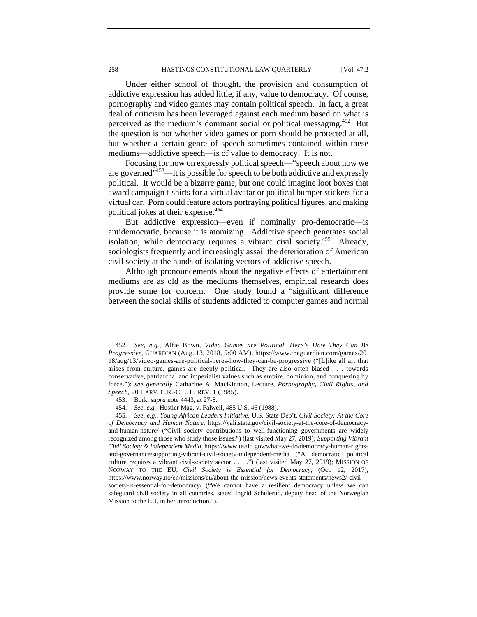# 258 HASTINGS CONSTITUTIONAL LAW QUARTERLY [Vol. 47:2

Under either school of thought, the provision and consumption of addictive expression has added little, if any, value to democracy. Of course, pornography and video games may contain political speech. In fact, a great deal of criticism has been leveraged against each medium based on what is perceived as the medium's dominant social or political messaging.<sup>452</sup> But the question is not whether video games or porn should be protected at all, but whether a certain genre of speech sometimes contained within these mediums—addictive speech—is of value to democracy. It is not.

Focusing for now on expressly political speech—"speech about how we are governed"453—it is possible for speech to be both addictive and expressly political. It would be a bizarre game, but one could imagine loot boxes that award campaign t-shirts for a virtual avatar or political bumper stickers for a virtual car. Porn could feature actors portraying political figures, and making political jokes at their expense.<sup>454</sup>

But addictive expression—even if nominally pro-democratic—is antidemocratic, because it is atomizing. Addictive speech generates social isolation, while democracy requires a vibrant civil society.<sup>455</sup> Already, sociologists frequently and increasingly assail the deterioration of American civil society at the hands of isolating vectors of addictive speech.

Although pronouncements about the negative effects of entertainment mediums are as old as the mediums themselves, empirical research does provide some for concern. One study found a "significant difference between the social skills of students addicted to computer games and normal

 <sup>452.</sup> *See, e.g.*, Alfie Bown, *Video Games are Political. Here's How They Can Be Progressive*, GUARDIAN (Aug. 13, 2018, 5:00 AM), https://www.theguardian.com/games/20 18/aug/13/video-games-are-political-heres-how-they-can-be-progressive ("[L]ike all art that arises from culture, games are deeply political. They are also often biased . . . towards conservative, patriarchal and imperialist values such as empire, dominion, and conquering by force."); *see generally* Catharine A. MacKinnon, Lecture, *Pornography, Civil Rights, and Speech*, 20 HARV. C.R.-C.L. L. REV. 1 (1985).

 <sup>453.</sup> Bork, *supra* note 4443, at 27-8.

 <sup>454.</sup> *See, e.g.*, Hustler Mag. v. Falwell, 485 U.S. 46 (1988).

 <sup>455.</sup> *See, e.g.*, *Young African Leaders Initiative*, U.S. State Dep't, *Civil Society: At the Core of Democracy and Human Nature*, https://yali.state.gov/civil-society-at-the-core-of-democracyand-human-nature/ ("Civil society contributions to well-functioning governments are widely recognized among those who study those issues.") (last visited May 27, 2019); *Supporting Vibrant Civil Society & Independent Media*, https://www.usaid.gov/what-we-do/democracy-human-rightsand-governance/supporting-vibrant-civil-society-independent-media ("A democratic political culture requires a vibrant civil-society sector . . . .") (last visited May 27, 2019); MISSION OF NORWAY TO THE EU, *Civil Society is Essential for Democracy*, (Oct. 12, 2017), https://www.norway.no/en/missions/eu/about-the-mission/news-events-statements/news2/-civilsociety-is-essential-for-democracy/ ("We cannot have a resilient democracy unless we can safeguard civil society in all countries, stated Ingrid Schulerud, deputy head of the Norwegian Mission to the EU, in her introduction.").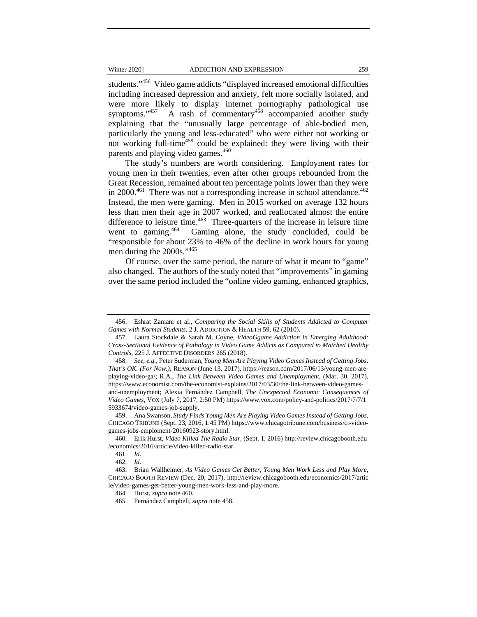students."<sup>456</sup> Video game addicts "displayed increased emotional difficulties including increased depression and anxiety, felt more socially isolated, and were more likely to display internet pornography pathological use symptoms." $457$  A rash of commentary $458$  accompanied another study explaining that the "unusually large percentage of able-bodied men, particularly the young and less-educated" who were either not working or not working full-time<sup>459</sup> could be explained: they were living with their parents and playing video games.<sup>460</sup>

The study's numbers are worth considering. Employment rates for young men in their twenties, even after other groups rebounded from the Great Recession, remained about ten percentage points lower than they were in  $2000^{461}$  There was not a corresponding increase in school attendance.<sup>462</sup> Instead, the men were gaming. Men in 2015 worked on average 132 hours less than men their age in 2007 worked, and reallocated almost the entire difference to leisure time. $463$  Three-quarters of the increase in leisure time went to gaming.<sup>464</sup> Gaming alone, the study concluded, could be "responsible for about 23% to 46% of the decline in work hours for young men during the 2000s."<sup>465</sup>

Of course, over the same period, the nature of what it meant to "game" also changed. The authors of the study noted that "improvements" in gaming over the same period included the "online video gaming, enhanced graphics,

 <sup>456.</sup> Eshrat Zamani et al., *Comparing the Social Skills of Students Addicted to Computer Games with Normal Students*, 2 J. ADDICTION & HEALTH 59, 62 (2010).

 <sup>457.</sup> Laura Stockdale & Sarah M. Coyne, *VideoGgame Addiction in Emerging Adulthood: Cross-Sectional Evidence of Pathology in Video Game Addicts as Compared to Matched Healthy Controls*, 225 J. AFFECTIVE DISORDERS 265 (2018).

 <sup>458.</sup> *See, e.g.*, Peter Suderman, *Young Men Are Playing Video Games Instead of Getting Jobs. That's OK. (For Now.)*, REASON (June 13, 2017), https://reason.com/2017/06/13/young-men-areplaying-video-ga/; R.A., *The Link Between Video Games and Unemployment*, (Mar. 30, 2017), https://www.economist.com/the-economist-explains/2017/03/30/the-link-between-video-gamesand-unemployment; Alexia Fernández Campbell, *The Unexpected Economic Consequences of Video Games,* VOX (July 7, 2017, 2:50 PM) https://www.vox.com/policy-and-politics/2017/7/7/1 5933674/video-games-job-supply.

 <sup>459.</sup> Ana Swanson, *Study Finds Young Men Are Playing Video Games Instead of Getting Jobs*, CHICAGO TRIBUNE (Sept. 23, 2016, 1:45 PM) https://www.chicagotribune.com/business/ct-videogames-jobs-emploment-20160923-story.html.

 <sup>460.</sup> Erik Hurst, *Video Killed The Radio Star,* (Sept. 1, 2016) http://review.chicagobooth.edu /economics/2016/article/video-killed-radio-star.

 <sup>461.</sup> *Id.*

 <sup>462.</sup> *Id.*

 <sup>463.</sup> Brian Wallheimer, *As Video Games Get Better, Young Men Work Less and Play More*, CHICAGO BOOTH REVIEW (Dec. 20, 2017), http://review.chicagobooth.edu/economics/2017/artic le/video-games-get-better-young-men-work-less-and-play-more.

 <sup>464.</sup> Hurst, *supra* note 460.

 <sup>465.</sup> Fernández Campbell, *supra* note 458.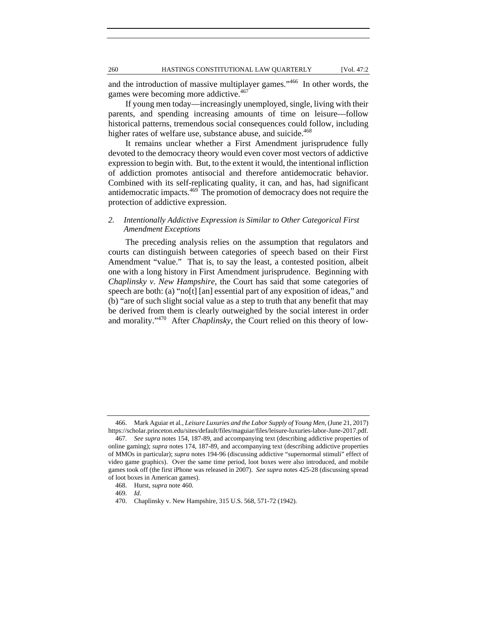and the introduction of massive multiplayer games."466 In other words, the games were becoming more addictive.<sup>467</sup>

If young men today—increasingly unemployed, single, living with their parents, and spending increasing amounts of time on leisure—follow historical patterns, tremendous social consequences could follow, including higher rates of welfare use, substance abuse, and suicide.<sup>468</sup>

It remains unclear whether a First Amendment jurisprudence fully devoted to the democracy theory would even cover most vectors of addictive expression to begin with. But, to the extent it would, the intentional infliction of addiction promotes antisocial and therefore antidemocratic behavior. Combined with its self-replicating quality, it can, and has, had significant antidemocratic impacts.<sup>469</sup> The promotion of democracy does not require the protection of addictive expression.

# *2. Intentionally Addictive Expression is Similar to Other Categorical First Amendment Exceptions*

The preceding analysis relies on the assumption that regulators and courts can distinguish between categories of speech based on their First Amendment "value." That is, to say the least, a contested position, albeit one with a long history in First Amendment jurisprudence. Beginning with *Chaplinsky v. New Hampshire*, the Court has said that some categories of speech are both: (a) "no[t] [an] essential part of any exposition of ideas," and (b) "are of such slight social value as a step to truth that any benefit that may be derived from them is clearly outweighed by the social interest in order and morality."470 After *Chaplinsky*, the Court relied on this theory of low-

 <sup>466.</sup> Mark Aguiar et al., *Leisure Luxuries and the Labor Supply of Young Men*, (June 21, 2017) https://scholar.princeton.edu/sites/default/files/maguiar/files/leisure-luxuries-labor-June-2017.pdf.

 <sup>467.</sup> *See supra* notes 154, 187-89, and accompanying text (describing addictive properties of online gaming); *supra* notes 174, 187-89, and accompanying text (describing addictive properties of MMOs in particular); *supra* notes 194-96 (discussing addictive "supernormal stimuli" effect of video game graphics). Over the same time period, loot boxes were also introduced, and mobile games took off (the first iPhone was released in 2007). *See supra* notes 425-28 (discussing spread of loot boxes in American games).

 <sup>468.</sup> Hurst, *supra* note 460.

 <sup>469.</sup> *Id*.

 <sup>470.</sup> Chaplinsky v. New Hampshire, 315 U.S. 568, 571-72 (1942).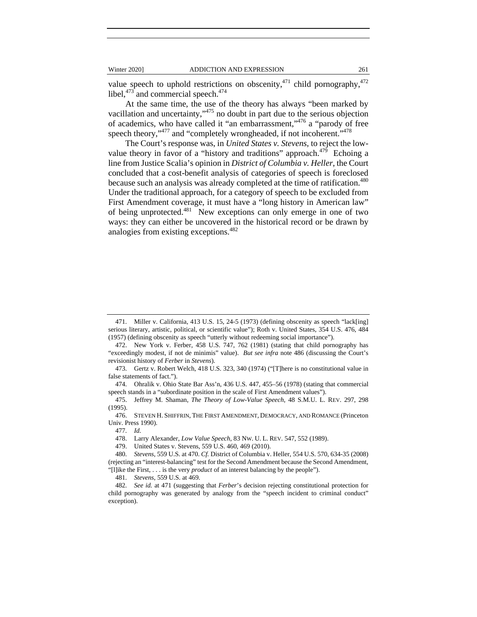value speech to uphold restrictions on obscenity,  $471$  child pornography,  $472$ libel, $4^{73}$  and commercial speech. $4^{74}$ 

At the same time, the use of the theory has always "been marked by vacillation and uncertainty,"475 no doubt in part due to the serious objection of academics, who have called it "an embarrassment,"476 a "parody of free speech theory,"<sup>477</sup> and "completely wrongheaded, if not incoherent."<sup>478</sup>

The Court's response was, in *United States v. Stevens*, to reject the lowvalue theory in favor of a "history and traditions" approach. $479$  Echoing a line from Justice Scalia's opinion in *District of Columbia v. Heller*, the Court concluded that a cost-benefit analysis of categories of speech is foreclosed because such an analysis was already completed at the time of ratification.<sup>480</sup> Under the traditional approach, for a category of speech to be excluded from First Amendment coverage, it must have a "long history in American law" of being unprotected.<sup>481</sup> New exceptions can only emerge in one of two ways: they can either be uncovered in the historical record or be drawn by analogies from existing exceptions.482

 474. Ohralik v. Ohio State Bar Ass'n, 436 U.S. 447, 455–56 (1978) (stating that commercial speech stands in a "subordinate position in the scale of First Amendment values").

 475. Jeffrey M. Shaman, *The Theory of Low-Value Speech*, 48 S.M.U. L. REV. 297, 298 (1995).

 476. STEVEN H. SHIFFRIN, THE FIRST AMENDMENT, DEMOCRACY, AND ROMANCE (Princeton Univ. Press 1990).

477. *Id.*

478. Larry Alexander, *Low Value Speech*, 83 NW. U. L. REV. 547, 552 (1989).

479. United States v. Stevens, 559 U.S. 460, 469 (2010).

 480. *Stevens*, 559 U.S. at 470. *Cf.* District of Columbia v. Heller, 554 U.S. 570, 634-35 (2008) (rejecting an "interest-balancing" test for the Second Amendment because the Second Amendment, "[l]ike the First, . . . is the very *product* of an interest balancing by the people").

481. *Stevens*, 559 U.S. at 469.

 482. *See id.* at 471 (suggesting that *Ferber*'s decision rejecting constitutional protection for child pornography was generated by analogy from the "speech incident to criminal conduct" exception).

 <sup>471.</sup> Miller v. California, 413 U.S. 15, 24-5 (1973) (defining obscenity as speech "lack[ing] serious literary, artistic, political, or scientific value"); Roth v. United States, 354 U.S. 476, 484 (1957) (defining obscenity as speech "utterly without redeeming social importance").

 <sup>472.</sup> New York v. Ferber, 458 U.S. 747, 762 (1981) (stating that child pornography has "exceedingly modest, if not de minimis" value). *But see infra* note 486 (discussing the Court's revisionist history of *Ferber* in *Stevens*).

 <sup>473.</sup> Gertz v. Robert Welch, 418 U.S. 323, 340 (1974) ("[T]here is no constitutional value in false statements of fact.").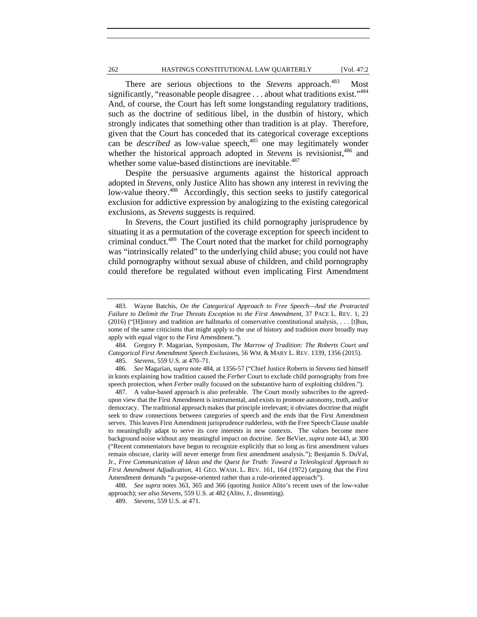# 262 HASTINGS CONSTITUTIONAL LAW QUARTERLY [Vol. 47:2

There are serious objections to the *Stevens* approach.<sup>483</sup> Most significantly, "reasonable people disagree . . . about what traditions exist."<sup>484</sup> And, of course, the Court has left some longstanding regulatory traditions, such as the doctrine of seditious libel, in the dustbin of history, which strongly indicates that something other than tradition is at play. Therefore, given that the Court has conceded that its categorical coverage exceptions can be *described* as low-value speech,<sup>485</sup> one may legitimately wonder whether the historical approach adopted in *Stevens* is revisionist,<sup>486</sup> and whether some value-based distinctions are inevitable.<sup>487</sup>

Despite the persuasive arguments against the historical approach adopted in *Stevens*, only Justice Alito has shown any interest in reviving the low-value theory.<sup>488</sup> Accordingly, this section seeks to justify categorical exclusion for addictive expression by analogizing to the existing categorical exclusions, as *Stevens* suggests is required.

In *Stevens*, the Court justified its child pornography jurisprudence by situating it as a permutation of the coverage exception for speech incident to criminal conduct.489 The Court noted that the market for child pornography was "intrinsically related" to the underlying child abuse; you could not have child pornography without sexual abuse of children, and child pornography could therefore be regulated without even implicating First Amendment

 <sup>483.</sup> Wayne Batchis, *On the Categorical Approach to Free Speech—And the Protracted Failure to Delimit the True Threats Exception to the First Amendment*, 37 PACE L. REV. 1, 23 (2016) ("[H]istory and tradition are hallmarks of conservative constitutional analysis, . . . [t]hus, some of the same criticisms that might apply to the use of history and tradition more broadly may apply with equal vigor to the First Amendment.").

 <sup>484.</sup> Gregory P. Magarian, Symposium, *The Marrow of Tradition: The Roberts Court and Categorical First Amendment Speech Exclusions*, 56 WM. & MARY L. REV. 1339, 1356 (2015).

 <sup>485.</sup> *Stevens*, 559 U.S. at 470–71.

 <sup>486.</sup> *See* Magarian, *supra* note 484, at 1356-57 ("Chief Justice Roberts in *Stevens* tied himself in knots explaining how tradition caused the *Ferber* Court to exclude child pornography from free speech protection, when *Ferber* really focused on the substantive harm of exploiting children.").

 <sup>487.</sup> A value-based approach is also preferable. The Court mostly subscribes to the agreedupon view that the First Amendment is instrumental, and exists to promote autonomy, truth, and/or democracy. The traditional approach makes that principle irrelevant; it obviates doctrine that might seek to draw connections between categories of speech and the ends that the First Amendment serves. This leaves First Amendment jurisprudence rudderless, with the Free Speech Clause unable to meaningfully adapt to serve its core interests in new contexts. The values become mere background noise without any meaningful impact on doctrine. *See* BeVier, *supra* note 443, at 300 ("Recent commentators have begun to recognize explicitly that so long as first amendment values remain obscure, clarity will never emerge from first amendment analysis."); Benjamin S. DuVal, Jr., *Free Communication of Ideas and the Quest for Truth: Toward a Teleological Approach to First Amendment Adjudication*, 41 GEO. WASH. L. REV. 161, 164 (1972) (arguing that the First Amendment demands "a purpose-oriented rather than a rule-oriented approach").

 <sup>488.</sup> *See supra* notes 363, 365 and 366 (quoting Justice Alito's recent uses of the low-value approach); *see also Stevens*, 559 U.S. at 482 (Alito, J., dissenting).

 <sup>489.</sup> *Stevens*, 559 U.S. at 471.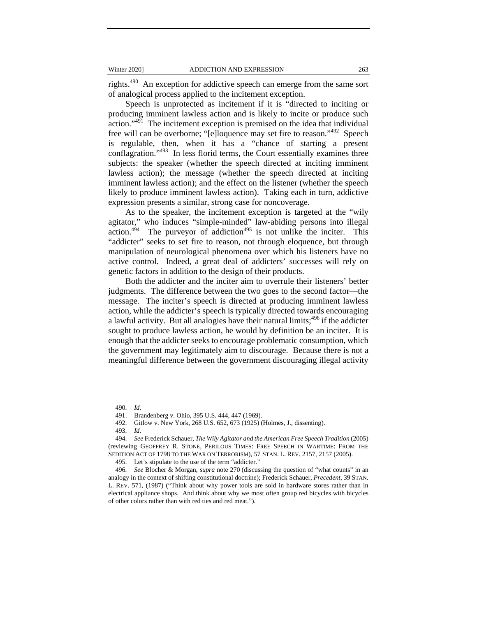rights.<sup>490</sup> An exception for addictive speech can emerge from the same sort of analogical process applied to the incitement exception.

Speech is unprotected as incitement if it is "directed to inciting or producing imminent lawless action and is likely to incite or produce such action."491 The incitement exception is premised on the idea that individual free will can be overborne; "[e]loquence may set fire to reason."492 Speech is regulable, then, when it has a "chance of starting a present conflagration."493 In less florid terms, the Court essentially examines three subjects: the speaker (whether the speech directed at inciting imminent lawless action); the message (whether the speech directed at inciting imminent lawless action); and the effect on the listener (whether the speech likely to produce imminent lawless action). Taking each in turn, addictive expression presents a similar, strong case for noncoverage.

As to the speaker, the incitement exception is targeted at the "wily agitator," who induces "simple-minded" law-abiding persons into illegal action.<sup>494</sup> The purveyor of addiction<sup>495</sup> is not unlike the inciter. This "addicter" seeks to set fire to reason, not through eloquence, but through manipulation of neurological phenomena over which his listeners have no active control. Indeed, a great deal of addicters' successes will rely on genetic factors in addition to the design of their products.

Both the addicter and the inciter aim to overrule their listeners' better judgments. The difference between the two goes to the second factor—the message. The inciter's speech is directed at producing imminent lawless action, while the addicter's speech is typically directed towards encouraging a lawful activity. But all analogies have their natural limits;<sup>496</sup> if the addicter sought to produce lawless action, he would by definition be an inciter. It is enough that the addicter seeks to encourage problematic consumption, which the government may legitimately aim to discourage. Because there is not a meaningful difference between the government discouraging illegal activity

 <sup>490.</sup> *Id.*

 <sup>491.</sup> Brandenberg v. Ohio, 395 U.S. 444, 447 (1969).

 <sup>492.</sup> Gitlow v. New York, 268 U.S. 652, 673 (1925) (Holmes, J., dissenting).

 <sup>493.</sup> *Id.*

 <sup>494.</sup> *See* Frederick Schauer, *The Wily Agitator and the American Free Speech Tradition* (2005) (reviewing GEOFFREY R. STONE, PERILOUS TIMES: FREE SPEECH IN WARTIME: FROM THE SEDITION ACT OF 1798 TO THE WAR ON TERRORISM), 57 STAN. L. REV. 2157, 2157 (2005).

 <sup>495.</sup> Let's stipulate to the use of the term "addicter."

<sup>496</sup>*. See* Blocher & Morgan, *supra* note 270 (discussing the question of "what counts" in an analogy in the context of shifting constitutional doctrine); Frederick Schauer, *Precedent*, 39 STAN. L. REV. 571, (1987) ("Think about why power tools are sold in hardware stores rather than in electrical appliance shops. And think about why we most often group red bicycles with bicycles of other colors rather than with red ties and red meat.").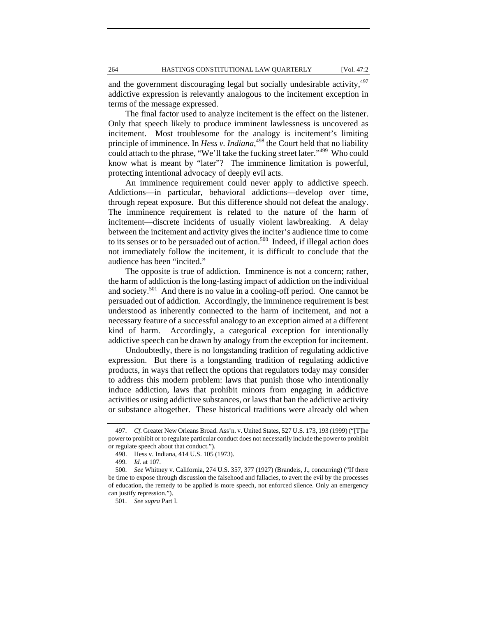and the government discouraging legal but socially undesirable activity, 497 addictive expression is relevantly analogous to the incitement exception in terms of the message expressed.

The final factor used to analyze incitement is the effect on the listener. Only that speech likely to produce imminent lawlessness is uncovered as incitement. Most troublesome for the analogy is incitement's limiting principle of imminence. In *Hess v. Indiana*, 498 the Court held that no liability could attach to the phrase, "We'll take the fucking street later."499 Who could know what is meant by "later"? The imminence limitation is powerful, protecting intentional advocacy of deeply evil acts.

An imminence requirement could never apply to addictive speech. Addictions—in particular, behavioral addictions—develop over time, through repeat exposure. But this difference should not defeat the analogy. The imminence requirement is related to the nature of the harm of incitement—discrete incidents of usually violent lawbreaking. A delay between the incitement and activity gives the inciter's audience time to come to its senses or to be persuaded out of action.<sup>500</sup> Indeed, if illegal action does not immediately follow the incitement, it is difficult to conclude that the audience has been "incited."

The opposite is true of addiction. Imminence is not a concern; rather, the harm of addiction is the long-lasting impact of addiction on the individual and society.<sup>501</sup> And there is no value in a cooling-off period. One cannot be persuaded out of addiction. Accordingly, the imminence requirement is best understood as inherently connected to the harm of incitement, and not a necessary feature of a successful analogy to an exception aimed at a different kind of harm. Accordingly, a categorical exception for intentionally addictive speech can be drawn by analogy from the exception for incitement.

Undoubtedly, there is no longstanding tradition of regulating addictive expression. But there is a longstanding tradition of regulating addictive products, in ways that reflect the options that regulators today may consider to address this modern problem: laws that punish those who intentionally induce addiction, laws that prohibit minors from engaging in addictive activities or using addictive substances, or laws that ban the addictive activity or substance altogether. These historical traditions were already old when

 <sup>497.</sup> *Cf.* Greater New Orleans Broad. Ass'n. v. United States, 527 U.S. 173, 193 (1999) ("[T]he power to prohibit or to regulate particular conduct does not necessarily include the power to prohibit or regulate speech about that conduct.").

 <sup>498.</sup> Hess v. Indiana, 414 U.S. 105 (1973).

 <sup>499.</sup> *Id.* at 107.

 <sup>500.</sup> *See* Whitney v. California, 274 U.S. 357, 377 (1927) (Brandeis, J., concurring) ("If there be time to expose through discussion the falsehood and fallacies, to avert the evil by the processes of education, the remedy to be applied is more speech, not enforced silence. Only an emergency can justify repression.").

 <sup>501.</sup> *See supra* Part I.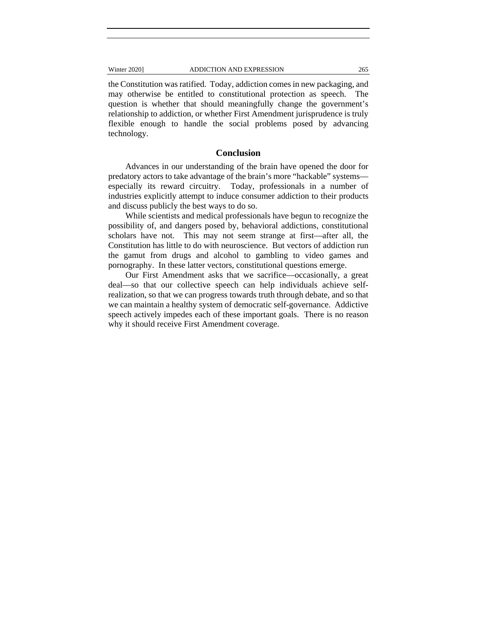the Constitution was ratified. Today, addiction comes in new packaging, and may otherwise be entitled to constitutional protection as speech. The question is whether that should meaningfully change the government's relationship to addiction, or whether First Amendment jurisprudence is truly flexible enough to handle the social problems posed by advancing technology.

# **Conclusion**

Advances in our understanding of the brain have opened the door for predatory actors to take advantage of the brain's more "hackable" systems especially its reward circuitry. Today, professionals in a number of industries explicitly attempt to induce consumer addiction to their products and discuss publicly the best ways to do so.

While scientists and medical professionals have begun to recognize the possibility of, and dangers posed by, behavioral addictions, constitutional scholars have not. This may not seem strange at first—after all, the Constitution has little to do with neuroscience. But vectors of addiction run the gamut from drugs and alcohol to gambling to video games and pornography. In these latter vectors, constitutional questions emerge.

Our First Amendment asks that we sacrifice—occasionally, a great deal—so that our collective speech can help individuals achieve selfrealization, so that we can progress towards truth through debate, and so that we can maintain a healthy system of democratic self-governance. Addictive speech actively impedes each of these important goals. There is no reason why it should receive First Amendment coverage.